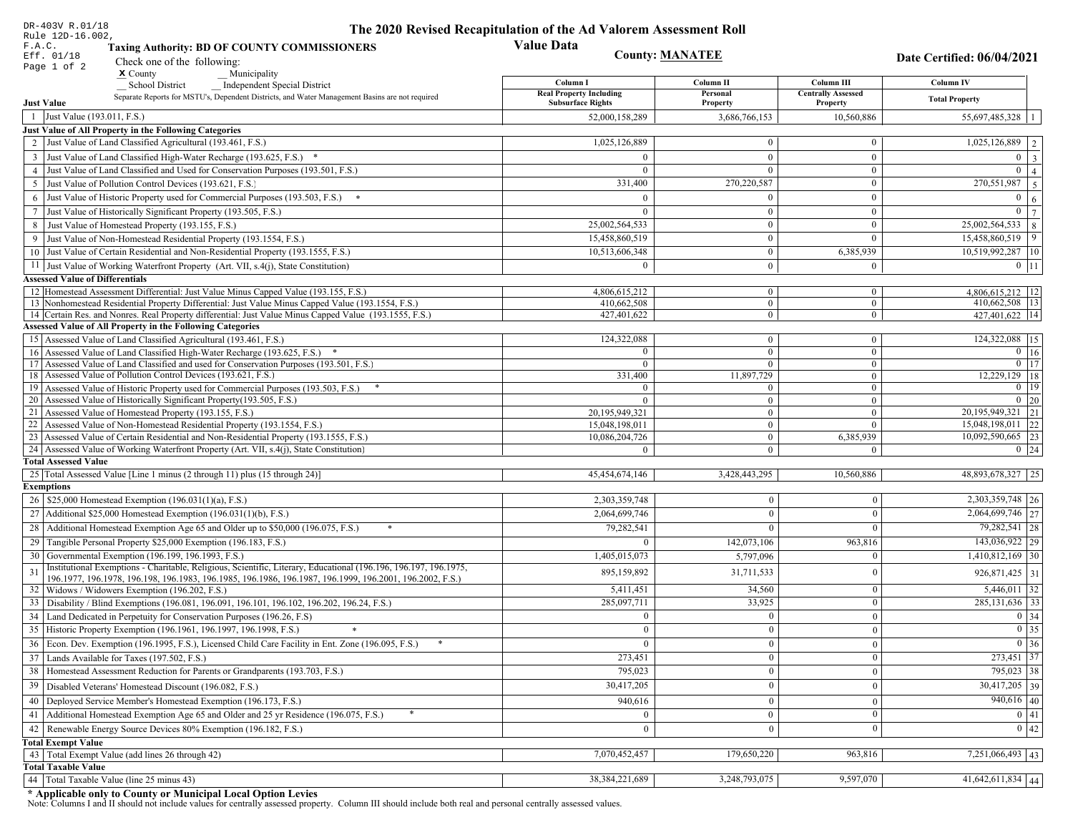| DR-403V R.01/18                                                                                                                                                                                             | The 2020 Revised Recapitulation of the Ad Valorem Assessment Roll |                                  |                                         |                                     |
|-------------------------------------------------------------------------------------------------------------------------------------------------------------------------------------------------------------|-------------------------------------------------------------------|----------------------------------|-----------------------------------------|-------------------------------------|
| Rule 12D-16.002,<br>F.A.C.<br><b>Taxing Authority: BD OF COUNTY COMMISSIONERS</b>                                                                                                                           | <b>Value Data</b>                                                 |                                  |                                         |                                     |
| Eff. 01/18<br>Check one of the following:                                                                                                                                                                   | <b>County: MANATEE</b>                                            |                                  |                                         | Date Certified: 06/04/2021          |
| Page 1 of 2<br>$\boldsymbol{\mathsf{x}}$ County<br>Municipality                                                                                                                                             |                                                                   |                                  |                                         |                                     |
| School District<br><b>Independent Special District</b>                                                                                                                                                      | Column I<br><b>Real Property Including</b>                        | Column II<br>Personal            | Column III<br><b>Centrally Assessed</b> | Column IV                           |
| Separate Reports for MSTU's, Dependent Districts, and Water Management Basins are not required<br><b>Just Value</b>                                                                                         | <b>Subsurface Rights</b>                                          | Property                         | Property                                | <b>Total Property</b>               |
| 1 Just Value (193.011, F.S.)                                                                                                                                                                                | 52,000,158,289                                                    | 3,686,766,153                    | 10,560,886                              | 55,697,485,328   1                  |
| Just Value of All Property in the Following Categories                                                                                                                                                      |                                                                   |                                  |                                         |                                     |
| 2 Just Value of Land Classified Agricultural (193.461, F.S.)                                                                                                                                                | 1,025,126,889                                                     | $\bf{0}$                         | $\boldsymbol{0}$                        | $1,025,126,889$   2                 |
| 3 Just Value of Land Classified High-Water Recharge (193.625, F.S.) *                                                                                                                                       | $\Omega$                                                          | $\theta$                         | $\mathbf{0}$                            | $0 \mid 3$                          |
| 4 Just Value of Land Classified and Used for Conservation Purposes (193.501, F.S.)                                                                                                                          | $\Omega$                                                          | $\theta$                         | $\boldsymbol{0}$                        | $\overline{0}$   4                  |
| 5 Just Value of Pollution Control Devices (193.621, F.S.)                                                                                                                                                   | 331,400                                                           | 270,220,587                      | $\boldsymbol{0}$                        | $\boxed{270,551,987}$ 5             |
| 6 Just Value of Historic Property used for Commercial Purposes (193.503, F.S.) *                                                                                                                            | $\Omega$                                                          |                                  | $\mathbf{0}$                            | $\mathbf{0}$<br>  6                 |
| 7 Just Value of Historically Significant Property (193.505, F.S.)                                                                                                                                           | $\mathbf{0}$                                                      | $\overline{0}$                   | $\overline{0}$                          | $0 \mid 7$                          |
| 8 Just Value of Homestead Property (193.155, F.S.)                                                                                                                                                          | 25,002,564,533                                                    | $\bf{0}$                         | $\bf{0}$                                | $25,002,564,533$ 8                  |
| 9 Just Value of Non-Homestead Residential Property (193.1554, F.S.)                                                                                                                                         | 15,458,860,519                                                    | $\boldsymbol{0}$                 | $\mathbf{0}$                            | 15,458,860,519 9                    |
| 10 Just Value of Certain Residential and Non-Residential Property (193.1555, F.S.)                                                                                                                          | 10,513,606,348                                                    | $\mathbf{0}$                     | 6,385,939                               | 10,519,992,287 10                   |
| 11 Just Value of Working Waterfront Property (Art. VII, s.4(j), State Constitution)                                                                                                                         | $\Omega$                                                          | $\bf{0}$                         | $\boldsymbol{0}$                        | $0$   11                            |
| <b>Assessed Value of Differentials</b>                                                                                                                                                                      |                                                                   |                                  |                                         |                                     |
| 12 Homestead Assessment Differential: Just Value Minus Capped Value (193.155, F.S.)                                                                                                                         | 4,806,615,212                                                     | $\mathbf{0}$                     | $\bf{0}$                                | $4,806,615,212$ 12                  |
| 13 Nonhomestead Residential Property Differential: Just Value Minus Capped Value (193.1554, F.S.)<br>14 Certain Res. and Nonres. Real Property differential: Just Value Minus Capped Value (193.1555, F.S.) | 410,662,508<br>427,401,622                                        | $\mathbf{0}$<br>$\mathbf{0}$     | $\mathbf{0}$<br>$\mathbf{0}$            | 410,662,508   13<br>427.401.622 14  |
| <b>Assessed Value of All Property in the Following Categories</b>                                                                                                                                           |                                                                   |                                  |                                         |                                     |
| 15 Assessed Value of Land Classified Agricultural (193.461, F.S.)                                                                                                                                           | 124,322,088                                                       | $\mathbf{0}$                     | $\mathbf{0}$                            | 124,322,088 15                      |
| 16 Assessed Value of Land Classified High-Water Recharge (193.625, F.S.) *                                                                                                                                  |                                                                   | $\mathbf{0}$                     | $\mathbf{0}$                            | $0$ 16                              |
| 17 Assessed Value of Land Classified and used for Conservation Purposes (193.501, F.S.)                                                                                                                     | $\theta$                                                          | $\overline{0}$                   | $\mathbf{0}$                            | $0$   17                            |
| 18 Assessed Value of Pollution Control Devices (193.621, F.S.)                                                                                                                                              | 331,400                                                           | 11,897,729                       | $\overline{0}$                          | 12,229,129 18                       |
| 19 Assessed Value of Historic Property used for Commercial Purposes (193.503, F.S.)                                                                                                                         | $\theta$                                                          | $\mathbf{0}$                     | $\mathbf{0}$                            | $0$ 19                              |
| 20 Assessed Value of Historically Significant Property (193.505, F.S.)                                                                                                                                      | $\theta$                                                          | $\overline{0}$                   | $\mathbf{0}$                            | $0\vert 20$<br>20, 195, 949, 321 21 |
| 21 Assessed Value of Homestead Property (193.155, F.S.)<br>22 Assessed Value of Non-Homestead Residential Property (193.1554, F.S.)                                                                         | 20,195,949,321<br>15,048,198,011                                  | $\overline{0}$<br>$\overline{0}$ | $\boldsymbol{0}$<br>$\Omega$            | 15,048,198,011 22                   |
| 23 Assessed Value of Certain Residential and Non-Residential Property (193.1555, F.S.)                                                                                                                      | 10,086,204,726                                                    | $\mathbf{0}$                     | 6,385,939                               | 10,092,590,665 23                   |
| 24 Assessed Value of Working Waterfront Property (Art. VII, s.4(j), State Constitution                                                                                                                      |                                                                   | $\overline{0}$                   | $\Omega$                                | $0 \mid 24$                         |
| <b>Total Assessed Value</b>                                                                                                                                                                                 |                                                                   |                                  |                                         |                                     |
| 25 Total Assessed Value [Line 1 minus (2 through 11) plus (15 through 24)]                                                                                                                                  | 45,454,674,146                                                    | 3,428,443,295                    | 10,560,886                              | 48,893,678,327 25                   |
| <b>Exemptions</b>                                                                                                                                                                                           |                                                                   |                                  |                                         |                                     |
| 26   \$25,000 Homestead Exemption (196.031(1)(a), F.S.)                                                                                                                                                     | 2,303,359,748                                                     | $\mathbf{0}$                     | $\mathbf{0}$                            | 2,303,359,748 26                    |
| 27   Additional \$25,000 Homestead Exemption (196.031(1)(b), F.S.)                                                                                                                                          | 2,064,699,746                                                     | $\theta$                         | $\Omega$                                | $\overline{2,064,699,746}$ 27       |
| 28 Additional Homestead Exemption Age 65 and Older up to \$50,000 (196.075, F.S.)                                                                                                                           | 79,282,541                                                        | $\Omega$                         | $\Omega$                                | 79,282,541 28                       |
| 29 Tangible Personal Property \$25,000 Exemption (196.183, F.S.)                                                                                                                                            |                                                                   | 142,073,106                      | 963,816                                 | 143,036,922 29                      |
| 30 Governmental Exemption (196.199, 196.1993, F.S.)                                                                                                                                                         | 1,405,015,073                                                     | 5,797,096                        |                                         | $1,410,812,169$ 30                  |
| Institutional Exemptions - Charitable, Religious, Scientific, Literary, Educational (196.196, 196.197, 196.1975,<br>31                                                                                      | 895,159,892                                                       | 31,711,533                       | $\Omega$                                | 926,871,425 31                      |
| 196.1977, 196.1978, 196.198, 196.1983, 196.1985, 196.1986, 196.1987, 196.1999, 196.2001, 196.2002, F.S.)<br>32   Widows / Widowers Exemption (196.202, F.S.)                                                | 5,411,451                                                         | 34,560                           | $\bf{0}$                                | $5,446,011$ 32                      |
| 33 Disability / Blind Exemptions (196.081, 196.091, 196.101, 196.102, 196.202, 196.24, F.S.)                                                                                                                | 285,097,711                                                       | 33,925                           | $\Omega$                                | 285, 131, 636 33                    |
| 34 Land Dedicated in Perpetuity for Conservation Purposes (196.26, F.S)                                                                                                                                     | $\mathbf{0}$                                                      | $\mathbf{0}$                     | $\Omega$                                | 0 34                                |
| 35 Historic Property Exemption (196.1961, 196.1997, 196.1998, F.S.)                                                                                                                                         | 0                                                                 | $\mathbf{0}$                     | $\mathbf{0}$                            | $\boxed{0}$ 35                      |
| 36 Econ. Dev. Exemption (196.1995, F.S.), Licensed Child Care Facility in Ent. Zone (196.095, F.S.)                                                                                                         | $\theta$                                                          | $\mathbf{0}$                     | $\Omega$                                | $0 \mid 36$                         |
| 37 Lands Available for Taxes (197.502, F.S.)                                                                                                                                                                | 273,451                                                           | $\Omega$                         | $\Omega$                                | 273,451 37                          |
| 38   Homestead Assessment Reduction for Parents or Grandparents (193.703, F.S.)                                                                                                                             | 795,023                                                           | $\mathbf{0}$                     | $\overline{0}$                          | 795,023 38                          |
| 39   Disabled Veterans' Homestead Discount (196.082, F.S.)                                                                                                                                                  | 30,417,205                                                        | $\theta$                         | $\theta$                                | $30,417,205$ 39                     |
| 40   Deployed Service Member's Homestead Exemption (196.173, F.S.)                                                                                                                                          | 940,616                                                           | $\Omega$                         | $\Omega$                                | $940,616$ 40                        |
| 41 Additional Homestead Exemption Age 65 and Older and 25 yr Residence (196.075, F.S.)                                                                                                                      | $\mathbf{0}$                                                      | $\Omega$                         | $\Omega$                                | 0 41                                |
| 42 Renewable Energy Source Devices 80% Exemption (196.182, F.S.)                                                                                                                                            | $\mathbf{0}$                                                      | $\mathbf{0}$                     | $\Omega$                                | 0 42                                |
| <b>Total Exempt Value</b>                                                                                                                                                                                   |                                                                   |                                  |                                         |                                     |
| 43 Total Exempt Value (add lines 26 through 42)                                                                                                                                                             | 7,070,452,457                                                     | 179,650,220                      | 963,816                                 | $7,251,066,493$ 43                  |
| <b>Total Taxable Value</b>                                                                                                                                                                                  |                                                                   |                                  |                                         |                                     |
| 44   Total Taxable Value (line 25 minus 43)                                                                                                                                                                 | 38, 384, 221, 689                                                 | 3,248,793,075                    | 9,597,070                               | $41,642,611,834$ 44                 |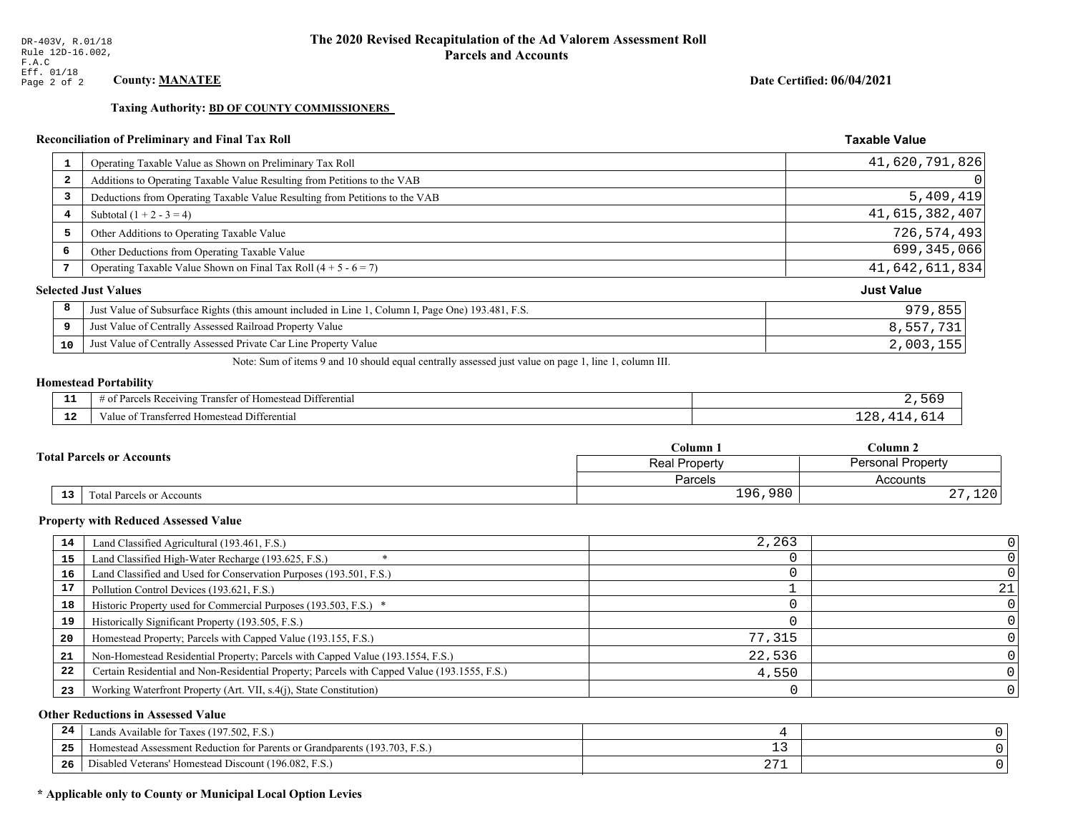**Taxing Authority: BD OF COUNTY COMMISSIONERS** 

## Reconciliation of Preliminary and Final Tax Roll

| $\mathbf{1}$            | Operating Taxable Value as Shown on Preliminary Tax Roll                                           | 41,620,791,826    |
|-------------------------|----------------------------------------------------------------------------------------------------|-------------------|
| $\overline{\mathbf{2}}$ | Additions to Operating Taxable Value Resulting from Petitions to the VAB                           | 0                 |
| 3                       | Deductions from Operating Taxable Value Resulting from Petitions to the VAB                        | 5,409,419         |
| 4                       | Subtotal $(1 + 2 - 3 = 4)$                                                                         | 41,615,382,407    |
| 5                       | Other Additions to Operating Taxable Value                                                         | 726,574,493       |
| 6                       | Other Deductions from Operating Taxable Value                                                      | 699,345,066       |
| 7                       | Operating Taxable Value Shown on Final Tax Roll $(4 + 5 - 6 = 7)$                                  | 41,642,611,834    |
|                         | <b>Selected Just Values</b>                                                                        | <b>Just Value</b> |
| 8                       | Just Value of Subsurface Rights (this amount included in Line 1, Column I, Page One) 193.481, F.S. | 979,855           |
| 9                       | Just Value of Centrally Assessed Railroad Property Value                                           | 8,557,731         |
| 10                      | Just Value of Centrally Assessed Private Car Line Property Value                                   | 2,003,155         |

Note: Sum of items 9 and 10 should equal centrally assessed just value on page 1, line 1, column III.

## **Homestead Portability**

| - -<br>.     | Differential<br><b>POPIVING</b><br>ranstei<br>: Rec<br>"OPOS<br>'∩mestea∟<br>. . |  |
|--------------|----------------------------------------------------------------------------------|--|
| $\sim$<br>-- | <b>Differential</b><br><i>ransterred</i><br>Homestea<br>anne                     |  |

|    |                                  | Column 1                                  | Column 2           |  |
|----|----------------------------------|-------------------------------------------|--------------------|--|
|    | <b>Total Parcels or Accounts</b> | <b>Personal Property</b><br>Real Property |                    |  |
|    |                                  | Parcels                                   | Accounts           |  |
| 13 | <b>Fotal Parcels or Accounts</b> | 196,980                                   | າ າ ດ<br>ᆂᅎᇅ<br>4. |  |

#### **Property with Reduced Assessed Value**

| 14 | Land Classified Agricultural (193.461, F.S.)                                                 | 2,263  |  |
|----|----------------------------------------------------------------------------------------------|--------|--|
| 15 | Land Classified High-Water Recharge (193.625, F.S.)                                          |        |  |
| 16 | Land Classified and Used for Conservation Purposes (193.501, F.S.)                           |        |  |
| 17 | Pollution Control Devices (193.621, F.S.)                                                    |        |  |
| 18 | Historic Property used for Commercial Purposes (193.503, F.S.) *                             |        |  |
| 19 | Historically Significant Property (193.505, F.S.)                                            |        |  |
| 20 | Homestead Property; Parcels with Capped Value (193.155, F.S.)                                | 77,315 |  |
| 21 | Non-Homestead Residential Property; Parcels with Capped Value (193.1554, F.S.)               | 22,536 |  |
| 22 | Certain Residential and Non-Residential Property; Parcels with Capped Value (193.1555, F.S.) | 4,550  |  |
| 23 | Working Waterfront Property (Art. VII, s.4(j), State Constitution)                           |        |  |

## **Other Reductions in Assessed Value**

| 24    | Lands Available for Taxes (197.502, F.S.)                                  |                   |  |
|-------|----------------------------------------------------------------------------|-------------------|--|
| - - - | Homestead Assessment Reduction for Parents or Grandparents (193.703, F.S.) | - -               |  |
| -26   | F.S.<br>Disabled Veterans' Homestead Discount (196.082, F.                 | ר ר<br><u> 41</u> |  |

## \* Applicable only to County or Municipal Local Option Levies

Date Certified: 06/04/2021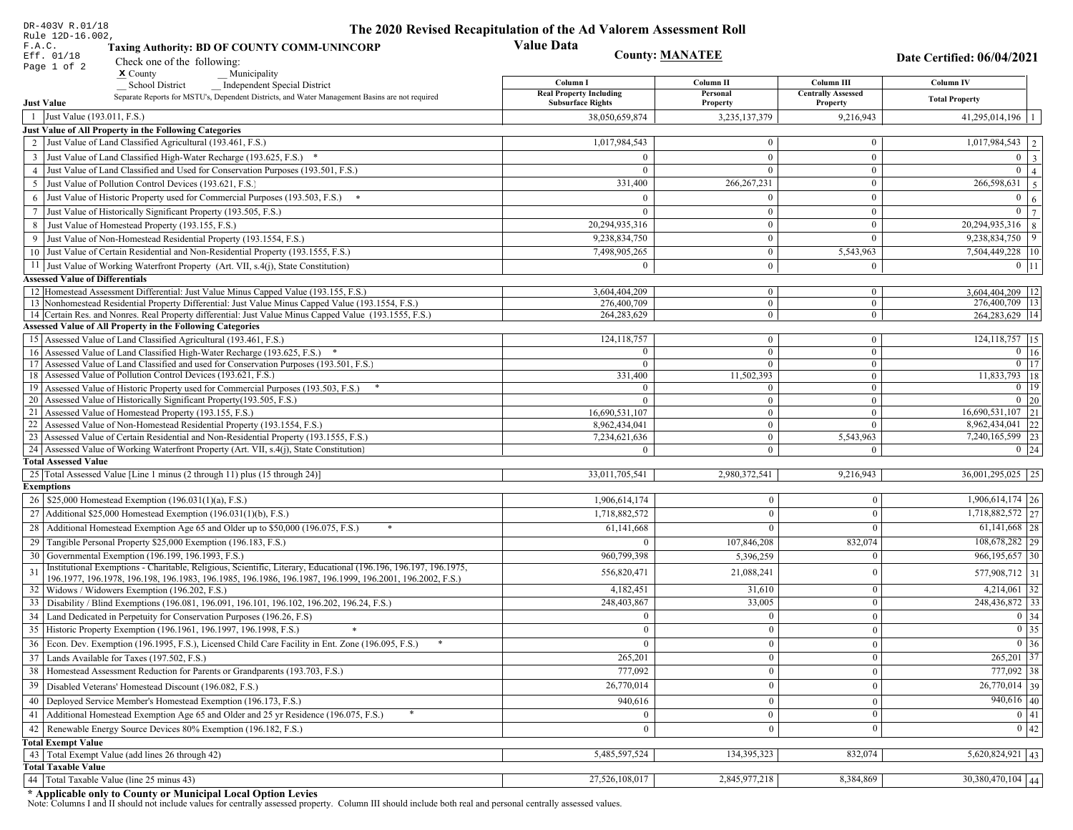| DR-403V R.01/18                                                                                                                                                 | The 2020 Revised Recapitulation of the Ad Valorem Assessment Roll |                              |                                  |                                        |  |
|-----------------------------------------------------------------------------------------------------------------------------------------------------------------|-------------------------------------------------------------------|------------------------------|----------------------------------|----------------------------------------|--|
| Rule 12D-16.002,<br>F.A.C.<br><b>Taxing Authority: BD OF COUNTY COMM-UNINCORP</b>                                                                               | <b>Value Data</b>                                                 | <b>County: MANATEE</b>       |                                  |                                        |  |
| Eff. 01/18<br>Check one of the following:<br>Page 1 of 2                                                                                                        |                                                                   |                              |                                  | Date Certified: 06/04/2021             |  |
| $x$ County<br>Municipality                                                                                                                                      | Column I                                                          | Column II                    | Column III                       | Column IV                              |  |
| <b>School District</b><br><b>Independent Special District</b><br>Separate Reports for MSTU's, Dependent Districts, and Water Management Basins are not required | <b>Real Property Including</b>                                    | Personal                     | <b>Centrally Assessed</b>        | <b>Total Property</b>                  |  |
| <b>Just Value</b>                                                                                                                                               | <b>Subsurface Rights</b>                                          | Property                     | Property                         |                                        |  |
| 1 Just Value (193.011, F.S.)                                                                                                                                    | 38,050,659,874                                                    | 3,235,137,379                | 9,216,943                        | $41,295,014,196$   1                   |  |
| Just Value of All Property in the Following Categories                                                                                                          |                                                                   |                              |                                  |                                        |  |
| 2 Just Value of Land Classified Agricultural (193.461, F.S.)                                                                                                    | 1,017,984,543                                                     | $\bf{0}$                     | $\bf{0}$                         | $1,017,984,543$   2                    |  |
| 3 Just Value of Land Classified High-Water Recharge (193.625, F.S.) *                                                                                           | $\Omega$                                                          | $\mathbf{0}$                 | $\mathbf{0}$                     | $0 \mid 3$                             |  |
| 4 Just Value of Land Classified and Used for Conservation Purposes (193.501, F.S.)                                                                              | $\Omega$                                                          | $\Omega$                     | $\boldsymbol{0}$                 | $\overline{0}$   4                     |  |
| 5 Just Value of Pollution Control Devices (193.621, F.S.)                                                                                                       | 331,400                                                           | 266, 267, 231                | $\bf{0}$                         | $\overline{266,598,631}$ 5             |  |
| 6 Just Value of Historic Property used for Commercial Purposes (193.503, F.S.) *                                                                                | $\Omega$                                                          | $\theta$                     | $\boldsymbol{0}$                 | $\mathbf{0}$<br>6                      |  |
| 7 Just Value of Historically Significant Property (193.505, F.S.)                                                                                               | $\Omega$                                                          | $\bf{0}$<br>$\bf{0}$         | $\bf{0}$<br>$\boldsymbol{0}$     | $0 \overline{7}$<br>$20,294,935,316$ 8 |  |
| 8 Just Value of Homestead Property (193.155, F.S.)                                                                                                              | 20,294,935,316                                                    | $\bf{0}$                     | $\theta$                         | $\begin{array}{c} 9 \end{array}$       |  |
| 9 Just Value of Non-Homestead Residential Property (193.1554, F.S.)<br>10 Just Value of Certain Residential and Non-Residential Property (193.1555, F.S.)       | 9,238,834,750<br>7,498,905,265                                    | $\mathbf{0}$                 |                                  | 9,238,834,750                          |  |
|                                                                                                                                                                 | $\Omega$                                                          |                              | 5,543,963                        | 7,504,449,228   10<br>$0$   11         |  |
| 11 Just Value of Working Waterfront Property (Art. VII, s.4(j), State Constitution)<br><b>Assessed Value of Differentials</b>                                   |                                                                   | $\bf{0}$                     | $\bf{0}$                         |                                        |  |
| 12   Homestead Assessment Differential: Just Value Minus Capped Value (193.155, F.S.)                                                                           | 3,604,404,209                                                     | $\bf{0}$                     | $\bf{0}$                         | 3,604,404,209   12                     |  |
| 13 Nonhomestead Residential Property Differential: Just Value Minus Capped Value (193.1554, F.S.)                                                               | 276,400,709                                                       | $\mathbf{0}$                 | $\mathbf{0}$                     | 276,400,709   13                       |  |
| 14 Certain Res. and Nonres. Real Property differential: Just Value Minus Capped Value (193.1555, F.S.)                                                          | 264,283,629                                                       | $\overline{0}$               | $\overline{0}$                   | 264, 283, 629   14                     |  |
| <b>Assessed Value of All Property in the Following Categories</b>                                                                                               |                                                                   |                              |                                  |                                        |  |
| 15 Assessed Value of Land Classified Agricultural (193.461, F.S.)                                                                                               | 124, 118, 757                                                     | $\mathbf{0}$                 | $\mathbf{0}$                     | $124, 118, 757$ 15                     |  |
| Assessed Value of Land Classified High-Water Recharge (193.625, F.S.) *                                                                                         | $\Omega$                                                          | $\overline{0}$               | $\mathbf{0}$                     | $\overline{0}$ 16                      |  |
| Assessed Value of Land Classified and used for Conservation Purposes (193.501, F.S.)<br>17<br>18 Assessed Value of Pollution Control Devices (193.621, F.S.)    | $\theta$                                                          | $\overline{0}$               | $\boldsymbol{0}$<br>$\mathbf{0}$ | $0$   17<br>11,833,793 18              |  |
| 19 Assessed Value of Historic Property used for Commercial Purposes (193.503, F.S.)                                                                             | 331,400<br>$\overline{0}$                                         | 11,502,393<br>$\overline{0}$ | $\overline{0}$                   | $0 \mid 19$                            |  |
| 20 Assessed Value of Historically Significant Property (193.505, F.S.)                                                                                          | $\Omega$                                                          | $\overline{0}$               | $\overline{0}$                   | $0 \mid 20$                            |  |
| 21 Assessed Value of Homestead Property (193.155, F.S.)                                                                                                         | 16,690,531,107                                                    | $\overline{0}$               | $\boldsymbol{0}$                 | $16,690,531,107$ 21                    |  |
| 22 Assessed Value of Non-Homestead Residential Property (193.1554, F.S.)                                                                                        | 8,962,434,041                                                     | $\overline{0}$               | $\mathbf{0}$                     | 8,962,434,041 22                       |  |
| 23 Assessed Value of Certain Residential and Non-Residential Property (193.1555, F.S.)                                                                          | 7,234,621,636                                                     | $\overline{0}$               | 5,543,963                        | 7,240,165,599 23                       |  |
| 24 Assessed Value of Working Waterfront Property (Art. VII, s.4(j), State Constitution)                                                                         | $\Omega$                                                          | $\overline{0}$               | $\mathbf{0}$                     | $0 \mid 24$                            |  |
| <b>Total Assessed Value</b>                                                                                                                                     |                                                                   |                              |                                  |                                        |  |
| 25 Total Assessed Value [Line 1 minus (2 through 11) plus (15 through 24)]<br><b>Exemptions</b>                                                                 | 33,011,705,541                                                    | 2,980,372,541                | 9,216,943                        | $36,001,295,025$ 25                    |  |
| 26   \$25,000 Homestead Exemption (196.031(1)(a), F.S.)                                                                                                         | 1,906,614,174                                                     | $\bf{0}$                     | $\mathbf{0}$                     | $1,906,614,174$ 26                     |  |
| 27   Additional \$25,000 Homestead Exemption $(196.031(1)(b), F.S.)$                                                                                            | 1,718,882,572                                                     | $\Omega$                     | $\Omega$                         | $1,718,882,572$ 27                     |  |
|                                                                                                                                                                 |                                                                   | $\Omega$                     | $\Omega$                         | $61,141,668$  28                       |  |
| 28 Additional Homestead Exemption Age 65 and Older up to \$50,000 (196.075, F.S.)                                                                               | 61,141,668                                                        |                              |                                  | 108,678,282 29                         |  |
| 29 Tangible Personal Property \$25,000 Exemption (196.183, F.S.)<br>30 Governmental Exemption (196.199, 196.1993, F.S.)                                         |                                                                   | 107,846,208                  | 832,074                          |                                        |  |
| Institutional Exemptions - Charitable, Religious, Scientific, Literary, Educational (196.196, 196.197, 196.1975,                                                | 960,799,398                                                       | 5,396,259                    |                                  | $966, 195, 657$ 30                     |  |
| 196.1977, 196.1978, 196.198, 196.1983, 196.1985, 196.1986, 196.1987, 196.1999, 196.2001, 196.2002, F.S.)                                                        | 556,820,471                                                       | 21,088,241                   | $\Omega$                         | 577,908,712 31                         |  |
| 32 Widows / Widowers Exemption (196.202, F.S.)                                                                                                                  | 4,182,451                                                         | 31,610                       | $\mathbf{0}$                     | $4,214,061$ 32                         |  |
| 33 Disability / Blind Exemptions (196.081, 196.091, 196.101, 196.102, 196.202, 196.24, F.S.)                                                                    | 248,403,867                                                       | 33,005                       | $\Omega$                         | 248,436,872 33                         |  |
| 34 Land Dedicated in Perpetuity for Conservation Purposes (196.26, F.S)                                                                                         | $\Omega$                                                          | $\mathbf{0}$                 | $\Omega$                         | 0 34                                   |  |
| 35 Historic Property Exemption (196.1961, 196.1997, 196.1998, F.S.)                                                                                             | 0                                                                 | $\mathbf{0}$                 | $\mathbf{0}$                     | $\boxed{0}$ 35                         |  |
| 36 Econ. Dev. Exemption (196.1995, F.S.), Licensed Child Care Facility in Ent. Zone (196.095, F.S.)                                                             |                                                                   | $\mathbf{0}$                 | $\Omega$                         | $0 \mid 36$                            |  |
| 37 Lands Available for Taxes (197.502, F.S.)                                                                                                                    | 265,201                                                           | $\mathbf{0}$                 | $\Omega$                         | $265,201$ 37                           |  |
| 38   Homestead Assessment Reduction for Parents or Grandparents (193.703, F.S.)                                                                                 | 777,092                                                           | $\mathbf{0}$                 | $\overline{0}$                   | 777,092 38                             |  |
| 39   Disabled Veterans' Homestead Discount (196.082, F.S.)                                                                                                      | 26,770,014                                                        | $\mathbf{0}$                 | $\overline{0}$                   | $\overline{26,770,014}$ 39             |  |
| 40   Deployed Service Member's Homestead Exemption (196.173, F.S.)                                                                                              | 940,616                                                           | $\mathbf{0}$                 | $\Omega$                         | $940,616$ 40                           |  |
| 41 Additional Homestead Exemption Age 65 and Older and 25 yr Residence (196.075, F.S.)                                                                          | $\overline{0}$                                                    | $\mathbf{0}$                 | $\mathbf{0}$                     | 0 41                                   |  |
| 42 Renewable Energy Source Devices 80% Exemption (196.182, F.S.)                                                                                                | $\mathbf{0}$                                                      | $\mathbf{0}$                 | $\Omega$                         | 0 42                                   |  |
| <b>Total Exempt Value</b>                                                                                                                                       |                                                                   |                              |                                  |                                        |  |
| 43 Total Exempt Value (add lines 26 through 42)                                                                                                                 | 5,485,597,524                                                     | 134,395,323                  | 832,074                          | $5,620,824,921$ 43                     |  |
| <b>Total Taxable Value</b>                                                                                                                                      |                                                                   |                              |                                  |                                        |  |
| 44 Total Taxable Value (line 25 minus 43)                                                                                                                       | 27,526,108,017                                                    | 2,845,977,218                | 8,384,869                        | 30,380,470,104 44                      |  |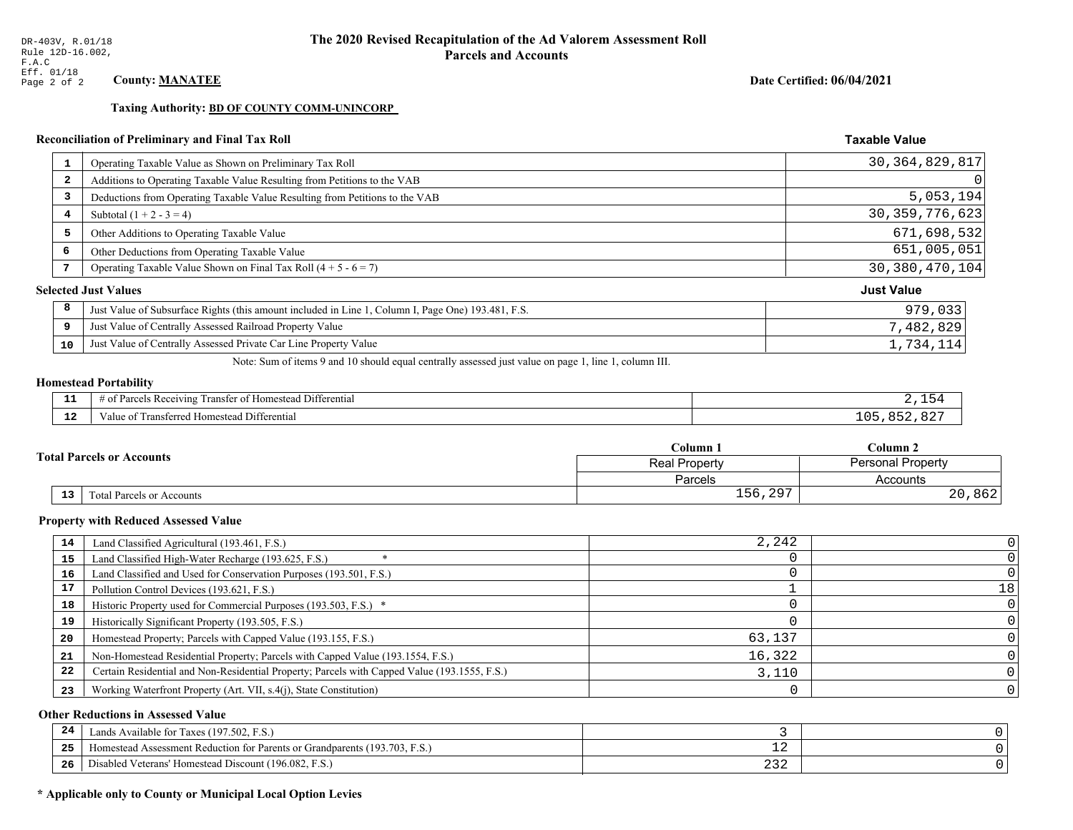**Taxing Authority: BD OF COUNTY COMM-UNINCORP** 

## Reconciliation of Preliminary and Final Tax Roll

| 1                       | Operating Taxable Value as Shown on Preliminary Tax Roll                                           | 30, 364, 829, 817 |
|-------------------------|----------------------------------------------------------------------------------------------------|-------------------|
| $\overline{\mathbf{2}}$ | Additions to Operating Taxable Value Resulting from Petitions to the VAB                           | 0                 |
| 3                       | Deductions from Operating Taxable Value Resulting from Petitions to the VAB                        | 5,053,194         |
| 4                       | Subtotal $(1 + 2 - 3 = 4)$                                                                         | 30, 359, 776, 623 |
| 5                       | Other Additions to Operating Taxable Value                                                         | 671,698,532       |
| 6                       | Other Deductions from Operating Taxable Value                                                      | 651,005,051       |
|                         | Operating Taxable Value Shown on Final Tax Roll $(4 + 5 - 6 = 7)$                                  | 30, 380, 470, 104 |
|                         | <b>Selected Just Values</b>                                                                        | <b>Just Value</b> |
| 8                       | Just Value of Subsurface Rights (this amount included in Line 1, Column I, Page One) 193.481, F.S. | 979,033           |
| 9                       | Just Value of Centrally Assessed Railroad Property Value                                           | 7,482,829         |
| 10                      | Just Value of Centrally Assessed Private Car Line Property Value                                   | 1,734,114         |

Note: Sum of items 9 and 10 should equal centrally assessed just value on page 1, line 1, column III.

# **Homestead Portability**

| - -          | .<br>$\sim$ $\sim$<br>l Differential<br>l ransfer of Homestead .<br>us Receiving :<br>arcel. |           |
|--------------|----------------------------------------------------------------------------------------------|-----------|
| $\sim$<br>-- | Transferred Homestead Differential<br>Value of                                               | $\lambda$ |

|    |                                  | Column 1                                         | Column 2  |  |
|----|----------------------------------|--------------------------------------------------|-----------|--|
|    | <b>Total Parcels or Accounts</b> | <b>Personal Property</b><br><b>Real Property</b> |           |  |
|    |                                  | Parcels                                          | Accounts  |  |
| 13 | <b>Fotal Parcels or Accounts</b> | 297<br>$156, 29^-$                               | 862<br>20 |  |

#### **Property with Reduced Assessed Value**

| 14 | Land Classified Agricultural (193.461, F.S.)                                                 | 2,242  |    |
|----|----------------------------------------------------------------------------------------------|--------|----|
| 15 | Land Classified High-Water Recharge (193.625, F.S.)                                          |        |    |
| 16 | Land Classified and Used for Conservation Purposes (193.501, F.S.)                           |        |    |
| 17 | Pollution Control Devices (193.621, F.S.)                                                    |        | 18 |
| 18 | Historic Property used for Commercial Purposes (193.503, F.S.) *                             |        |    |
| 19 | Historically Significant Property (193.505, F.S.)                                            |        |    |
| 20 | Homestead Property; Parcels with Capped Value (193.155, F.S.)                                | 63,137 |    |
| 21 | Non-Homestead Residential Property; Parcels with Capped Value (193.1554, F.S.)               | 16,322 |    |
| 22 | Certain Residential and Non-Residential Property; Parcels with Capped Value (193.1555, F.S.) | 3,110  |    |
| 23 | Working Waterfront Property (Art. VII, s.4(j), State Constitution)                           |        |    |

## **Other Reductions in Assessed Value**

| 24    | (197.502, F.S.)<br>Lands Available for Taxes (                       |            |  |
|-------|----------------------------------------------------------------------|------------|--|
| - - - | Iomestead Assessment Reduction for Parents or Grandparents (193.703, | — <i>—</i> |  |
| -26   | I Veterans' Homestead Discount (196.082, F.S.)<br>Disabled           | ے ت        |  |

## \* Applicable only to County or Municipal Local Option Levies

Date Certified: 06/04/2021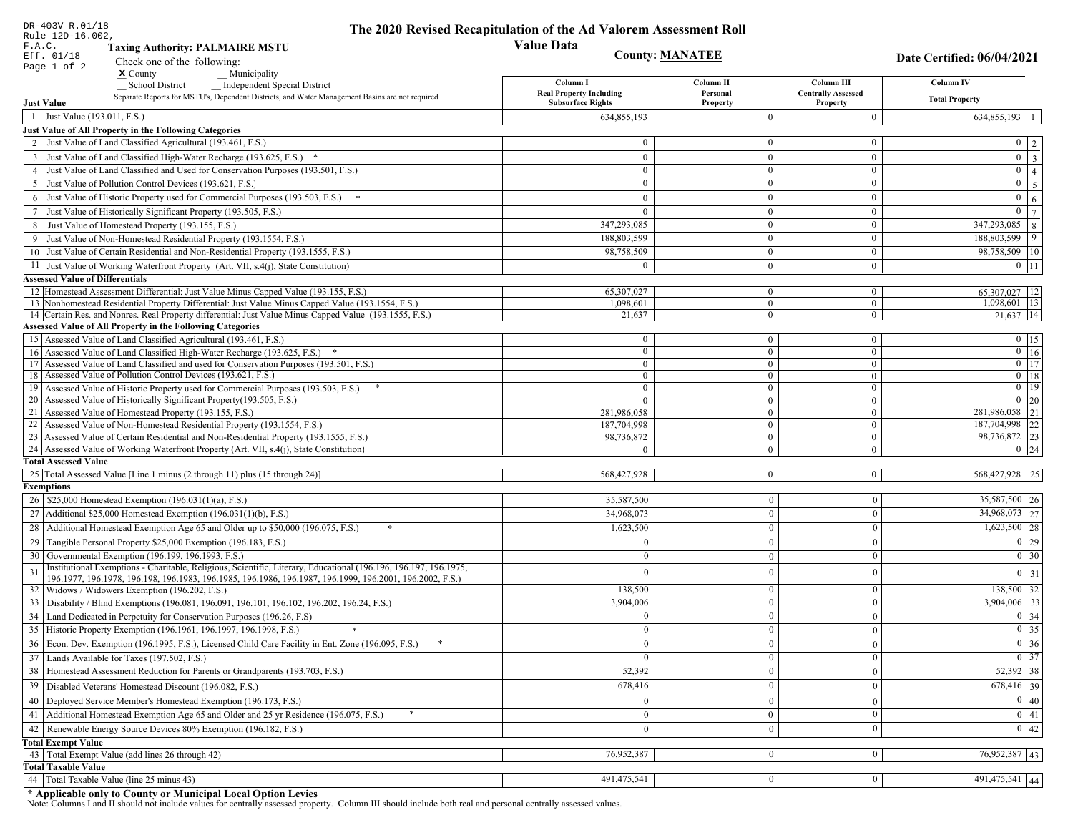|        | DR-403V R.01/18<br>Rule 12D-16.002,                                                                                                                          | The 2020 Revised Recapitulation of the Ad Valorem Assessment Roll |                                  |                                       |                                                                       |
|--------|--------------------------------------------------------------------------------------------------------------------------------------------------------------|-------------------------------------------------------------------|----------------------------------|---------------------------------------|-----------------------------------------------------------------------|
| F.A.C. | <b>Taxing Authority: PALMAIRE MSTU</b>                                                                                                                       | <b>Value Data</b>                                                 |                                  |                                       |                                                                       |
|        | Eff. 01/18<br>Check one of the following:                                                                                                                    |                                                                   | <b>County: MANATEE</b>           |                                       | Date Certified: 06/04/2021                                            |
|        | Page 1 of 2<br>$\boldsymbol{\mathrm{x}}$ County<br>Municipality                                                                                              |                                                                   |                                  |                                       |                                                                       |
|        | <b>School District</b><br><b>Independent Special District</b>                                                                                                | Column I                                                          | Column <sub>II</sub>             | Column III                            | <b>Column IV</b>                                                      |
|        | Separate Reports for MSTU's, Dependent Districts, and Water Management Basins are not required<br><b>Just Value</b>                                          | <b>Real Property Including</b><br><b>Subsurface Rights</b>        | Personal<br>Property             | <b>Centrally Assessed</b><br>Property | <b>Total Property</b>                                                 |
|        | 1 Just Value (193.011, F.S.)                                                                                                                                 | 634,855,193                                                       | $\Omega$                         | $\overline{0}$                        | 634,855,193                                                           |
|        | Just Value of All Property in the Following Categories                                                                                                       |                                                                   |                                  |                                       |                                                                       |
|        | 2 Just Value of Land Classified Agricultural (193.461, F.S.)                                                                                                 | $\theta$                                                          | $\overline{0}$                   | $\bf{0}$                              | $0 \quad 2$                                                           |
|        | 3 Just Value of Land Classified High-Water Recharge (193.625, F.S.) *                                                                                        | $\theta$                                                          | $\theta$                         | $\bf{0}$                              | $\overline{\mathbf{3}}$<br>$\overline{0}$                             |
|        | 4 Just Value of Land Classified and Used for Conservation Purposes (193.501, F.S.)                                                                           | $\Omega$                                                          | $\boldsymbol{0}$                 | $\bf{0}$                              | $\overline{0}$<br>$\overline{4}$                                      |
|        | 5 Just Value of Pollution Control Devices (193.621, F.S.)                                                                                                    | $\overline{0}$                                                    | $\overline{0}$                   | $\bf{0}$                              | $\overline{5}$<br>$\overline{0}$                                      |
| 6      | Just Value of Historic Property used for Commercial Purposes (193.503, F.S.)                                                                                 | $\theta$                                                          | $\theta$                         | $\bf{0}$                              | $\overline{0}$<br>$\sqrt{6}$                                          |
| 7      | Just Value of Historically Significant Property (193.505, F.S.)                                                                                              | $\overline{0}$                                                    | $\mathbf{0}$                     | $\bf{0}$                              | $\overline{7}$<br>$\mathbf{0}$                                        |
|        | 8 Just Value of Homestead Property (193.155, F.S.)                                                                                                           | 347,293,085                                                       | $\mathbf{0}$                     | $\bf{0}$                              | 347,293,085<br>$\,8\,$                                                |
|        | Just Value of Non-Homestead Residential Property (193.1554, F.S.)                                                                                            | 188,803,599                                                       | $\Omega$                         | $\bf{0}$                              | 9<br>188,803,599                                                      |
|        | 10 Just Value of Certain Residential and Non-Residential Property (193.1555, F.S.)                                                                           | 98,758,509                                                        | $\overline{0}$                   | $\bf{0}$                              | 98,758,509 10                                                         |
|        | 11 Just Value of Working Waterfront Property (Art. VII, s.4(j), State Constitution)                                                                          | $\Omega$                                                          | $\overline{0}$                   | $\bf{0}$                              | $0$ 11                                                                |
|        | <b>Assessed Value of Differentials</b>                                                                                                                       |                                                                   |                                  |                                       |                                                                       |
|        | 12 Homestead Assessment Differential: Just Value Minus Capped Value (193.155, F.S.)                                                                          | 65.307.027                                                        | $\overline{0}$                   | $\bf{0}$                              | 65,307,027   12                                                       |
|        | 13 Nonhomestead Residential Property Differential: Just Value Minus Capped Value (193.1554, F.S.)                                                            | 1,098,601                                                         | $\overline{0}$                   | $\overline{0}$                        | 1,098,601 13                                                          |
|        | 14 Certain Res. and Nonres. Real Property differential: Just Value Minus Capped Value (193.1555, F.S.)                                                       | 21,637                                                            | $\overline{0}$                   | $\mathbf{0}$                          | $21,637$ 14                                                           |
|        | <b>Assessed Value of All Property in the Following Categories</b>                                                                                            |                                                                   |                                  |                                       |                                                                       |
|        | 15 Assessed Value of Land Classified Agricultural (193.461, F.S.)                                                                                            | $\bf{0}$                                                          | $\overline{0}$                   | $\bf{0}$                              | $0$   15                                                              |
|        | 16 Assessed Value of Land Classified High-Water Recharge (193.625, F.S.) *                                                                                   | $\mathbf{0}$                                                      | $\overline{0}$                   | $\overline{0}$                        | $\boxed{0}$ 16                                                        |
|        | 17 Assessed Value of Land Classified and used for Conservation Purposes (193.501, F.S.)                                                                      | $\overline{0}$                                                    | $\overline{0}$                   | $\mathbf{0}$                          | $\overline{0}$ 17                                                     |
|        | 18 Assessed Value of Pollution Control Devices (193.621, F.S.)<br>19 Assessed Value of Historic Property used for Commercial Purposes (193.503, F.S.)        | $\mathbf{0}$<br>$\bf{0}$                                          | $\overline{0}$<br>$\overline{0}$ | $\overline{0}$<br>$\mathbf{0}$        | $0$   18<br>$\overline{0}$ 19                                         |
|        | 20 Assessed Value of Historically Significant Property (193.505, F.S.)                                                                                       | $\theta$                                                          | $\mathbf{0}$                     | $\mathbf{0}$                          | $\boxed{0}$ 20                                                        |
|        | 21 Assessed Value of Homestead Property (193.155, F.S.)                                                                                                      | 281,986,058                                                       | $\overline{0}$                   | $\mathbf{0}$                          | 281,986,058 21                                                        |
|        | 22 Assessed Value of Non-Homestead Residential Property (193.1554, F.S.)                                                                                     | 187,704,998                                                       | $\overline{0}$                   | $\mathbf{0}$                          | 187,704,998 22                                                        |
|        | 23 Assessed Value of Certain Residential and Non-Residential Property (193.1555, F.S.)                                                                       | 98,736,872                                                        | $\overline{0}$                   | $\mathbf{0}$                          | 98,736,872 23                                                         |
|        | 24 Assessed Value of Working Waterfront Property (Art. VII, s.4(j), State Constitution)                                                                      | $\Omega$                                                          | $\theta$                         | $\overline{0}$                        | $0 \mid 24$                                                           |
|        | <b>Total Assessed Value</b>                                                                                                                                  |                                                                   |                                  |                                       |                                                                       |
|        | 25 Total Assessed Value [Line 1 minus (2 through 11) plus (15 through 24)]                                                                                   | 568,427,928                                                       | $\overline{0}$                   | $\overline{0}$                        | 568,427,928 25                                                        |
|        | <b>Exemptions</b>                                                                                                                                            |                                                                   |                                  |                                       |                                                                       |
|        | 26   \$25,000 Homestead Exemption (196.031(1)(a), F.S.)                                                                                                      | 35,587,500                                                        | $\bf{0}$                         | $\bf{0}$                              | 35,587,500 26                                                         |
|        | 27   Additional \$25,000 Homestead Exemption $(196.031(1)(b), F.S.)$                                                                                         | 34,968,073                                                        | $\overline{0}$                   | $\Omega$                              | $34,968,073$ 27                                                       |
|        | 28 Additional Homestead Exemption Age 65 and Older up to \$50,000 (196.075, F.S.)                                                                            | 1,623,500                                                         | $\overline{0}$                   | $\theta$                              | $1,623,500$ 28                                                        |
|        | 29 Tangible Personal Property \$25,000 Exemption (196.183, F.S.)                                                                                             | $\Omega$                                                          | $\Omega$                         | $\Omega$                              | $\boxed{0}$ 29                                                        |
|        | 30 Governmental Exemption (196.199, 196.1993, F.S.)                                                                                                          |                                                                   | $\Omega$                         | $\boldsymbol{0}$                      | $\overline{0}$ 30                                                     |
| 31     | Institutional Exemptions - Charitable, Religious, Scientific, Literary, Educational (196.196, 196.197, 196.1975,                                             | 0                                                                 |                                  | $\boldsymbol{0}$                      | $0 \mid 31$                                                           |
|        | 196.1977, 196.1978, 196.198, 196.1983, 196.1985, 196.1986, 196.1987, 196.1999, 196.2001, 196.2002, F.S.)<br>32   Widows / Widowers Exemption (196.202, F.S.) | 138,500                                                           | $\bf{0}$                         | $\mathbf{0}$                          | $138,500$ 32                                                          |
|        | 33 Disability / Blind Exemptions (196.081, 196.091, 196.101, 196.102, 196.202, 196.24, F.S.)                                                                 | 3,904,006                                                         | $\overline{0}$                   | $\Omega$                              | $3,904,006$ 33                                                        |
|        | 34 Land Dedicated in Perpetuity for Conservation Purposes (196.26, F.S)                                                                                      | $\Omega$                                                          | $\Omega$                         | $\theta$                              | $\boxed{0}$ 34                                                        |
|        | 35 Historic Property Exemption (196.1961, 196.1997, 196.1998, F.S.)                                                                                          |                                                                   |                                  |                                       |                                                                       |
|        | 36 Econ. Dev. Exemption (196.1995, F.S.), Licensed Child Care Facility in Ent. Zone (196.095, F.S.)                                                          | $\mathbf{U}$<br>$\overline{0}$                                    | $\mathbf{0}$<br>$\Omega$         | $\mathbf{0}$<br>$\mathbf{0}$          | $\begin{array}{ c c }\n\hline\n0 & 35 \\ \hline\n0 & 36\n\end{array}$ |
|        | 37 Lands Available for Taxes (197.502, F.S.)                                                                                                                 | $\mathbf{0}$                                                      | $\theta$                         | $\theta$                              | $\overline{0}$ 37                                                     |
|        | 38 Homestead Assessment Reduction for Parents or Grandparents (193.703, F.S.)                                                                                |                                                                   |                                  |                                       | 52,392 38                                                             |
|        |                                                                                                                                                              | 52,392                                                            | $\bf{0}$                         | $\mathbf{0}$                          |                                                                       |
| 39     | Disabled Veterans' Homestead Discount (196.082, F.S.)                                                                                                        | 678,416                                                           |                                  | $\boldsymbol{0}$                      | 678,416 39                                                            |
|        | 40   Deployed Service Member's Homestead Exemption (196.173, F.S.)                                                                                           | $\overline{0}$                                                    | $\Omega$                         | $\mathbf{0}$                          | $\overline{0}$ 40                                                     |
|        | 41 Additional Homestead Exemption Age 65 and Older and 25 yr Residence (196.075, F.S.)                                                                       | $\overline{0}$                                                    | $\boldsymbol{0}$                 | $\mathbf{0}$                          | $\overline{0}$ 41                                                     |
| 42     | Renewable Energy Source Devices 80% Exemption (196.182, F.S.)                                                                                                | $\overline{0}$                                                    | $\bf{0}$                         | $\boldsymbol{0}$                      | $\overline{0}$ 42                                                     |
|        | <b>Total Exempt Value</b>                                                                                                                                    |                                                                   |                                  |                                       |                                                                       |
|        | 43 Total Exempt Value (add lines 26 through 42)<br><b>Total Taxable Value</b>                                                                                | 76,952,387                                                        | 0 <sup>1</sup>                   | $\mathbf{0}$                          | 76,952,387 43                                                         |
|        | 44   Total Taxable Value (line 25 minus 43)                                                                                                                  | 491,475,541                                                       | 0 <sup>1</sup>                   | $\bf{0}$                              | 491,475,541 44                                                        |
|        |                                                                                                                                                              |                                                                   |                                  |                                       |                                                                       |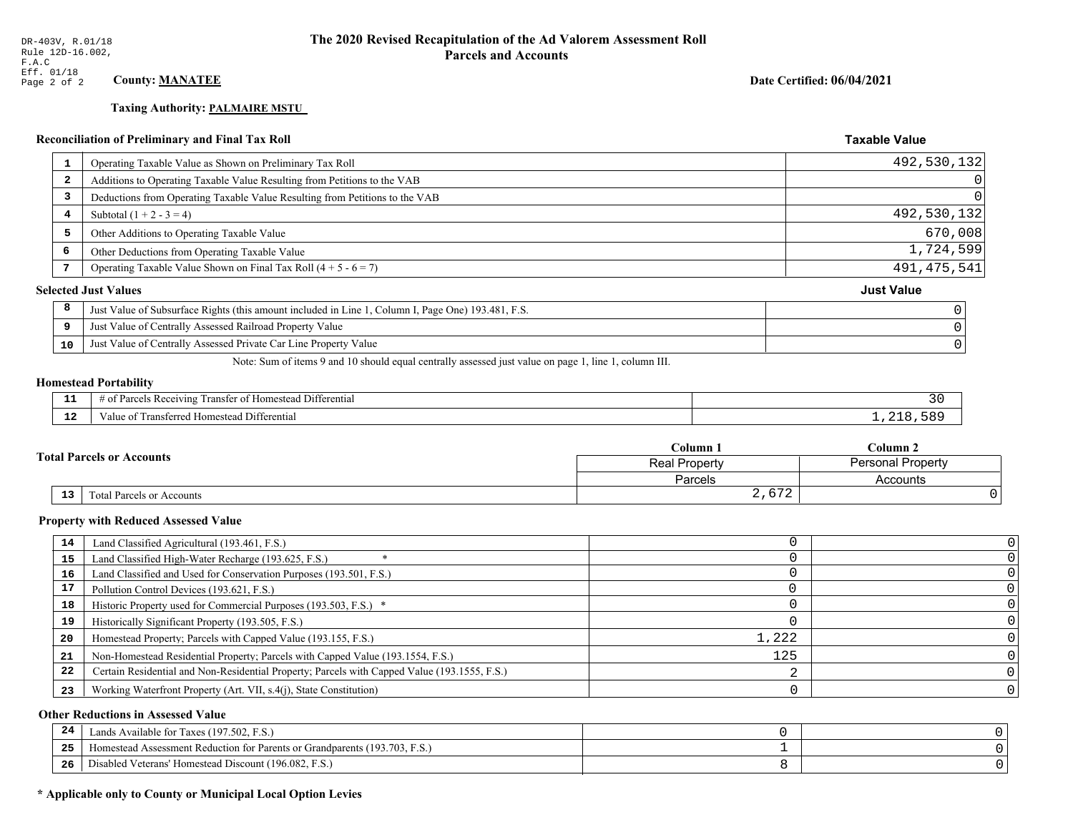# **Taxing Authority: PALMAIRE MSTU**

## Reconciliation of Preliminary and Final Tax Roll

| 1                       | Operating Taxable Value as Shown on Preliminary Tax Roll                                           | 492,530,132       |
|-------------------------|----------------------------------------------------------------------------------------------------|-------------------|
| $\overline{\mathbf{2}}$ | Additions to Operating Taxable Value Resulting from Petitions to the VAB                           |                   |
| 3                       | Deductions from Operating Taxable Value Resulting from Petitions to the VAB                        |                   |
| 4                       | Subtotal $(1 + 2 - 3 = 4)$                                                                         | 492,530,132       |
| 5                       | Other Additions to Operating Taxable Value                                                         | 670,008           |
| 6                       | Other Deductions from Operating Taxable Value                                                      | 1,724,599         |
|                         | Operating Taxable Value Shown on Final Tax Roll $(4 + 5 - 6 = 7)$                                  | 491, 475, 541     |
|                         | <b>Selected Just Values</b>                                                                        | <b>Just Value</b> |
| 8                       | Just Value of Subsurface Rights (this amount included in Line 1, Column I, Page One) 193.481, F.S. |                   |
| 9                       | Just Value of Centrally Assessed Railroad Property Value                                           |                   |
| 10                      | Just Value of Centrally Assessed Private Car Line Property Value                                   |                   |
|                         |                                                                                                    |                   |

Note: Sum of items 9 and 10 should equal centrally assessed just value on page 1, line 1, column III.

## **Homestead Portability**

| - -<br>. .  | $\sim$ $\sim$<br>Differential<br>ranster of<br>ceiving<br>Homestead<br>Parce.<br>-01<br>$\sim$<br>,,,,,, |  |
|-------------|----------------------------------------------------------------------------------------------------------|--|
| $\sim$<br>. | $\lambda_1 + \lambda_2$<br>Transferred Homestead Differential<br>alu                                     |  |

|  |                                  | Column 1       | Column <sub>2</sub>      |  |
|--|----------------------------------|----------------|--------------------------|--|
|  | <b>Fotal Parcels or Accounts</b> | Real Property  | <b>Personal Property</b> |  |
|  |                                  | <b>Parcels</b> | Accounts                 |  |
|  | 13<br>Total Parcels or Accounts  | 2,672          |                          |  |

#### **Property with Reduced Assessed Value**

| 14 | Land Classified Agricultural (193.461, F.S.)                                                 |       |  |
|----|----------------------------------------------------------------------------------------------|-------|--|
| 15 | Land Classified High-Water Recharge (193.625, F.S.)                                          |       |  |
| 16 | Land Classified and Used for Conservation Purposes (193.501, F.S.)                           |       |  |
| 17 | Pollution Control Devices (193.621, F.S.)                                                    |       |  |
| 18 | Historic Property used for Commercial Purposes (193.503, F.S.) *                             |       |  |
| 19 | Historically Significant Property (193.505, F.S.)                                            |       |  |
| 20 | Homestead Property; Parcels with Capped Value (193.155, F.S.)                                | 1,222 |  |
| 21 | Non-Homestead Residential Property; Parcels with Capped Value (193.1554, F.S.)               | 125   |  |
| 22 | Certain Residential and Non-Residential Property; Parcels with Capped Value (193.1555, F.S.) |       |  |
| 23 | Working Waterfront Property (Art. VII, s.4(j), State Constitution)                           |       |  |

## **Other Reductions in Assessed Value**

| 24  | Lands Available for Taxes (197.502, F.S.)                                  |  |
|-----|----------------------------------------------------------------------------|--|
| 25  | Homestead Assessment Reduction for Parents or Grandparents (193.703, F.S.) |  |
| -26 | Disabled Veterans' Homestead Discount (196.082, F.S.)                      |  |

## \* Applicable only to County or Municipal Local Option Levies

Date Certified: 06/04/2021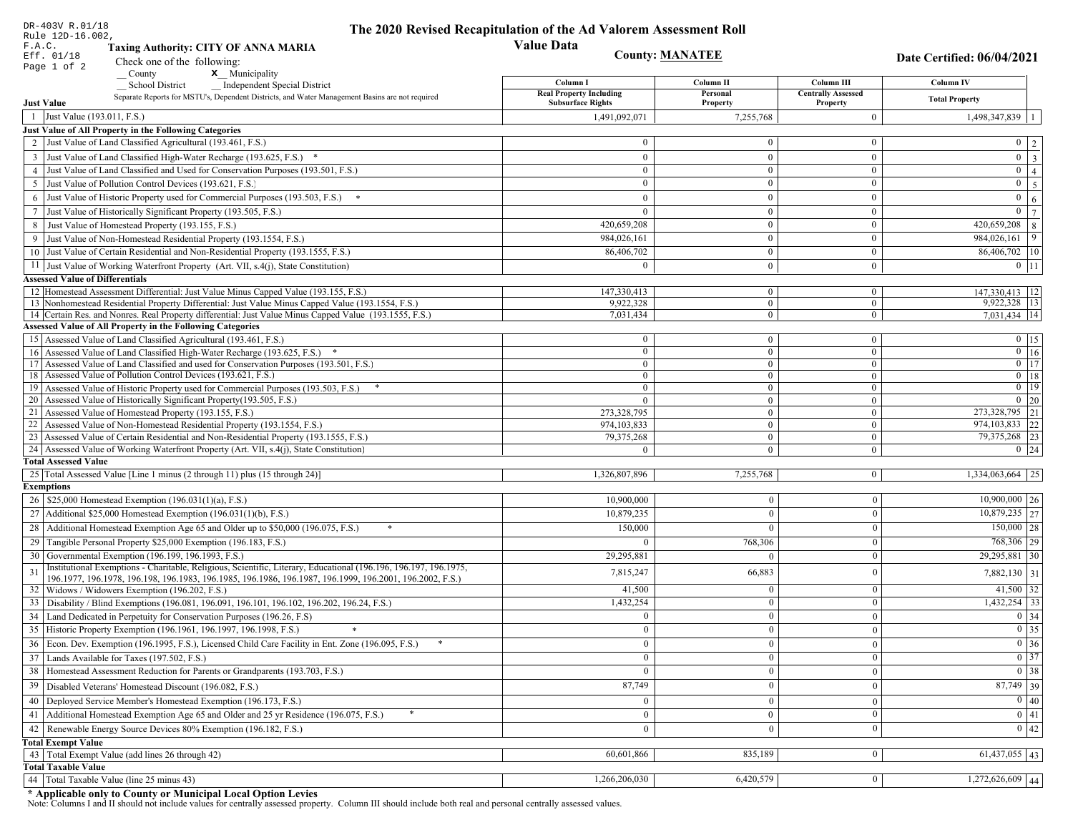|    | DR-403V R.01/18<br>Rule 12D-16.002,                                                                                                                                         | The 2020 Revised Recapitulation of the Ad Valorem Assessment Roll |                                  |                                       |                                                                                 |
|----|-----------------------------------------------------------------------------------------------------------------------------------------------------------------------------|-------------------------------------------------------------------|----------------------------------|---------------------------------------|---------------------------------------------------------------------------------|
|    | F.A.C.<br><b>Taxing Authority: CITY OF ANNA MARIA</b>                                                                                                                       | <b>Value Data</b>                                                 |                                  |                                       |                                                                                 |
|    | Eff. 01/18<br>Check one of the following:                                                                                                                                   |                                                                   | <b>County: MANATEE</b>           |                                       | Date Certified: 06/04/2021                                                      |
|    | Page 1 of 2<br>x Municipality<br>County                                                                                                                                     |                                                                   |                                  |                                       |                                                                                 |
|    | <b>School District</b><br><b>Independent Special District</b>                                                                                                               | Column I                                                          | Column <sub>II</sub>             | Column III                            | <b>Column IV</b>                                                                |
|    | Separate Reports for MSTU's, Dependent Districts, and Water Management Basins are not required<br><b>Just Value</b>                                                         | <b>Real Property Including</b><br><b>Subsurface Rights</b>        | Personal<br>Property             | <b>Centrally Assessed</b><br>Property | <b>Total Property</b>                                                           |
|    | 1 Just Value (193.011, F.S.)                                                                                                                                                | 1,491,092,071                                                     | 7,255,768                        | $\overline{0}$                        | 1,498,347,839                                                                   |
|    | Just Value of All Property in the Following Categories                                                                                                                      |                                                                   |                                  |                                       |                                                                                 |
|    | 2 Just Value of Land Classified Agricultural (193.461, F.S.)                                                                                                                | $\Omega$                                                          | $\overline{0}$                   | $\mathbf{0}$                          | $0 \quad 2$                                                                     |
|    | 3 Just Value of Land Classified High-Water Recharge (193.625, F.S.) *                                                                                                       | $\theta$                                                          | $\theta$                         | $\mathbf{0}$                          | $\overline{\mathbf{3}}$<br>$\overline{0}$                                       |
|    | 4 Just Value of Land Classified and Used for Conservation Purposes (193.501, F.S.)                                                                                          | $\Omega$                                                          | $\boldsymbol{0}$                 | $\bf{0}$                              | $\mathbf{0}$<br>$\overline{4}$                                                  |
|    | 5 Just Value of Pollution Control Devices (193.621, F.S.)                                                                                                                   | $\overline{0}$                                                    | $\overline{0}$                   | $\bf{0}$                              | $\overline{5}$<br>$\overline{0}$                                                |
| 6  | Just Value of Historic Property used for Commercial Purposes (193.503, F.S.)                                                                                                | $\theta$                                                          | $\theta$                         | $\mathbf{0}$                          | $\overline{0}$<br>$\sqrt{6}$                                                    |
| 7  | Just Value of Historically Significant Property (193.505, F.S.)                                                                                                             | $\overline{0}$                                                    | $\mathbf{0}$                     | $\bf{0}$                              | $\overline{7}$<br>$\mathbf{0}$                                                  |
|    | 8 Just Value of Homestead Property (193.155, F.S.)                                                                                                                          | 420,659,208                                                       | $\overline{0}$                   | $\boldsymbol{0}$                      | 420,659,208<br>$\,8\,$                                                          |
|    | Just Value of Non-Homestead Residential Property (193.1554, F.S.)                                                                                                           | 984,026,161                                                       | $\Omega$                         | $\mathbf{0}$                          | 9<br>984,026,161                                                                |
|    | 10 Just Value of Certain Residential and Non-Residential Property (193.1555, F.S.)                                                                                          | 86,406,702                                                        | $\overline{0}$                   | $\bf{0}$                              | $86,406,702$ 10                                                                 |
|    | 11 Just Value of Working Waterfront Property (Art. VII, s.4(j), State Constitution)                                                                                         | $\Omega$                                                          | $\overline{0}$                   | $\bf{0}$                              | $0$ 11                                                                          |
|    | <b>Assessed Value of Differentials</b>                                                                                                                                      |                                                                   |                                  |                                       |                                                                                 |
|    | 12 Homestead Assessment Differential: Just Value Minus Capped Value (193.155, F.S.)                                                                                         | 147,330,413                                                       | $\overline{0}$                   | $\bf{0}$                              | 147,330,413 12                                                                  |
|    | 13 Nonhomestead Residential Property Differential: Just Value Minus Capped Value (193.1554, F.S.)                                                                           | 9,922,328                                                         | $\overline{0}$<br>$\overline{0}$ | $\overline{0}$                        | 9,922,328 13                                                                    |
|    | 14 Certain Res. and Nonres. Real Property differential: Just Value Minus Capped Value (193.1555, F.S.)<br><b>Assessed Value of All Property in the Following Categories</b> | 7,031,434                                                         |                                  | $\mathbf{0}$                          | 7,031,434 14                                                                    |
|    | 15 Assessed Value of Land Classified Agricultural (193.461, F.S.)                                                                                                           | $\bf{0}$                                                          | $\overline{0}$                   | $\bf{0}$                              | $0$   15                                                                        |
|    | 16 Assessed Value of Land Classified High-Water Recharge (193.625, F.S.) *                                                                                                  | $\mathbf{0}$                                                      | $\overline{0}$                   | $\overline{0}$                        | $\boxed{0}$ 16                                                                  |
|    | 17 Assessed Value of Land Classified and used for Conservation Purposes (193.501, F.S.)                                                                                     | $\overline{0}$                                                    | $\overline{0}$                   | $\mathbf{0}$                          | $\boxed{0}$ 17                                                                  |
|    | 18 Assessed Value of Pollution Control Devices (193.621, F.S.)                                                                                                              | $\bf{0}$                                                          | $\overline{0}$                   | $\overline{0}$                        | $0$   18                                                                        |
|    | 19 Assessed Value of Historic Property used for Commercial Purposes (193.503, F.S.)                                                                                         | $\bf{0}$                                                          | $\overline{0}$                   | $\bf{0}$                              | $\overline{0}$ 19                                                               |
|    | 20 Assessed Value of Historically Significant Property (193.505, F.S.)                                                                                                      | $\theta$                                                          | $\mathbf{0}$                     | $\mathbf{0}$                          | $\boxed{0}$ 20                                                                  |
|    | 21 Assessed Value of Homestead Property (193.155, F.S.)<br>22 Assessed Value of Non-Homestead Residential Property (193.1554, F.S.)                                         | 273,328,795                                                       | $\overline{0}$<br>$\overline{0}$ | $\bf{0}$<br>$\mathbf{0}$              | 273,328,795 21<br>974, 103, 833 22                                              |
|    | 23 Assessed Value of Certain Residential and Non-Residential Property (193.1555, F.S.)                                                                                      | 974,103,833<br>79,375,268                                         | $\overline{0}$                   | $\mathbf{0}$                          | 79, 375, 268 23                                                                 |
|    | 24 Assessed Value of Working Waterfront Property (Art. VII, s.4(j), State Constitution)                                                                                     | $\theta$                                                          | $\Omega$                         | $\overline{0}$                        | $0 \mid 24$                                                                     |
|    | <b>Total Assessed Value</b>                                                                                                                                                 |                                                                   |                                  |                                       |                                                                                 |
|    | 25 Total Assessed Value [Line 1 minus (2 through 11) plus (15 through 24)]                                                                                                  | 1,326,807,896                                                     | 7,255,768                        | $\overline{0}$                        | 1,334,063,664 25                                                                |
|    | <b>Exemptions</b>                                                                                                                                                           |                                                                   |                                  |                                       |                                                                                 |
|    | 26   \$25,000 Homestead Exemption (196.031(1)(a), F.S.)                                                                                                                     | 10,900,000                                                        | $\bf{0}$                         | $\bf{0}$                              | $10,900,000$ 26                                                                 |
|    | 27   Additional \$25,000 Homestead Exemption $(196.031(1)(b), F.S.)$                                                                                                        | 10,879,235                                                        | $\Omega$                         | $\Omega$                              | $\overline{10,879,235}$ 27                                                      |
|    | 28 Additional Homestead Exemption Age 65 and Older up to \$50,000 (196.075, F.S.)                                                                                           | 150,000                                                           | $\Omega$                         | $\theta$                              | $150,000$ 28                                                                    |
|    | 29 Tangible Personal Property \$25,000 Exemption (196.183, F.S.)                                                                                                            |                                                                   | 768,306                          | $\Omega$                              | 768,306 29                                                                      |
|    | 30 Governmental Exemption (196.199, 196.1993, F.S.)                                                                                                                         | 29,295,881                                                        | $\theta$                         | $\boldsymbol{0}$                      | 29,295,881 30                                                                   |
| 31 | Institutional Exemptions - Charitable, Religious, Scientific, Literary, Educational (196.196, 196.197, 196.1975,                                                            | 7,815,247                                                         | 66,883                           | $\boldsymbol{0}$                      | 7,882,130 31                                                                    |
|    | 196.1977, 196.1978, 196.198, 196.1983, 196.1985, 196.1986, 196.1987, 196.1999, 196.2001, 196.2002, F.S.)<br>32   Widows / Widowers Exemption (196.202, F.S.)                | 41,500                                                            | $\theta$                         | $\mathbf{0}$                          | 41,500 32                                                                       |
|    | 33 Disability / Blind Exemptions (196.081, 196.091, 196.101, 196.102, 196.202, 196.24, F.S.)                                                                                | 1,432,254                                                         | $\Omega$                         | $\Omega$                              | $1,432,254$ 33                                                                  |
|    | 34 Land Dedicated in Perpetuity for Conservation Purposes (196.26, F.S)                                                                                                     | $\Omega$                                                          | $\Omega$                         | $\theta$                              | $0 \mid 34$                                                                     |
|    | 35 Historic Property Exemption (196.1961, 196.1997, 196.1998, F.S.)                                                                                                         | $\cup$                                                            | $\mathbf{0}$                     |                                       |                                                                                 |
|    | 36 Econ. Dev. Exemption (196.1995, F.S.), Licensed Child Care Facility in Ent. Zone (196.095, F.S.)                                                                         | $\overline{0}$                                                    | $\Omega$                         | $\mathbf{0}$<br>$\theta$              | $\begin{array}{ c c }\n\hline\n0 & 35 \\ \hline\n0 & 36 \\ \hline\n\end{array}$ |
|    | 37 Lands Available for Taxes (197.502, F.S.)                                                                                                                                | $\overline{0}$                                                    | $\theta$                         | $\theta$                              | $\overline{0}$ 37                                                               |
|    | 38   Homestead Assessment Reduction for Parents or Grandparents (193.703, F.S.)                                                                                             | $\mathbf{0}$                                                      | $\bf{0}$                         | $\mathbf{0}$                          | $\boxed{0}$ 38                                                                  |
| 39 | Disabled Veterans' Homestead Discount (196.082, F.S.)                                                                                                                       | 87,749                                                            |                                  | $\boldsymbol{0}$                      | $87,749$ 39                                                                     |
|    | 40   Deployed Service Member's Homestead Exemption (196.173, F.S.)                                                                                                          |                                                                   |                                  |                                       | $\overline{0}$ 40                                                               |
|    |                                                                                                                                                                             | $\overline{0}$                                                    | $\Omega$                         | $\mathbf{0}$                          | $\overline{0}$ 41                                                               |
|    | 41 Additional Homestead Exemption Age 65 and Older and 25 yr Residence (196.075, F.S.)                                                                                      | $\mathbf{0}$                                                      | $\boldsymbol{0}$                 | $\bf{0}$                              | $\overline{0}$ 42                                                               |
| 42 | Renewable Energy Source Devices 80% Exemption (196.182, F.S.)                                                                                                               | $\overline{0}$                                                    | $\bf{0}$                         | $\boldsymbol{0}$                      |                                                                                 |
|    | <b>Total Exempt Value</b><br>43 Total Exempt Value (add lines 26 through 42)                                                                                                | 60,601,866                                                        | 835,189                          | $\mathbf{0}$                          | $61,437,055$ 43                                                                 |
|    | <b>Total Taxable Value</b>                                                                                                                                                  |                                                                   |                                  |                                       |                                                                                 |
| 44 | Total Taxable Value (line 25 minus 43)                                                                                                                                      | 1,266,206,030                                                     | 6,420,579                        | $\bf{0}$                              | $1,272,626,609$ 44                                                              |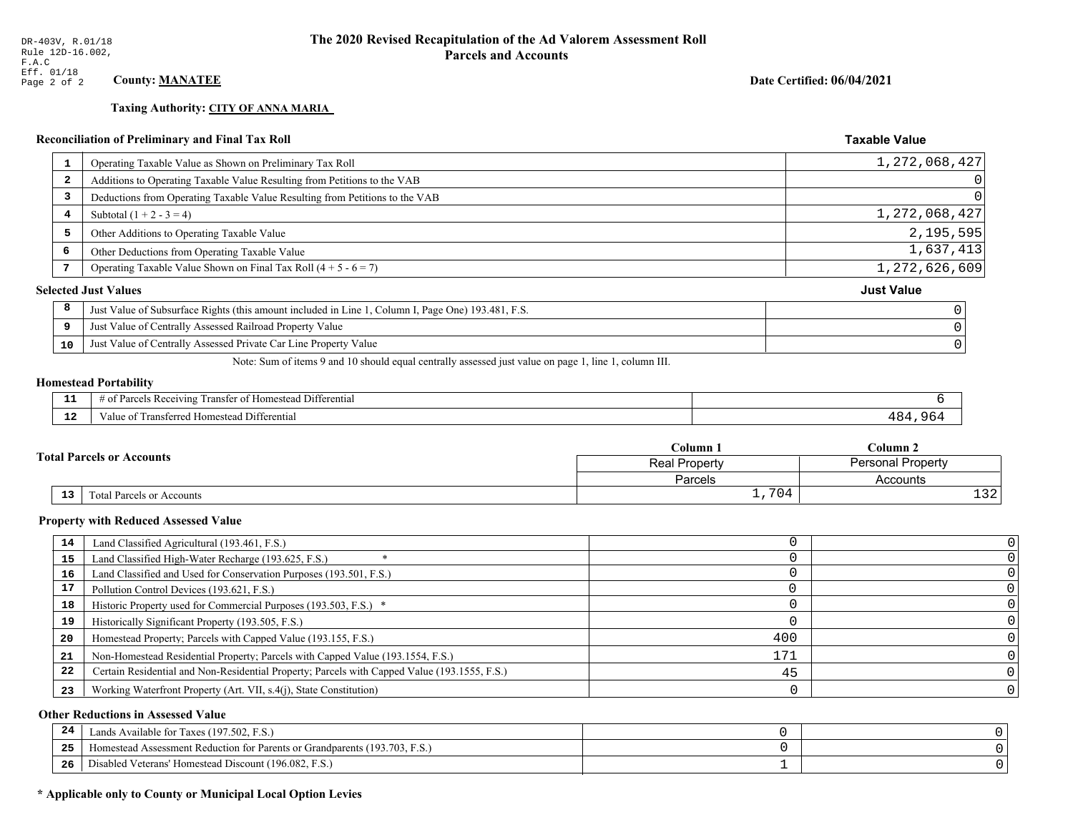**Taxing Authority: CITY OF ANNA MARIA** 

## Reconciliation of Preliminary and Final Tax Roll

| Operating Taxable Value as Shown on Preliminary Tax Roll<br><b>L</b>                                    | 1, 272, 068, 427  |
|---------------------------------------------------------------------------------------------------------|-------------------|
| Additions to Operating Taxable Value Resulting from Petitions to the VAB<br>2                           |                   |
| Deductions from Operating Taxable Value Resulting from Petitions to the VAB<br>3                        |                   |
| Subtotal $(1 + 2 - 3 = 4)$<br>4                                                                         | 1,272,068,427     |
| 5<br>Other Additions to Operating Taxable Value                                                         | 2,195,595         |
| 6<br>Other Deductions from Operating Taxable Value                                                      | 1,637,413         |
| Operating Taxable Value Shown on Final Tax Roll $(4 + 5 - 6 = 7)$                                       | 1,272,626,609     |
| <b>Selected Just Values</b>                                                                             | <b>Just Value</b> |
| 8<br>Just Value of Subsurface Rights (this amount included in Line 1, Column I, Page One) 193.481, F.S. |                   |
| Just Value of Centrally Assessed Railroad Property Value<br>9                                           |                   |
| Just Value of Centrally Assessed Private Car Line Property Value<br>10                                  |                   |
|                                                                                                         |                   |

Note: Sum of items 9 and 10 should equal centrally assessed just value on page 1, line 1, column III.

#### **Homestead Portability**

| --                   | $ -$<br>. Differential<br>$v_{\text{arce}}$<br>ranster of<br>enving<br>: Homestead<br>OТ<br>, , , , , , |                             |
|----------------------|---------------------------------------------------------------------------------------------------------|-----------------------------|
| $\sim$ $\sim$<br>. . | Transferred Homestead Differential<br>∕alu                                                              | $\cdot$ 1 $\sim$<br>$\cdot$ |

|                                  |    |                           | Column 1             | $C$ olumn 2<br><b>Personal Property</b> |  |
|----------------------------------|----|---------------------------|----------------------|-----------------------------------------|--|
| <b>Total Parcels or Accounts</b> |    |                           | <b>Real Property</b> |                                         |  |
|                                  |    |                           | Parcels              | Accounts                                |  |
|                                  | 13 | Fotal Parcels or Accounts | 70<br>ィリュー<br>— ⊥⁄   | $\sim$<br>ᆂᇰᇫ                           |  |

#### **Property with Reduced Assessed Value**

| 14 | Land Classified Agricultural (193.461, F.S.)                                                 |     |  |
|----|----------------------------------------------------------------------------------------------|-----|--|
| 15 | Land Classified High-Water Recharge (193.625, F.S.)                                          |     |  |
| 16 | Land Classified and Used for Conservation Purposes (193.501, F.S.)                           |     |  |
| 17 | Pollution Control Devices (193.621, F.S.)                                                    |     |  |
| 18 | Historic Property used for Commercial Purposes (193.503, F.S.) *                             |     |  |
| 19 | Historically Significant Property (193.505, F.S.)                                            |     |  |
| 20 | Homestead Property; Parcels with Capped Value (193.155, F.S.)                                | 400 |  |
| 21 | Non-Homestead Residential Property; Parcels with Capped Value (193.1554, F.S.)               | 171 |  |
| 22 | Certain Residential and Non-Residential Property; Parcels with Capped Value (193.1555, F.S.) | 45  |  |
| 23 | Working Waterfront Property (Art. VII, s.4(j), State Constitution)                           |     |  |

## **Other Reductions in Assessed Value**

| -44 | Available for Taxes (197.502, F.S.)                                            |  |
|-----|--------------------------------------------------------------------------------|--|
| 25  | (193.703, F.S.<br>Aomestead Assessment Reduction for Parents or Grandparents ( |  |
| 26  | Disabled Veterans' Homestead Discount (196.082, F.S.)                          |  |

## \* Applicable only to County or Municipal Local Option Levies

Date Certified: 06/04/2021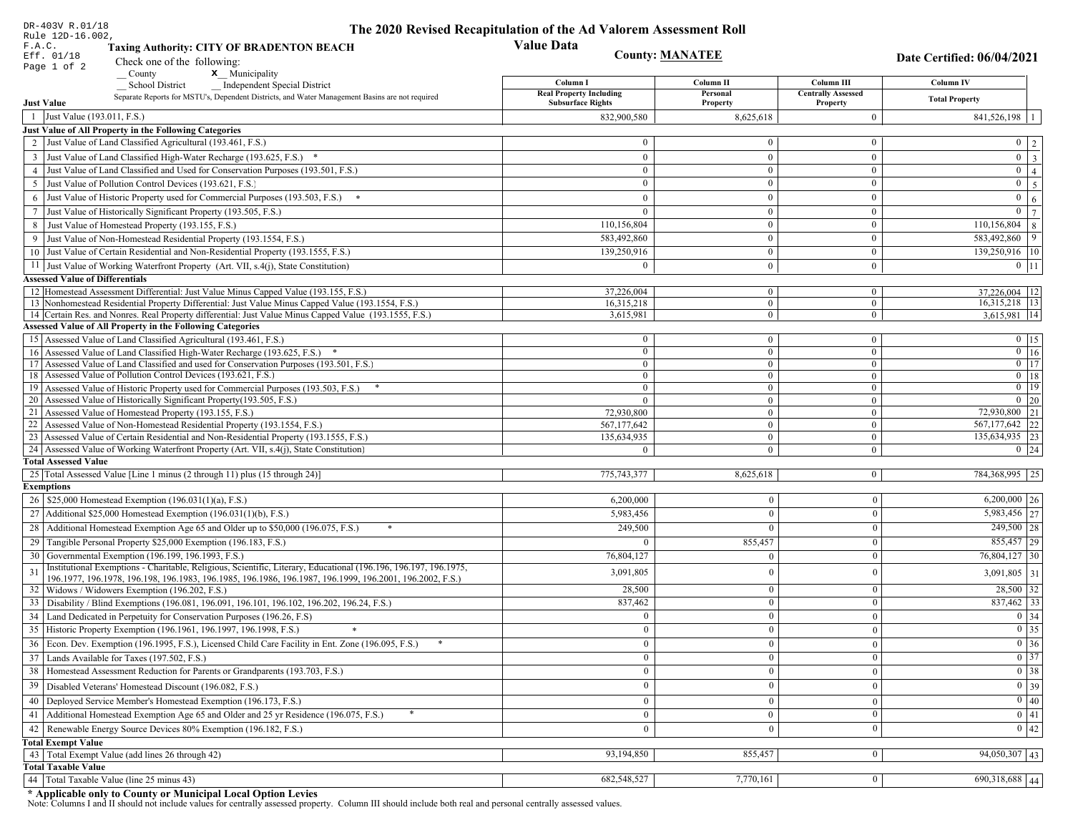| DR-403V R.01/18                        |                                                                                                                                                                                                             | The 2020 Revised Recapitulation of the Ad Valorem Assessment Roll |                              |                                  |                                  |
|----------------------------------------|-------------------------------------------------------------------------------------------------------------------------------------------------------------------------------------------------------------|-------------------------------------------------------------------|------------------------------|----------------------------------|----------------------------------|
| Rule 12D-16.002,<br>F.A.C.             | <b>Taxing Authority: CITY OF BRADENTON BEACH</b>                                                                                                                                                            | <b>Value Data</b>                                                 |                              |                                  |                                  |
| Eff. 01/18                             | Check one of the following:                                                                                                                                                                                 |                                                                   | <b>County: MANATEE</b>       |                                  | Date Certified: 06/04/2021       |
| Page 1 of 2                            | <b>x</b> Municipality<br>County                                                                                                                                                                             |                                                                   |                              |                                  |                                  |
|                                        | <b>School District</b><br><b>Independent Special District</b>                                                                                                                                               | Column I                                                          | Column II                    | Column III                       | Column IV                        |
|                                        | Separate Reports for MSTU's, Dependent Districts, and Water Management Basins are not required                                                                                                              | <b>Real Property Including</b>                                    | Personal                     | <b>Centrally Assessed</b>        | <b>Total Property</b>            |
| <b>Just Value</b>                      |                                                                                                                                                                                                             | <b>Subsurface Rights</b>                                          | Property                     | Property                         |                                  |
| 1 Just Value (193.011, F.S.)           |                                                                                                                                                                                                             | 832,900,580                                                       | 8,625,618                    | $\Omega$                         | 841,526,198<br>$\overline{1}$    |
|                                        | Just Value of All Property in the Following Categories<br>Just Value of Land Classified Agricultural (193.461, F.S.)                                                                                        | $\Omega$                                                          | $\boldsymbol{0}$             | $\overline{0}$                   |                                  |
|                                        |                                                                                                                                                                                                             |                                                                   |                              |                                  | $0 \mid 2$                       |
|                                        | 3 Just Value of Land Classified High-Water Recharge (193.625, F.S.) *                                                                                                                                       | $\mathbf{0}$                                                      | $\overline{0}$               | $\overline{0}$                   | $0 \overline{3}$<br>$\mathbf{0}$ |
| $\overline{4}$                         | Just Value of Land Classified and Used for Conservation Purposes (193.501, F.S.)<br>Just Value of Pollution Control Devices (193.621, F.S.)                                                                 | $\mathbf{0}$<br>$\theta$                                          | $\mathbf{0}$<br>$\mathbf{0}$ | $\mathbf{0}$<br>$\mathbf{0}$     | $\vert 4 \vert$<br>$\mathbf{0}$  |
| 5                                      |                                                                                                                                                                                                             |                                                                   |                              |                                  | $\overline{5}$                   |
| 6                                      | Just Value of Historic Property used for Commercial Purposes (193.503, F.S.)                                                                                                                                | $\mathbf{0}$                                                      | $\mathbf{0}$                 | $\mathbf{0}$                     | $\overline{0}$<br>6              |
|                                        | Just Value of Historically Significant Property (193.505, F.S.)                                                                                                                                             | $\mathbf{0}$                                                      | $\overline{0}$<br>$\theta$   | $\mathbf{0}$<br>$\mathbf{0}$     | $\overline{0}$<br>7              |
| 8                                      | Just Value of Homestead Property (193.155, F.S.)                                                                                                                                                            | 110,156,804                                                       |                              |                                  | $\overline{110,156,804}$ 8       |
| 9                                      | Just Value of Non-Homestead Residential Property (193.1554, F.S.)                                                                                                                                           | 583,492,860                                                       | $\overline{0}$               | $\mathbf{0}$                     | 583,492,860 9                    |
| 10                                     | Just Value of Certain Residential and Non-Residential Property (193.1555, F.S.)                                                                                                                             | 139,250,916                                                       | $\overline{0}$               | $\overline{0}$                   | 139,250,916   10                 |
|                                        | 11 Just Value of Working Waterfront Property (Art. VII, s.4(j), State Constitution)                                                                                                                         | $\Omega$                                                          | $\overline{0}$               | $\overline{0}$                   | $0$   11                         |
| <b>Assessed Value of Differentials</b> |                                                                                                                                                                                                             |                                                                   |                              |                                  |                                  |
|                                        | 12 Homestead Assessment Differential: Just Value Minus Capped Value (193.155, F.S.)                                                                                                                         | 37,226,004                                                        | $\bf{0}$                     | $\mathbf{0}$                     | $37,226,004$ 12                  |
|                                        | 13 Nonhomestead Residential Property Differential: Just Value Minus Capped Value (193.1554, F.S.)<br>14 Certain Res. and Nonres. Real Property differential: Just Value Minus Capped Value (193.1555, F.S.) | 16,315,218<br>3,615,981                                           | $\mathbf{0}$<br>$\mathbf{0}$ | $\overline{0}$<br>$\overline{0}$ | 16,315,218   13<br>3,615,981 14  |
|                                        | <b>Assessed Value of All Property in the Following Categories</b>                                                                                                                                           |                                                                   |                              |                                  |                                  |
|                                        | 15 Assessed Value of Land Classified Agricultural (193.461, F.S.)                                                                                                                                           | $\mathbf{0}$                                                      | $\mathbf{0}$                 | $\mathbf{0}$                     | $0 \mid 15$                      |
|                                        | 16 Assessed Value of Land Classified High-Water Recharge (193.625, F.S.)                                                                                                                                    | $\mathbf{0}$                                                      | $\mathbf{0}$                 | $\overline{0}$                   | $\boxed{0}$ $\boxed{16}$         |
| 17                                     | Assessed Value of Land Classified and used for Conservation Purposes (193.501, F.S.)                                                                                                                        | $\mathbf{0}$                                                      | $\mathbf{0}$                 | $\mathbf{0}$                     | $\overline{0}$ $\overline{17}$   |
|                                        | 18 Assessed Value of Pollution Control Devices (193.621, F.S.)                                                                                                                                              | $\mathbf{0}$                                                      | $\mathbf{0}$                 | $\overline{0}$                   | $0$   18                         |
| 19                                     | Assessed Value of Historic Property used for Commercial Purposes (193.503, F.S.)                                                                                                                            | $\Omega$                                                          | $\mathbf{0}$                 | $\mathbf{0}$                     | $0$   19                         |
|                                        | 20 Assessed Value of Historically Significant Property (193.505, F.S.)                                                                                                                                      | $\Omega$                                                          | $\mathbf{0}$                 | $\mathbf{0}$                     | $0 \mid 20$                      |
|                                        | 21 Assessed Value of Homestead Property (193.155, F.S.)                                                                                                                                                     | 72,930,800                                                        | $\mathbf{0}$                 | $\boldsymbol{0}$                 | 72,930,800 21                    |
| 22                                     | Assessed Value of Non-Homestead Residential Property (193.1554, F.S.)                                                                                                                                       | 567,177,642                                                       | $\mathbf{0}$                 | $\mathbf{0}$                     | 567, 177, 642 22                 |
|                                        | 23 Assessed Value of Certain Residential and Non-Residential Property (193.1555, F.S.)                                                                                                                      | 135,634,935                                                       | $\mathbf{0}$                 | $\overline{0}$                   | 135,634,935 23                   |
|                                        | 24 Assessed Value of Working Waterfront Property (Art. VII, s.4(j), State Constitution                                                                                                                      | $\Omega$                                                          | $\mathbf{0}$                 | $\overline{0}$                   | $0 \mid 24$                      |
| <b>Total Assessed Value</b>            |                                                                                                                                                                                                             |                                                                   |                              |                                  |                                  |
|                                        | 25 Total Assessed Value [Line 1 minus (2 through 11) plus (15 through 24)]                                                                                                                                  | 775,743,377                                                       | 8,625,618                    | $\mathbf{0}$                     | 784, 368, 995   25               |
| <b>Exemptions</b>                      |                                                                                                                                                                                                             |                                                                   |                              |                                  |                                  |
|                                        | 26   \$25,000 Homestead Exemption (196.031(1)(a), F.S.)                                                                                                                                                     | 6,200,000                                                         | $\Omega$                     | $\mathbf{0}$                     | $6,200,000$ 26                   |
|                                        | 27   Additional \$25,000 Homestead Exemption (196.031(1)(b), F.S.)                                                                                                                                          | 5,983,456                                                         | $\Omega$                     | $\mathbf{0}$                     | 5,983,456 27                     |
| 28                                     | Additional Homestead Exemption Age 65 and Older up to \$50,000 (196.075, F.S.)                                                                                                                              | 249,500                                                           |                              | $\mathbf{0}$                     | $249,500$ 28                     |
|                                        | 29 Tangible Personal Property \$25,000 Exemption (196.183, F.S.)                                                                                                                                            |                                                                   | 855,457                      | $\bf{0}$                         | $855,457$ 29                     |
|                                        | 30 Governmental Exemption (196.199, 196.1993, F.S.)                                                                                                                                                         | 76,804,127                                                        | $\Omega$                     | $\mathbf{0}$                     | $76,804,127$ 30                  |
| 31                                     | Institutional Exemptions - Charitable, Religious, Scientific, Literary, Educational (196.196, 196.197, 196.1975,                                                                                            | 3,091,805                                                         | $\theta$                     | $\mathbf{0}$                     | $3,091,805$ 31                   |
|                                        | 196.1977, 196.1978, 196.198, 196.1983, 196.1985, 196.1986, 196.1987, 196.1999, 196.2001, 196.2002, F.S.)                                                                                                    |                                                                   | $\theta$                     | $\mathbf{0}$                     |                                  |
|                                        | 32   Widows / Widowers Exemption (196.202, F.S.)                                                                                                                                                            | 28,500                                                            |                              |                                  | $\overline{28,500}$ 32           |
|                                        | 33 Disability / Blind Exemptions (196.081, 196.091, 196.101, 196.102, 196.202, 196.24, F.S.)                                                                                                                | 837,462                                                           |                              | $\mathbf{0}$                     | $837,462$ 33                     |
|                                        | 34   Land Dedicated in Perpetuity for Conservation Purposes (196.26, F.S)                                                                                                                                   | $\Omega$                                                          | $\overline{0}$               | $\mathbf{0}$                     | $0 \mid 34$                      |
|                                        | 35 Historic Property Exemption (196.1961, 196.1997, 196.1998, F.S.)                                                                                                                                         |                                                                   | $\boldsymbol{0}$             | $\bf{0}$                         | $\boxed{0}$ 35                   |
|                                        | 36   Econ. Dev. Exemption (196.1995, F.S.), Licensed Child Care Facility in Ent. Zone (196.095, F.S.)                                                                                                       | $\mathbf{0}$                                                      | $\Omega$                     | $\Omega$                         | $\boxed{0}$ 36                   |
|                                        | 37 Lands Available for Taxes (197.502, F.S.)                                                                                                                                                                | $\mathbf{0}$                                                      | $\mathbf{0}$                 | $\mathbf{0}$                     | 0 37                             |
|                                        | 38   Homestead Assessment Reduction for Parents or Grandparents (193.703, F.S.)                                                                                                                             | $\Omega$                                                          |                              | $\mathbf{0}$                     | $\boxed{0}$ 38                   |
|                                        | 39   Disabled Veterans' Homestead Discount (196.082, F.S.)                                                                                                                                                  | $\mathbf{0}$                                                      | $\Omega$                     | $\mathbf{0}$                     | $\boxed{0}$ 39                   |
|                                        | 40   Deployed Service Member's Homestead Exemption (196.173, F.S.)                                                                                                                                          | $\bf{0}$                                                          | $\theta$                     | $\overline{0}$                   | $\boxed{0}$ 40                   |
| 41                                     | Additional Homestead Exemption Age 65 and Older and 25 yr Residence (196.075, F.S.)                                                                                                                         | $\mathbf{0}$                                                      | $\mathbf{0}$                 | $\mathbf{0}$                     | $\boxed{0}$ 41                   |
|                                        | 42 Renewable Energy Source Devices 80% Exemption (196.182, F.S.)                                                                                                                                            | $\Omega$                                                          |                              | $\mathbf{0}$                     | 0 42                             |
| <b>Total Exempt Value</b>              |                                                                                                                                                                                                             |                                                                   |                              |                                  |                                  |
|                                        | 43 Total Exempt Value (add lines 26 through 42)                                                                                                                                                             | 93,194,850                                                        | 855,457                      | $\overline{0}$                   | $94,050,307$ 43                  |
| <b>Total Taxable Value</b>             |                                                                                                                                                                                                             |                                                                   |                              |                                  |                                  |
|                                        | 44   Total Taxable Value (line 25 minus 43)                                                                                                                                                                 | 682,548,527                                                       | 7,770,161                    | $\mathbf{0}$                     | $\frac{690,318,688}{44}$         |

DR-403V R.01/18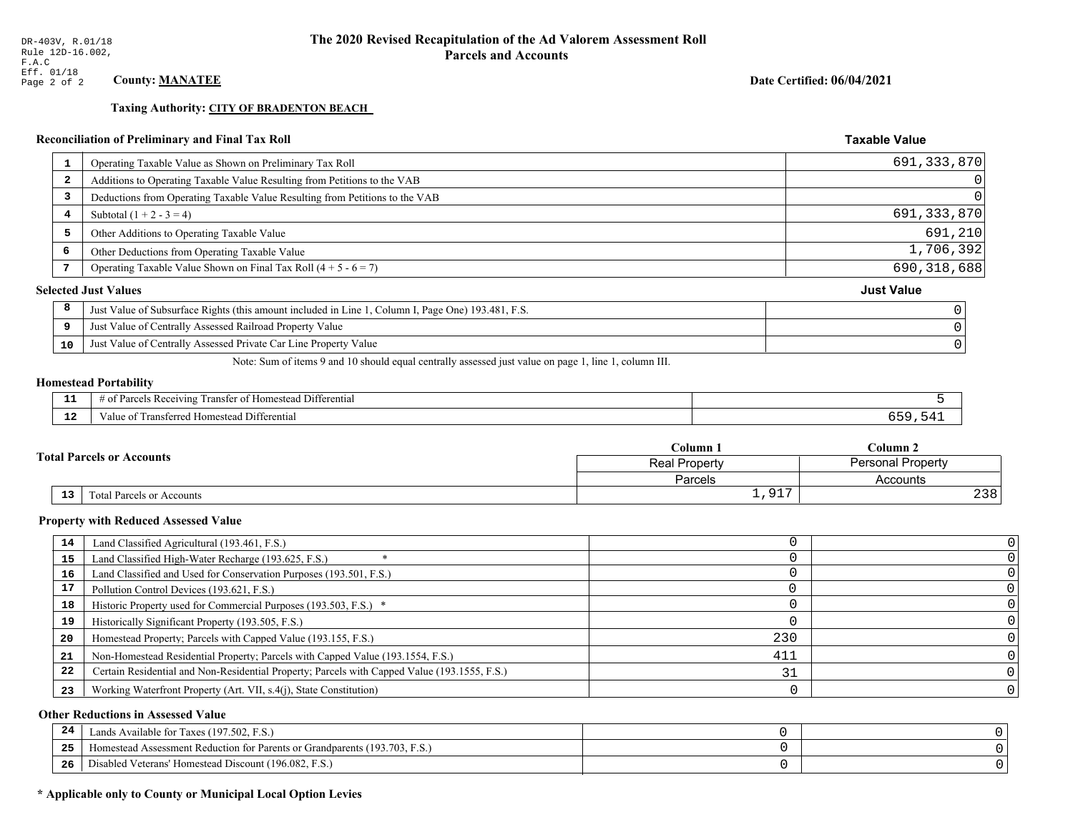**Taxing Authority: CITY OF BRADENTON BEACH** 

## Reconciliation of Preliminary and Final Tax Roll

| Operating Taxable Value as Shown on Preliminary Tax Roll<br>1                                           | 691, 333, 870     |
|---------------------------------------------------------------------------------------------------------|-------------------|
| Additions to Operating Taxable Value Resulting from Petitions to the VAB<br>$\overline{\mathbf{2}}$     | 0                 |
| Deductions from Operating Taxable Value Resulting from Petitions to the VAB<br>3                        | $\Omega$          |
| Subtotal $(1 + 2 - 3 = 4)$<br>4                                                                         | 691, 333, 870     |
| 5<br>Other Additions to Operating Taxable Value                                                         | 691,210           |
| 6<br>Other Deductions from Operating Taxable Value                                                      | 1,706,392         |
| Operating Taxable Value Shown on Final Tax Roll $(4 + 5 - 6 = 7)$                                       | 690, 318, 688     |
| <b>Selected Just Values</b>                                                                             | <b>Just Value</b> |
| 8<br>Just Value of Subsurface Rights (this amount included in Line 1, Column I, Page One) 193.481, F.S. |                   |
| Just Value of Centrally Assessed Railroad Property Value<br>9                                           |                   |
| Just Value of Centrally Assessed Private Car Line Property Value<br>10                                  |                   |
|                                                                                                         |                   |

Note: Sum of items 9 and 10 should equal centrally assessed just value on page 1, line 1, column III.

#### **Homestead Portability**

| - 3 | $\cdots$<br>i Differential<br>ranster<br><i>Pacawing</i><br>Homestead<br>. arcel:<br>-01<br>n |  |
|-----|-----------------------------------------------------------------------------------------------|--|
| -44 | ransterred Homestead<br>i Differential<br>alue                                                |  |

| <b>Total Parcels or Accounts</b> |                           | Column 1           | $C$ olumn $2$            |  |
|----------------------------------|---------------------------|--------------------|--------------------------|--|
|                                  |                           | Real Property      | <b>Personal Property</b> |  |
|                                  |                           | Parcels            | Accounts                 |  |
| 13                               | Total Parcels or Accounts | 917<br><b>エノンエ</b> | 238                      |  |

#### **Property with Reduced Assessed Value**

| 14 | Land Classified Agricultural (193.461, F.S.)                                                 |     |  |
|----|----------------------------------------------------------------------------------------------|-----|--|
| 15 | Land Classified High-Water Recharge (193.625, F.S.)                                          |     |  |
| 16 | Land Classified and Used for Conservation Purposes (193.501, F.S.)                           |     |  |
| 17 | Pollution Control Devices (193.621, F.S.)                                                    |     |  |
| 18 | Historic Property used for Commercial Purposes (193.503, F.S.) *                             |     |  |
| 19 | Historically Significant Property (193.505, F.S.)                                            |     |  |
| 20 | Homestead Property; Parcels with Capped Value (193.155, F.S.)                                | 230 |  |
| 21 | Non-Homestead Residential Property; Parcels with Capped Value (193.1554, F.S.)               | 411 |  |
| 22 | Certain Residential and Non-Residential Property; Parcels with Capped Value (193.1555, F.S.) |     |  |
| 23 | Working Waterfront Property (Art. VII, s.4(j), State Constitution)                           |     |  |

## **Other Reductions in Assessed Value**

| -44 | Available for Taxes (197.502, F.S.)                                          |  |
|-----|------------------------------------------------------------------------------|--|
| 25  | 'omestead Assessment Reduction for Parents or Grandparents $(193.703, F.S.)$ |  |
| 26  | isabled Veterans' Homestead Discount (196.082, F.S.)                         |  |

## \* Applicable only to County or Municipal Local Option Levies

Date Certified: 06/04/2021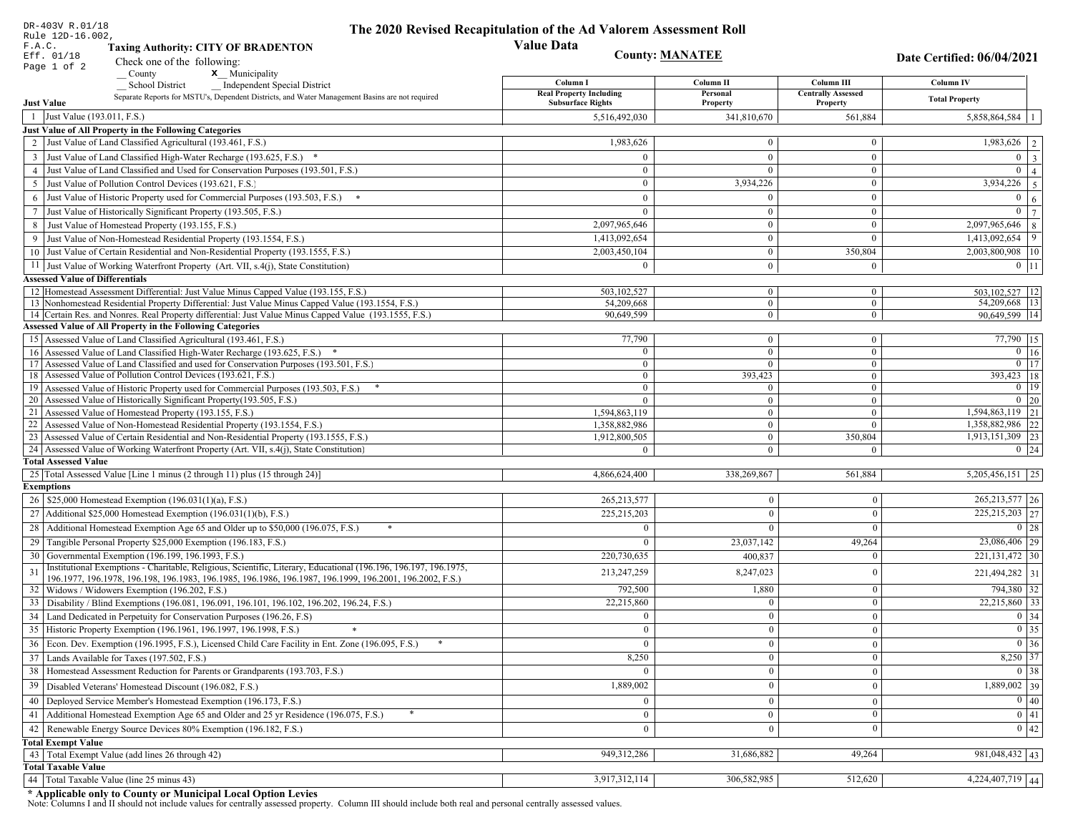| <b>Value Data</b><br>F.A.C.<br><b>Taxing Authority: CITY OF BRADENTON</b><br><b>County: MANATEE</b><br>Eff. 01/18<br>Date Certified: 06/04/2021<br>Check one of the following:<br>Page 1 of 2<br>x Municipality<br>County<br>Column III<br>Column I<br>Column II<br><b>Column IV</b><br><b>School District</b><br><b>Independent Special District</b><br><b>Real Property Including</b><br>Personal<br><b>Centrally Assessed</b><br>Separate Reports for MSTU's, Dependent Districts, and Water Management Basins are not required<br><b>Total Property</b><br><b>Just Value</b><br><b>Subsurface Rights</b><br>Property<br>Property<br>1 Just Value (193.011, F.S.)<br>5,858,864,584   1<br>5,516,492,030<br>341,810,670<br>561,884<br>Just Value of All Property in the Following Categories<br>2 Just Value of Land Classified Agricultural (193.461, F.S.)<br>1,983,626<br>$\bf{0}$<br>$\overline{0}$<br>3 Just Value of Land Classified High-Water Recharge (193.625, F.S.) *<br>$\mathbf{0}$<br>$\Omega$<br>4 Just Value of Land Classified and Used for Conservation Purposes (193.501, F.S.)<br>$\mathbf{0}$<br>$\theta$<br>$\Omega$<br>$3,934,226$ 5<br>3,934,226<br>$\bf{0}$<br>5 Just Value of Pollution Control Devices (193.621, F.S.)<br>$\mathbf{0}$<br>Just Value of Historic Property used for Commercial Purposes (193.503, F.S.) *<br>$\mathbf{0}$<br>$\overline{0}$<br>$\theta$<br>6<br>$\mathbf{0}$<br>$\overline{0}$<br>$7\phantom{.0}$<br>Just Value of Historically Significant Property (193.505, F.S.)<br>$\overline{0}$<br>$\theta$<br>$\mathbf{0}$<br>2,097,965,646<br>$\overline{0}$<br>8<br>8 Just Value of Homestead Property (193.155, F.S.)<br>2,097,965,646<br>$\mathbf{0}$<br>$1,413,092,654$ 9<br>Just Value of Non-Homestead Residential Property (193.1554, F.S.)<br>1,413,092,654<br>$\theta$<br>10 Just Value of Certain Residential and Non-Residential Property (193.1555, F.S.)<br>2,003,450,104<br>$\bf{0}$<br>350,804<br>11 Just Value of Working Waterfront Property (Art. VII, s.4(j), State Constitution)<br>$\bf{0}$<br>$0 \;   \; 11$<br>$\Omega$<br>$\overline{0}$<br><b>Assessed Value of Differentials</b><br>12 Homestead Assessment Differential: Just Value Minus Capped Value (193.155, F.S.)<br>503,102,527<br>503, 102, 527   12<br>$\mathbf{0}$<br>$\bf{0}$<br>13 Nonhomestead Residential Property Differential: Just Value Minus Capped Value (193.1554, F.S.)<br>$\mathbf{0}$<br>54,209,668   13<br>54,209,668<br>$\mathbf{0}$<br>14 Certain Res. and Nonres. Real Property differential: Just Value Minus Capped Value (193.1555, F.S.)<br>$\mathbf{0}$<br>90,649,599 14<br>90,649,599<br>$\overline{0}$<br><b>Assessed Value of All Property in the Following Categories</b><br>15 Assessed Value of Land Classified Agricultural (193.461, F.S.)<br>77,790<br>$\overline{0}$<br>$\overline{0}$<br>16 Assessed Value of Land Classified High-Water Recharge (193.625, F.S.) *<br>$\Omega$<br>$\bf{0}$<br>17 Assessed Value of Land Classified and used for Conservation Purposes (193.501, F.S.)<br>$\bf{0}$<br>$\Omega$<br>$\Omega$<br>18 Assessed Value of Pollution Control Devices (193.621, F.S.)<br>393,423<br>$\mathbf{0}$<br>$\mathbf{0}$<br>19 Assessed Value of Historic Property used for Commercial Purposes (193.503, F.S.)<br>$\mathbf{0}$<br>$\mathbf{0}$<br>$\bf{0}$<br>20 Assessed Value of Historically Significant Property (193.505, F.S.)<br>$\overline{0}$<br>$\Omega$<br>$\Omega$<br>21 Assessed Value of Homestead Property (193.155, F.S.)<br>1,594,863,119<br>$\bf{0}$<br>$\mathbf{0}$<br>22 Assessed Value of Non-Homestead Residential Property (193.1554, F.S.)<br>1,358,882,986<br>$\overline{0}$<br>$\overline{0}$<br>23 Assessed Value of Certain Residential and Non-Residential Property (193.1555, F.S.)<br>1,912,800,505<br>$\mathbf{0}$<br>350,804<br>24 Assessed Value of Working Waterfront Property (Art. VII, s.4(j), State Constitution)<br>$\theta$<br>$\Omega$<br><b>Total Assessed Value</b><br>25 Total Assessed Value [Line 1 minus (2 through 11) plus (15 through 24)]<br>4,866,624,400<br>338,269,867<br>561,884<br><b>Exemptions</b><br>26   \$25,000 Homestead Exemption (196.031(1)(a), F.S.)<br>265,213,577<br>$\mathbf{0}$<br>$\mathbf{0}$<br>27   Additional \$25,000 Homestead Exemption (196.031(1)(b), F.S.)<br>225, 215, 203<br>$\overline{0}$<br>$\overline{0}$<br>28 Additional Homestead Exemption Age 65 and Older up to \$50,000 (196.075, F.S.)<br>$\Omega$<br>$\Omega$<br>$\overline{0}$<br>29 Tangible Personal Property \$25,000 Exemption (196.183, F.S.)<br>23,037,142<br>49,264<br>$\Omega$<br>30 Governmental Exemption (196.199, 196.1993, F.S.)<br>220,730,635<br>400,837<br>$\theta$<br>Institutional Exemptions - Charitable, Religious, Scientific, Literary, Educational (196.196, 196.197, 196.1975,<br>31<br>8,247,023<br>$\mathbf{0}$<br>213,247,259<br>196.1977, 196.1978, 196.198, 196.1983, 196.1985, 196.1986, 196.1987, 196.1999, 196.2001, 196.2002, F.S.)<br>792,500<br>1,880<br>32   Widows / Widowers Exemption (196.202, F.S.)<br>$\mathbf{0}$<br>22,215,860<br>33 Disability / Blind Exemptions (196.081, 196.091, 196.101, 196.102, 196.202, 196.24, F.S.)<br>$\overline{0}$<br>$\boldsymbol{0}$<br>34 Land Dedicated in Perpetuity for Conservation Purposes (196.26, F.S)<br>$\overline{0}$<br>$\Omega$<br>$\overline{0}$<br>35 Historic Property Exemption (196.1961, 196.1997, 196.1998, F.S.)<br>0<br>$\cup$<br>$\mathbf{0}$<br>36 Econ. Dev. Exemption (196.1995, F.S.), Licensed Child Care Facility in Ent. Zone (196.095, F.S.)<br>$\overline{0}$<br>$\Omega$<br>$\overline{0}$<br>37 Lands Available for Taxes (197.502, F.S.)<br>8,250<br>$\overline{0}$<br>$\mathbf{0}$<br>38   Homestead Assessment Reduction for Parents or Grandparents (193.703, F.S.)<br>$\overline{0}$<br>$\overline{0}$<br>$\boldsymbol{0}$<br>$\bf{0}$<br>Disabled Veterans' Homestead Discount (196.082, F.S.)<br>1,889,002<br>39<br>$\boldsymbol{0}$<br>Deployed Service Member's Homestead Exemption (196.173, F.S.)<br>$\overline{0}$<br>40<br>$\overline{0}$<br>$\boldsymbol{0}$ | DR-403V R.01/18<br>Rule 12D-16.002,                                                    | The 2020 Revised Recapitulation of the Ad Valorem Assessment Roll |              |                   |
|------------------------------------------------------------------------------------------------------------------------------------------------------------------------------------------------------------------------------------------------------------------------------------------------------------------------------------------------------------------------------------------------------------------------------------------------------------------------------------------------------------------------------------------------------------------------------------------------------------------------------------------------------------------------------------------------------------------------------------------------------------------------------------------------------------------------------------------------------------------------------------------------------------------------------------------------------------------------------------------------------------------------------------------------------------------------------------------------------------------------------------------------------------------------------------------------------------------------------------------------------------------------------------------------------------------------------------------------------------------------------------------------------------------------------------------------------------------------------------------------------------------------------------------------------------------------------------------------------------------------------------------------------------------------------------------------------------------------------------------------------------------------------------------------------------------------------------------------------------------------------------------------------------------------------------------------------------------------------------------------------------------------------------------------------------------------------------------------------------------------------------------------------------------------------------------------------------------------------------------------------------------------------------------------------------------------------------------------------------------------------------------------------------------------------------------------------------------------------------------------------------------------------------------------------------------------------------------------------------------------------------------------------------------------------------------------------------------------------------------------------------------------------------------------------------------------------------------------------------------------------------------------------------------------------------------------------------------------------------------------------------------------------------------------------------------------------------------------------------------------------------------------------------------------------------------------------------------------------------------------------------------------------------------------------------------------------------------------------------------------------------------------------------------------------------------------------------------------------------------------------------------------------------------------------------------------------------------------------------------------------------------------------------------------------------------------------------------------------------------------------------------------------------------------------------------------------------------------------------------------------------------------------------------------------------------------------------------------------------------------------------------------------------------------------------------------------------------------------------------------------------------------------------------------------------------------------------------------------------------------------------------------------------------------------------------------------------------------------------------------------------------------------------------------------------------------------------------------------------------------------------------------------------------------------------------------------------------------------------------------------------------------------------------------------------------------------------------------------------------------------------------------------------------------------------------------------------------------------------------------------------------------------------------------------------------------------------------------------------------------------------------------------------------------------------------------------------------------------------------------------------------------------------------------------------------------------------------------------------------------------------------------------------------------------------------------------------------------------------------------------------------------------------------------------------------------------------------------------------------------------------------------------------------------------------------------------------------------------------------------------------------------------------------------------------------------------------------------------------------------------------------------------------------------------------------------------------------------------------------------------------------------------------------------------------------------------------------------------------------------------------------------------------------------------------------------------------------------------------------------------------------|----------------------------------------------------------------------------------------|-------------------------------------------------------------------|--------------|-------------------|
| $\overline{1,983,626}$   2  <br>$0 \mid 3 \mid$<br>$\overline{0}$   4  <br>6 <sup>1</sup><br> 7 <br>2,003,800,908   10<br>$77,790$   15<br>$0 \mid 16$<br>$0$   17<br>393,423 18<br>$0$   19<br>$0 \mid 20$<br>$\overline{1,594,863,119}$ 21<br>1,358,882,986 22<br>1,913,151,309 23<br>$0 \quad 24$<br>$5,205,456,151$   25<br>$265,213,577$ 26<br>225,215,203 27<br>$0 \mid 28$<br>23,086,406 29<br>221, 131, 472 30<br>221,494,282 31<br>794,380 32<br>22,215,860 33<br>0 34 <br>$\boxed{0}$ 35<br>$\boxed{0}$ 36<br>8,250 37<br>$0 \mid 38$<br>$1,889,002$ 39<br>$\boxed{0}$ 40                                                                                                                                                                                                                                                                                                                                                                                                                                                                                                                                                                                                                                                                                                                                                                                                                                                                                                                                                                                                                                                                                                                                                                                                                                                                                                                                                                                                                                                                                                                                                                                                                                                                                                                                                                                                                                                                                                                                                                                                                                                                                                                                                                                                                                                                                                                                                                                                                                                                                                                                                                                                                                                                                                                                                                                                                                                                                                                                                                                                                                                                                                                                                                                                                                                                                                                                                                                                                                                                                                                                                                                                                                                                                                                                                                                                                                                                                                                                                                                                                                                                                                                                                                                                                                                                                                                                                                                                                                                                                                                                                                                                                                                                                                                                                                                                                                                                                                                                                                                                                                                                                                                                                                                                                                                                                                                                                                                                                                                                                                                                                      |                                                                                        |                                                                   |              |                   |
|                                                                                                                                                                                                                                                                                                                                                                                                                                                                                                                                                                                                                                                                                                                                                                                                                                                                                                                                                                                                                                                                                                                                                                                                                                                                                                                                                                                                                                                                                                                                                                                                                                                                                                                                                                                                                                                                                                                                                                                                                                                                                                                                                                                                                                                                                                                                                                                                                                                                                                                                                                                                                                                                                                                                                                                                                                                                                                                                                                                                                                                                                                                                                                                                                                                                                                                                                                                                                                                                                                                                                                                                                                                                                                                                                                                                                                                                                                                                                                                                                                                                                                                                                                                                                                                                                                                                                                                                                                                                                                                                                                                                                                                                                                                                                                                                                                                                                                                                                                                                                                                                                                                                                                                                                                                                                                                                                                                                                                                                                                                                                                                                                                                                                                                                                                                                                                                                                                                                                                                                                                                                                                                                          |                                                                                        |                                                                   |              |                   |
|                                                                                                                                                                                                                                                                                                                                                                                                                                                                                                                                                                                                                                                                                                                                                                                                                                                                                                                                                                                                                                                                                                                                                                                                                                                                                                                                                                                                                                                                                                                                                                                                                                                                                                                                                                                                                                                                                                                                                                                                                                                                                                                                                                                                                                                                                                                                                                                                                                                                                                                                                                                                                                                                                                                                                                                                                                                                                                                                                                                                                                                                                                                                                                                                                                                                                                                                                                                                                                                                                                                                                                                                                                                                                                                                                                                                                                                                                                                                                                                                                                                                                                                                                                                                                                                                                                                                                                                                                                                                                                                                                                                                                                                                                                                                                                                                                                                                                                                                                                                                                                                                                                                                                                                                                                                                                                                                                                                                                                                                                                                                                                                                                                                                                                                                                                                                                                                                                                                                                                                                                                                                                                                                          |                                                                                        |                                                                   |              |                   |
|                                                                                                                                                                                                                                                                                                                                                                                                                                                                                                                                                                                                                                                                                                                                                                                                                                                                                                                                                                                                                                                                                                                                                                                                                                                                                                                                                                                                                                                                                                                                                                                                                                                                                                                                                                                                                                                                                                                                                                                                                                                                                                                                                                                                                                                                                                                                                                                                                                                                                                                                                                                                                                                                                                                                                                                                                                                                                                                                                                                                                                                                                                                                                                                                                                                                                                                                                                                                                                                                                                                                                                                                                                                                                                                                                                                                                                                                                                                                                                                                                                                                                                                                                                                                                                                                                                                                                                                                                                                                                                                                                                                                                                                                                                                                                                                                                                                                                                                                                                                                                                                                                                                                                                                                                                                                                                                                                                                                                                                                                                                                                                                                                                                                                                                                                                                                                                                                                                                                                                                                                                                                                                                                          |                                                                                        |                                                                   |              |                   |
|                                                                                                                                                                                                                                                                                                                                                                                                                                                                                                                                                                                                                                                                                                                                                                                                                                                                                                                                                                                                                                                                                                                                                                                                                                                                                                                                                                                                                                                                                                                                                                                                                                                                                                                                                                                                                                                                                                                                                                                                                                                                                                                                                                                                                                                                                                                                                                                                                                                                                                                                                                                                                                                                                                                                                                                                                                                                                                                                                                                                                                                                                                                                                                                                                                                                                                                                                                                                                                                                                                                                                                                                                                                                                                                                                                                                                                                                                                                                                                                                                                                                                                                                                                                                                                                                                                                                                                                                                                                                                                                                                                                                                                                                                                                                                                                                                                                                                                                                                                                                                                                                                                                                                                                                                                                                                                                                                                                                                                                                                                                                                                                                                                                                                                                                                                                                                                                                                                                                                                                                                                                                                                                                          |                                                                                        |                                                                   |              |                   |
|                                                                                                                                                                                                                                                                                                                                                                                                                                                                                                                                                                                                                                                                                                                                                                                                                                                                                                                                                                                                                                                                                                                                                                                                                                                                                                                                                                                                                                                                                                                                                                                                                                                                                                                                                                                                                                                                                                                                                                                                                                                                                                                                                                                                                                                                                                                                                                                                                                                                                                                                                                                                                                                                                                                                                                                                                                                                                                                                                                                                                                                                                                                                                                                                                                                                                                                                                                                                                                                                                                                                                                                                                                                                                                                                                                                                                                                                                                                                                                                                                                                                                                                                                                                                                                                                                                                                                                                                                                                                                                                                                                                                                                                                                                                                                                                                                                                                                                                                                                                                                                                                                                                                                                                                                                                                                                                                                                                                                                                                                                                                                                                                                                                                                                                                                                                                                                                                                                                                                                                                                                                                                                                                          |                                                                                        |                                                                   |              |                   |
|                                                                                                                                                                                                                                                                                                                                                                                                                                                                                                                                                                                                                                                                                                                                                                                                                                                                                                                                                                                                                                                                                                                                                                                                                                                                                                                                                                                                                                                                                                                                                                                                                                                                                                                                                                                                                                                                                                                                                                                                                                                                                                                                                                                                                                                                                                                                                                                                                                                                                                                                                                                                                                                                                                                                                                                                                                                                                                                                                                                                                                                                                                                                                                                                                                                                                                                                                                                                                                                                                                                                                                                                                                                                                                                                                                                                                                                                                                                                                                                                                                                                                                                                                                                                                                                                                                                                                                                                                                                                                                                                                                                                                                                                                                                                                                                                                                                                                                                                                                                                                                                                                                                                                                                                                                                                                                                                                                                                                                                                                                                                                                                                                                                                                                                                                                                                                                                                                                                                                                                                                                                                                                                                          |                                                                                        |                                                                   |              |                   |
|                                                                                                                                                                                                                                                                                                                                                                                                                                                                                                                                                                                                                                                                                                                                                                                                                                                                                                                                                                                                                                                                                                                                                                                                                                                                                                                                                                                                                                                                                                                                                                                                                                                                                                                                                                                                                                                                                                                                                                                                                                                                                                                                                                                                                                                                                                                                                                                                                                                                                                                                                                                                                                                                                                                                                                                                                                                                                                                                                                                                                                                                                                                                                                                                                                                                                                                                                                                                                                                                                                                                                                                                                                                                                                                                                                                                                                                                                                                                                                                                                                                                                                                                                                                                                                                                                                                                                                                                                                                                                                                                                                                                                                                                                                                                                                                                                                                                                                                                                                                                                                                                                                                                                                                                                                                                                                                                                                                                                                                                                                                                                                                                                                                                                                                                                                                                                                                                                                                                                                                                                                                                                                                                          |                                                                                        |                                                                   |              |                   |
|                                                                                                                                                                                                                                                                                                                                                                                                                                                                                                                                                                                                                                                                                                                                                                                                                                                                                                                                                                                                                                                                                                                                                                                                                                                                                                                                                                                                                                                                                                                                                                                                                                                                                                                                                                                                                                                                                                                                                                                                                                                                                                                                                                                                                                                                                                                                                                                                                                                                                                                                                                                                                                                                                                                                                                                                                                                                                                                                                                                                                                                                                                                                                                                                                                                                                                                                                                                                                                                                                                                                                                                                                                                                                                                                                                                                                                                                                                                                                                                                                                                                                                                                                                                                                                                                                                                                                                                                                                                                                                                                                                                                                                                                                                                                                                                                                                                                                                                                                                                                                                                                                                                                                                                                                                                                                                                                                                                                                                                                                                                                                                                                                                                                                                                                                                                                                                                                                                                                                                                                                                                                                                                                          |                                                                                        |                                                                   |              |                   |
|                                                                                                                                                                                                                                                                                                                                                                                                                                                                                                                                                                                                                                                                                                                                                                                                                                                                                                                                                                                                                                                                                                                                                                                                                                                                                                                                                                                                                                                                                                                                                                                                                                                                                                                                                                                                                                                                                                                                                                                                                                                                                                                                                                                                                                                                                                                                                                                                                                                                                                                                                                                                                                                                                                                                                                                                                                                                                                                                                                                                                                                                                                                                                                                                                                                                                                                                                                                                                                                                                                                                                                                                                                                                                                                                                                                                                                                                                                                                                                                                                                                                                                                                                                                                                                                                                                                                                                                                                                                                                                                                                                                                                                                                                                                                                                                                                                                                                                                                                                                                                                                                                                                                                                                                                                                                                                                                                                                                                                                                                                                                                                                                                                                                                                                                                                                                                                                                                                                                                                                                                                                                                                                                          |                                                                                        |                                                                   |              |                   |
|                                                                                                                                                                                                                                                                                                                                                                                                                                                                                                                                                                                                                                                                                                                                                                                                                                                                                                                                                                                                                                                                                                                                                                                                                                                                                                                                                                                                                                                                                                                                                                                                                                                                                                                                                                                                                                                                                                                                                                                                                                                                                                                                                                                                                                                                                                                                                                                                                                                                                                                                                                                                                                                                                                                                                                                                                                                                                                                                                                                                                                                                                                                                                                                                                                                                                                                                                                                                                                                                                                                                                                                                                                                                                                                                                                                                                                                                                                                                                                                                                                                                                                                                                                                                                                                                                                                                                                                                                                                                                                                                                                                                                                                                                                                                                                                                                                                                                                                                                                                                                                                                                                                                                                                                                                                                                                                                                                                                                                                                                                                                                                                                                                                                                                                                                                                                                                                                                                                                                                                                                                                                                                                                          |                                                                                        |                                                                   |              |                   |
|                                                                                                                                                                                                                                                                                                                                                                                                                                                                                                                                                                                                                                                                                                                                                                                                                                                                                                                                                                                                                                                                                                                                                                                                                                                                                                                                                                                                                                                                                                                                                                                                                                                                                                                                                                                                                                                                                                                                                                                                                                                                                                                                                                                                                                                                                                                                                                                                                                                                                                                                                                                                                                                                                                                                                                                                                                                                                                                                                                                                                                                                                                                                                                                                                                                                                                                                                                                                                                                                                                                                                                                                                                                                                                                                                                                                                                                                                                                                                                                                                                                                                                                                                                                                                                                                                                                                                                                                                                                                                                                                                                                                                                                                                                                                                                                                                                                                                                                                                                                                                                                                                                                                                                                                                                                                                                                                                                                                                                                                                                                                                                                                                                                                                                                                                                                                                                                                                                                                                                                                                                                                                                                                          |                                                                                        |                                                                   |              |                   |
|                                                                                                                                                                                                                                                                                                                                                                                                                                                                                                                                                                                                                                                                                                                                                                                                                                                                                                                                                                                                                                                                                                                                                                                                                                                                                                                                                                                                                                                                                                                                                                                                                                                                                                                                                                                                                                                                                                                                                                                                                                                                                                                                                                                                                                                                                                                                                                                                                                                                                                                                                                                                                                                                                                                                                                                                                                                                                                                                                                                                                                                                                                                                                                                                                                                                                                                                                                                                                                                                                                                                                                                                                                                                                                                                                                                                                                                                                                                                                                                                                                                                                                                                                                                                                                                                                                                                                                                                                                                                                                                                                                                                                                                                                                                                                                                                                                                                                                                                                                                                                                                                                                                                                                                                                                                                                                                                                                                                                                                                                                                                                                                                                                                                                                                                                                                                                                                                                                                                                                                                                                                                                                                                          |                                                                                        |                                                                   |              |                   |
|                                                                                                                                                                                                                                                                                                                                                                                                                                                                                                                                                                                                                                                                                                                                                                                                                                                                                                                                                                                                                                                                                                                                                                                                                                                                                                                                                                                                                                                                                                                                                                                                                                                                                                                                                                                                                                                                                                                                                                                                                                                                                                                                                                                                                                                                                                                                                                                                                                                                                                                                                                                                                                                                                                                                                                                                                                                                                                                                                                                                                                                                                                                                                                                                                                                                                                                                                                                                                                                                                                                                                                                                                                                                                                                                                                                                                                                                                                                                                                                                                                                                                                                                                                                                                                                                                                                                                                                                                                                                                                                                                                                                                                                                                                                                                                                                                                                                                                                                                                                                                                                                                                                                                                                                                                                                                                                                                                                                                                                                                                                                                                                                                                                                                                                                                                                                                                                                                                                                                                                                                                                                                                                                          |                                                                                        |                                                                   |              |                   |
|                                                                                                                                                                                                                                                                                                                                                                                                                                                                                                                                                                                                                                                                                                                                                                                                                                                                                                                                                                                                                                                                                                                                                                                                                                                                                                                                                                                                                                                                                                                                                                                                                                                                                                                                                                                                                                                                                                                                                                                                                                                                                                                                                                                                                                                                                                                                                                                                                                                                                                                                                                                                                                                                                                                                                                                                                                                                                                                                                                                                                                                                                                                                                                                                                                                                                                                                                                                                                                                                                                                                                                                                                                                                                                                                                                                                                                                                                                                                                                                                                                                                                                                                                                                                                                                                                                                                                                                                                                                                                                                                                                                                                                                                                                                                                                                                                                                                                                                                                                                                                                                                                                                                                                                                                                                                                                                                                                                                                                                                                                                                                                                                                                                                                                                                                                                                                                                                                                                                                                                                                                                                                                                                          |                                                                                        |                                                                   |              |                   |
|                                                                                                                                                                                                                                                                                                                                                                                                                                                                                                                                                                                                                                                                                                                                                                                                                                                                                                                                                                                                                                                                                                                                                                                                                                                                                                                                                                                                                                                                                                                                                                                                                                                                                                                                                                                                                                                                                                                                                                                                                                                                                                                                                                                                                                                                                                                                                                                                                                                                                                                                                                                                                                                                                                                                                                                                                                                                                                                                                                                                                                                                                                                                                                                                                                                                                                                                                                                                                                                                                                                                                                                                                                                                                                                                                                                                                                                                                                                                                                                                                                                                                                                                                                                                                                                                                                                                                                                                                                                                                                                                                                                                                                                                                                                                                                                                                                                                                                                                                                                                                                                                                                                                                                                                                                                                                                                                                                                                                                                                                                                                                                                                                                                                                                                                                                                                                                                                                                                                                                                                                                                                                                                                          |                                                                                        |                                                                   |              |                   |
|                                                                                                                                                                                                                                                                                                                                                                                                                                                                                                                                                                                                                                                                                                                                                                                                                                                                                                                                                                                                                                                                                                                                                                                                                                                                                                                                                                                                                                                                                                                                                                                                                                                                                                                                                                                                                                                                                                                                                                                                                                                                                                                                                                                                                                                                                                                                                                                                                                                                                                                                                                                                                                                                                                                                                                                                                                                                                                                                                                                                                                                                                                                                                                                                                                                                                                                                                                                                                                                                                                                                                                                                                                                                                                                                                                                                                                                                                                                                                                                                                                                                                                                                                                                                                                                                                                                                                                                                                                                                                                                                                                                                                                                                                                                                                                                                                                                                                                                                                                                                                                                                                                                                                                                                                                                                                                                                                                                                                                                                                                                                                                                                                                                                                                                                                                                                                                                                                                                                                                                                                                                                                                                                          |                                                                                        |                                                                   |              |                   |
|                                                                                                                                                                                                                                                                                                                                                                                                                                                                                                                                                                                                                                                                                                                                                                                                                                                                                                                                                                                                                                                                                                                                                                                                                                                                                                                                                                                                                                                                                                                                                                                                                                                                                                                                                                                                                                                                                                                                                                                                                                                                                                                                                                                                                                                                                                                                                                                                                                                                                                                                                                                                                                                                                                                                                                                                                                                                                                                                                                                                                                                                                                                                                                                                                                                                                                                                                                                                                                                                                                                                                                                                                                                                                                                                                                                                                                                                                                                                                                                                                                                                                                                                                                                                                                                                                                                                                                                                                                                                                                                                                                                                                                                                                                                                                                                                                                                                                                                                                                                                                                                                                                                                                                                                                                                                                                                                                                                                                                                                                                                                                                                                                                                                                                                                                                                                                                                                                                                                                                                                                                                                                                                                          |                                                                                        |                                                                   |              |                   |
|                                                                                                                                                                                                                                                                                                                                                                                                                                                                                                                                                                                                                                                                                                                                                                                                                                                                                                                                                                                                                                                                                                                                                                                                                                                                                                                                                                                                                                                                                                                                                                                                                                                                                                                                                                                                                                                                                                                                                                                                                                                                                                                                                                                                                                                                                                                                                                                                                                                                                                                                                                                                                                                                                                                                                                                                                                                                                                                                                                                                                                                                                                                                                                                                                                                                                                                                                                                                                                                                                                                                                                                                                                                                                                                                                                                                                                                                                                                                                                                                                                                                                                                                                                                                                                                                                                                                                                                                                                                                                                                                                                                                                                                                                                                                                                                                                                                                                                                                                                                                                                                                                                                                                                                                                                                                                                                                                                                                                                                                                                                                                                                                                                                                                                                                                                                                                                                                                                                                                                                                                                                                                                                                          |                                                                                        |                                                                   |              |                   |
|                                                                                                                                                                                                                                                                                                                                                                                                                                                                                                                                                                                                                                                                                                                                                                                                                                                                                                                                                                                                                                                                                                                                                                                                                                                                                                                                                                                                                                                                                                                                                                                                                                                                                                                                                                                                                                                                                                                                                                                                                                                                                                                                                                                                                                                                                                                                                                                                                                                                                                                                                                                                                                                                                                                                                                                                                                                                                                                                                                                                                                                                                                                                                                                                                                                                                                                                                                                                                                                                                                                                                                                                                                                                                                                                                                                                                                                                                                                                                                                                                                                                                                                                                                                                                                                                                                                                                                                                                                                                                                                                                                                                                                                                                                                                                                                                                                                                                                                                                                                                                                                                                                                                                                                                                                                                                                                                                                                                                                                                                                                                                                                                                                                                                                                                                                                                                                                                                                                                                                                                                                                                                                                                          |                                                                                        |                                                                   |              |                   |
|                                                                                                                                                                                                                                                                                                                                                                                                                                                                                                                                                                                                                                                                                                                                                                                                                                                                                                                                                                                                                                                                                                                                                                                                                                                                                                                                                                                                                                                                                                                                                                                                                                                                                                                                                                                                                                                                                                                                                                                                                                                                                                                                                                                                                                                                                                                                                                                                                                                                                                                                                                                                                                                                                                                                                                                                                                                                                                                                                                                                                                                                                                                                                                                                                                                                                                                                                                                                                                                                                                                                                                                                                                                                                                                                                                                                                                                                                                                                                                                                                                                                                                                                                                                                                                                                                                                                                                                                                                                                                                                                                                                                                                                                                                                                                                                                                                                                                                                                                                                                                                                                                                                                                                                                                                                                                                                                                                                                                                                                                                                                                                                                                                                                                                                                                                                                                                                                                                                                                                                                                                                                                                                                          |                                                                                        |                                                                   |              |                   |
|                                                                                                                                                                                                                                                                                                                                                                                                                                                                                                                                                                                                                                                                                                                                                                                                                                                                                                                                                                                                                                                                                                                                                                                                                                                                                                                                                                                                                                                                                                                                                                                                                                                                                                                                                                                                                                                                                                                                                                                                                                                                                                                                                                                                                                                                                                                                                                                                                                                                                                                                                                                                                                                                                                                                                                                                                                                                                                                                                                                                                                                                                                                                                                                                                                                                                                                                                                                                                                                                                                                                                                                                                                                                                                                                                                                                                                                                                                                                                                                                                                                                                                                                                                                                                                                                                                                                                                                                                                                                                                                                                                                                                                                                                                                                                                                                                                                                                                                                                                                                                                                                                                                                                                                                                                                                                                                                                                                                                                                                                                                                                                                                                                                                                                                                                                                                                                                                                                                                                                                                                                                                                                                                          |                                                                                        |                                                                   |              |                   |
|                                                                                                                                                                                                                                                                                                                                                                                                                                                                                                                                                                                                                                                                                                                                                                                                                                                                                                                                                                                                                                                                                                                                                                                                                                                                                                                                                                                                                                                                                                                                                                                                                                                                                                                                                                                                                                                                                                                                                                                                                                                                                                                                                                                                                                                                                                                                                                                                                                                                                                                                                                                                                                                                                                                                                                                                                                                                                                                                                                                                                                                                                                                                                                                                                                                                                                                                                                                                                                                                                                                                                                                                                                                                                                                                                                                                                                                                                                                                                                                                                                                                                                                                                                                                                                                                                                                                                                                                                                                                                                                                                                                                                                                                                                                                                                                                                                                                                                                                                                                                                                                                                                                                                                                                                                                                                                                                                                                                                                                                                                                                                                                                                                                                                                                                                                                                                                                                                                                                                                                                                                                                                                                                          |                                                                                        |                                                                   |              |                   |
|                                                                                                                                                                                                                                                                                                                                                                                                                                                                                                                                                                                                                                                                                                                                                                                                                                                                                                                                                                                                                                                                                                                                                                                                                                                                                                                                                                                                                                                                                                                                                                                                                                                                                                                                                                                                                                                                                                                                                                                                                                                                                                                                                                                                                                                                                                                                                                                                                                                                                                                                                                                                                                                                                                                                                                                                                                                                                                                                                                                                                                                                                                                                                                                                                                                                                                                                                                                                                                                                                                                                                                                                                                                                                                                                                                                                                                                                                                                                                                                                                                                                                                                                                                                                                                                                                                                                                                                                                                                                                                                                                                                                                                                                                                                                                                                                                                                                                                                                                                                                                                                                                                                                                                                                                                                                                                                                                                                                                                                                                                                                                                                                                                                                                                                                                                                                                                                                                                                                                                                                                                                                                                                                          |                                                                                        |                                                                   |              |                   |
|                                                                                                                                                                                                                                                                                                                                                                                                                                                                                                                                                                                                                                                                                                                                                                                                                                                                                                                                                                                                                                                                                                                                                                                                                                                                                                                                                                                                                                                                                                                                                                                                                                                                                                                                                                                                                                                                                                                                                                                                                                                                                                                                                                                                                                                                                                                                                                                                                                                                                                                                                                                                                                                                                                                                                                                                                                                                                                                                                                                                                                                                                                                                                                                                                                                                                                                                                                                                                                                                                                                                                                                                                                                                                                                                                                                                                                                                                                                                                                                                                                                                                                                                                                                                                                                                                                                                                                                                                                                                                                                                                                                                                                                                                                                                                                                                                                                                                                                                                                                                                                                                                                                                                                                                                                                                                                                                                                                                                                                                                                                                                                                                                                                                                                                                                                                                                                                                                                                                                                                                                                                                                                                                          |                                                                                        |                                                                   |              |                   |
|                                                                                                                                                                                                                                                                                                                                                                                                                                                                                                                                                                                                                                                                                                                                                                                                                                                                                                                                                                                                                                                                                                                                                                                                                                                                                                                                                                                                                                                                                                                                                                                                                                                                                                                                                                                                                                                                                                                                                                                                                                                                                                                                                                                                                                                                                                                                                                                                                                                                                                                                                                                                                                                                                                                                                                                                                                                                                                                                                                                                                                                                                                                                                                                                                                                                                                                                                                                                                                                                                                                                                                                                                                                                                                                                                                                                                                                                                                                                                                                                                                                                                                                                                                                                                                                                                                                                                                                                                                                                                                                                                                                                                                                                                                                                                                                                                                                                                                                                                                                                                                                                                                                                                                                                                                                                                                                                                                                                                                                                                                                                                                                                                                                                                                                                                                                                                                                                                                                                                                                                                                                                                                                                          |                                                                                        |                                                                   |              |                   |
|                                                                                                                                                                                                                                                                                                                                                                                                                                                                                                                                                                                                                                                                                                                                                                                                                                                                                                                                                                                                                                                                                                                                                                                                                                                                                                                                                                                                                                                                                                                                                                                                                                                                                                                                                                                                                                                                                                                                                                                                                                                                                                                                                                                                                                                                                                                                                                                                                                                                                                                                                                                                                                                                                                                                                                                                                                                                                                                                                                                                                                                                                                                                                                                                                                                                                                                                                                                                                                                                                                                                                                                                                                                                                                                                                                                                                                                                                                                                                                                                                                                                                                                                                                                                                                                                                                                                                                                                                                                                                                                                                                                                                                                                                                                                                                                                                                                                                                                                                                                                                                                                                                                                                                                                                                                                                                                                                                                                                                                                                                                                                                                                                                                                                                                                                                                                                                                                                                                                                                                                                                                                                                                                          |                                                                                        |                                                                   |              |                   |
|                                                                                                                                                                                                                                                                                                                                                                                                                                                                                                                                                                                                                                                                                                                                                                                                                                                                                                                                                                                                                                                                                                                                                                                                                                                                                                                                                                                                                                                                                                                                                                                                                                                                                                                                                                                                                                                                                                                                                                                                                                                                                                                                                                                                                                                                                                                                                                                                                                                                                                                                                                                                                                                                                                                                                                                                                                                                                                                                                                                                                                                                                                                                                                                                                                                                                                                                                                                                                                                                                                                                                                                                                                                                                                                                                                                                                                                                                                                                                                                                                                                                                                                                                                                                                                                                                                                                                                                                                                                                                                                                                                                                                                                                                                                                                                                                                                                                                                                                                                                                                                                                                                                                                                                                                                                                                                                                                                                                                                                                                                                                                                                                                                                                                                                                                                                                                                                                                                                                                                                                                                                                                                                                          |                                                                                        |                                                                   |              |                   |
|                                                                                                                                                                                                                                                                                                                                                                                                                                                                                                                                                                                                                                                                                                                                                                                                                                                                                                                                                                                                                                                                                                                                                                                                                                                                                                                                                                                                                                                                                                                                                                                                                                                                                                                                                                                                                                                                                                                                                                                                                                                                                                                                                                                                                                                                                                                                                                                                                                                                                                                                                                                                                                                                                                                                                                                                                                                                                                                                                                                                                                                                                                                                                                                                                                                                                                                                                                                                                                                                                                                                                                                                                                                                                                                                                                                                                                                                                                                                                                                                                                                                                                                                                                                                                                                                                                                                                                                                                                                                                                                                                                                                                                                                                                                                                                                                                                                                                                                                                                                                                                                                                                                                                                                                                                                                                                                                                                                                                                                                                                                                                                                                                                                                                                                                                                                                                                                                                                                                                                                                                                                                                                                                          |                                                                                        |                                                                   |              |                   |
|                                                                                                                                                                                                                                                                                                                                                                                                                                                                                                                                                                                                                                                                                                                                                                                                                                                                                                                                                                                                                                                                                                                                                                                                                                                                                                                                                                                                                                                                                                                                                                                                                                                                                                                                                                                                                                                                                                                                                                                                                                                                                                                                                                                                                                                                                                                                                                                                                                                                                                                                                                                                                                                                                                                                                                                                                                                                                                                                                                                                                                                                                                                                                                                                                                                                                                                                                                                                                                                                                                                                                                                                                                                                                                                                                                                                                                                                                                                                                                                                                                                                                                                                                                                                                                                                                                                                                                                                                                                                                                                                                                                                                                                                                                                                                                                                                                                                                                                                                                                                                                                                                                                                                                                                                                                                                                                                                                                                                                                                                                                                                                                                                                                                                                                                                                                                                                                                                                                                                                                                                                                                                                                                          |                                                                                        |                                                                   |              |                   |
|                                                                                                                                                                                                                                                                                                                                                                                                                                                                                                                                                                                                                                                                                                                                                                                                                                                                                                                                                                                                                                                                                                                                                                                                                                                                                                                                                                                                                                                                                                                                                                                                                                                                                                                                                                                                                                                                                                                                                                                                                                                                                                                                                                                                                                                                                                                                                                                                                                                                                                                                                                                                                                                                                                                                                                                                                                                                                                                                                                                                                                                                                                                                                                                                                                                                                                                                                                                                                                                                                                                                                                                                                                                                                                                                                                                                                                                                                                                                                                                                                                                                                                                                                                                                                                                                                                                                                                                                                                                                                                                                                                                                                                                                                                                                                                                                                                                                                                                                                                                                                                                                                                                                                                                                                                                                                                                                                                                                                                                                                                                                                                                                                                                                                                                                                                                                                                                                                                                                                                                                                                                                                                                                          |                                                                                        |                                                                   |              |                   |
|                                                                                                                                                                                                                                                                                                                                                                                                                                                                                                                                                                                                                                                                                                                                                                                                                                                                                                                                                                                                                                                                                                                                                                                                                                                                                                                                                                                                                                                                                                                                                                                                                                                                                                                                                                                                                                                                                                                                                                                                                                                                                                                                                                                                                                                                                                                                                                                                                                                                                                                                                                                                                                                                                                                                                                                                                                                                                                                                                                                                                                                                                                                                                                                                                                                                                                                                                                                                                                                                                                                                                                                                                                                                                                                                                                                                                                                                                                                                                                                                                                                                                                                                                                                                                                                                                                                                                                                                                                                                                                                                                                                                                                                                                                                                                                                                                                                                                                                                                                                                                                                                                                                                                                                                                                                                                                                                                                                                                                                                                                                                                                                                                                                                                                                                                                                                                                                                                                                                                                                                                                                                                                                                          |                                                                                        |                                                                   |              |                   |
|                                                                                                                                                                                                                                                                                                                                                                                                                                                                                                                                                                                                                                                                                                                                                                                                                                                                                                                                                                                                                                                                                                                                                                                                                                                                                                                                                                                                                                                                                                                                                                                                                                                                                                                                                                                                                                                                                                                                                                                                                                                                                                                                                                                                                                                                                                                                                                                                                                                                                                                                                                                                                                                                                                                                                                                                                                                                                                                                                                                                                                                                                                                                                                                                                                                                                                                                                                                                                                                                                                                                                                                                                                                                                                                                                                                                                                                                                                                                                                                                                                                                                                                                                                                                                                                                                                                                                                                                                                                                                                                                                                                                                                                                                                                                                                                                                                                                                                                                                                                                                                                                                                                                                                                                                                                                                                                                                                                                                                                                                                                                                                                                                                                                                                                                                                                                                                                                                                                                                                                                                                                                                                                                          |                                                                                        |                                                                   |              |                   |
|                                                                                                                                                                                                                                                                                                                                                                                                                                                                                                                                                                                                                                                                                                                                                                                                                                                                                                                                                                                                                                                                                                                                                                                                                                                                                                                                                                                                                                                                                                                                                                                                                                                                                                                                                                                                                                                                                                                                                                                                                                                                                                                                                                                                                                                                                                                                                                                                                                                                                                                                                                                                                                                                                                                                                                                                                                                                                                                                                                                                                                                                                                                                                                                                                                                                                                                                                                                                                                                                                                                                                                                                                                                                                                                                                                                                                                                                                                                                                                                                                                                                                                                                                                                                                                                                                                                                                                                                                                                                                                                                                                                                                                                                                                                                                                                                                                                                                                                                                                                                                                                                                                                                                                                                                                                                                                                                                                                                                                                                                                                                                                                                                                                                                                                                                                                                                                                                                                                                                                                                                                                                                                                                          |                                                                                        |                                                                   |              |                   |
|                                                                                                                                                                                                                                                                                                                                                                                                                                                                                                                                                                                                                                                                                                                                                                                                                                                                                                                                                                                                                                                                                                                                                                                                                                                                                                                                                                                                                                                                                                                                                                                                                                                                                                                                                                                                                                                                                                                                                                                                                                                                                                                                                                                                                                                                                                                                                                                                                                                                                                                                                                                                                                                                                                                                                                                                                                                                                                                                                                                                                                                                                                                                                                                                                                                                                                                                                                                                                                                                                                                                                                                                                                                                                                                                                                                                                                                                                                                                                                                                                                                                                                                                                                                                                                                                                                                                                                                                                                                                                                                                                                                                                                                                                                                                                                                                                                                                                                                                                                                                                                                                                                                                                                                                                                                                                                                                                                                                                                                                                                                                                                                                                                                                                                                                                                                                                                                                                                                                                                                                                                                                                                                                          |                                                                                        |                                                                   |              |                   |
|                                                                                                                                                                                                                                                                                                                                                                                                                                                                                                                                                                                                                                                                                                                                                                                                                                                                                                                                                                                                                                                                                                                                                                                                                                                                                                                                                                                                                                                                                                                                                                                                                                                                                                                                                                                                                                                                                                                                                                                                                                                                                                                                                                                                                                                                                                                                                                                                                                                                                                                                                                                                                                                                                                                                                                                                                                                                                                                                                                                                                                                                                                                                                                                                                                                                                                                                                                                                                                                                                                                                                                                                                                                                                                                                                                                                                                                                                                                                                                                                                                                                                                                                                                                                                                                                                                                                                                                                                                                                                                                                                                                                                                                                                                                                                                                                                                                                                                                                                                                                                                                                                                                                                                                                                                                                                                                                                                                                                                                                                                                                                                                                                                                                                                                                                                                                                                                                                                                                                                                                                                                                                                                                          |                                                                                        |                                                                   |              |                   |
|                                                                                                                                                                                                                                                                                                                                                                                                                                                                                                                                                                                                                                                                                                                                                                                                                                                                                                                                                                                                                                                                                                                                                                                                                                                                                                                                                                                                                                                                                                                                                                                                                                                                                                                                                                                                                                                                                                                                                                                                                                                                                                                                                                                                                                                                                                                                                                                                                                                                                                                                                                                                                                                                                                                                                                                                                                                                                                                                                                                                                                                                                                                                                                                                                                                                                                                                                                                                                                                                                                                                                                                                                                                                                                                                                                                                                                                                                                                                                                                                                                                                                                                                                                                                                                                                                                                                                                                                                                                                                                                                                                                                                                                                                                                                                                                                                                                                                                                                                                                                                                                                                                                                                                                                                                                                                                                                                                                                                                                                                                                                                                                                                                                                                                                                                                                                                                                                                                                                                                                                                                                                                                                                          |                                                                                        |                                                                   |              |                   |
|                                                                                                                                                                                                                                                                                                                                                                                                                                                                                                                                                                                                                                                                                                                                                                                                                                                                                                                                                                                                                                                                                                                                                                                                                                                                                                                                                                                                                                                                                                                                                                                                                                                                                                                                                                                                                                                                                                                                                                                                                                                                                                                                                                                                                                                                                                                                                                                                                                                                                                                                                                                                                                                                                                                                                                                                                                                                                                                                                                                                                                                                                                                                                                                                                                                                                                                                                                                                                                                                                                                                                                                                                                                                                                                                                                                                                                                                                                                                                                                                                                                                                                                                                                                                                                                                                                                                                                                                                                                                                                                                                                                                                                                                                                                                                                                                                                                                                                                                                                                                                                                                                                                                                                                                                                                                                                                                                                                                                                                                                                                                                                                                                                                                                                                                                                                                                                                                                                                                                                                                                                                                                                                                          |                                                                                        |                                                                   |              |                   |
|                                                                                                                                                                                                                                                                                                                                                                                                                                                                                                                                                                                                                                                                                                                                                                                                                                                                                                                                                                                                                                                                                                                                                                                                                                                                                                                                                                                                                                                                                                                                                                                                                                                                                                                                                                                                                                                                                                                                                                                                                                                                                                                                                                                                                                                                                                                                                                                                                                                                                                                                                                                                                                                                                                                                                                                                                                                                                                                                                                                                                                                                                                                                                                                                                                                                                                                                                                                                                                                                                                                                                                                                                                                                                                                                                                                                                                                                                                                                                                                                                                                                                                                                                                                                                                                                                                                                                                                                                                                                                                                                                                                                                                                                                                                                                                                                                                                                                                                                                                                                                                                                                                                                                                                                                                                                                                                                                                                                                                                                                                                                                                                                                                                                                                                                                                                                                                                                                                                                                                                                                                                                                                                                          |                                                                                        |                                                                   |              |                   |
|                                                                                                                                                                                                                                                                                                                                                                                                                                                                                                                                                                                                                                                                                                                                                                                                                                                                                                                                                                                                                                                                                                                                                                                                                                                                                                                                                                                                                                                                                                                                                                                                                                                                                                                                                                                                                                                                                                                                                                                                                                                                                                                                                                                                                                                                                                                                                                                                                                                                                                                                                                                                                                                                                                                                                                                                                                                                                                                                                                                                                                                                                                                                                                                                                                                                                                                                                                                                                                                                                                                                                                                                                                                                                                                                                                                                                                                                                                                                                                                                                                                                                                                                                                                                                                                                                                                                                                                                                                                                                                                                                                                                                                                                                                                                                                                                                                                                                                                                                                                                                                                                                                                                                                                                                                                                                                                                                                                                                                                                                                                                                                                                                                                                                                                                                                                                                                                                                                                                                                                                                                                                                                                                          |                                                                                        |                                                                   |              |                   |
|                                                                                                                                                                                                                                                                                                                                                                                                                                                                                                                                                                                                                                                                                                                                                                                                                                                                                                                                                                                                                                                                                                                                                                                                                                                                                                                                                                                                                                                                                                                                                                                                                                                                                                                                                                                                                                                                                                                                                                                                                                                                                                                                                                                                                                                                                                                                                                                                                                                                                                                                                                                                                                                                                                                                                                                                                                                                                                                                                                                                                                                                                                                                                                                                                                                                                                                                                                                                                                                                                                                                                                                                                                                                                                                                                                                                                                                                                                                                                                                                                                                                                                                                                                                                                                                                                                                                                                                                                                                                                                                                                                                                                                                                                                                                                                                                                                                                                                                                                                                                                                                                                                                                                                                                                                                                                                                                                                                                                                                                                                                                                                                                                                                                                                                                                                                                                                                                                                                                                                                                                                                                                                                                          |                                                                                        |                                                                   |              |                   |
|                                                                                                                                                                                                                                                                                                                                                                                                                                                                                                                                                                                                                                                                                                                                                                                                                                                                                                                                                                                                                                                                                                                                                                                                                                                                                                                                                                                                                                                                                                                                                                                                                                                                                                                                                                                                                                                                                                                                                                                                                                                                                                                                                                                                                                                                                                                                                                                                                                                                                                                                                                                                                                                                                                                                                                                                                                                                                                                                                                                                                                                                                                                                                                                                                                                                                                                                                                                                                                                                                                                                                                                                                                                                                                                                                                                                                                                                                                                                                                                                                                                                                                                                                                                                                                                                                                                                                                                                                                                                                                                                                                                                                                                                                                                                                                                                                                                                                                                                                                                                                                                                                                                                                                                                                                                                                                                                                                                                                                                                                                                                                                                                                                                                                                                                                                                                                                                                                                                                                                                                                                                                                                                                          |                                                                                        |                                                                   |              |                   |
|                                                                                                                                                                                                                                                                                                                                                                                                                                                                                                                                                                                                                                                                                                                                                                                                                                                                                                                                                                                                                                                                                                                                                                                                                                                                                                                                                                                                                                                                                                                                                                                                                                                                                                                                                                                                                                                                                                                                                                                                                                                                                                                                                                                                                                                                                                                                                                                                                                                                                                                                                                                                                                                                                                                                                                                                                                                                                                                                                                                                                                                                                                                                                                                                                                                                                                                                                                                                                                                                                                                                                                                                                                                                                                                                                                                                                                                                                                                                                                                                                                                                                                                                                                                                                                                                                                                                                                                                                                                                                                                                                                                                                                                                                                                                                                                                                                                                                                                                                                                                                                                                                                                                                                                                                                                                                                                                                                                                                                                                                                                                                                                                                                                                                                                                                                                                                                                                                                                                                                                                                                                                                                                                          |                                                                                        |                                                                   |              |                   |
|                                                                                                                                                                                                                                                                                                                                                                                                                                                                                                                                                                                                                                                                                                                                                                                                                                                                                                                                                                                                                                                                                                                                                                                                                                                                                                                                                                                                                                                                                                                                                                                                                                                                                                                                                                                                                                                                                                                                                                                                                                                                                                                                                                                                                                                                                                                                                                                                                                                                                                                                                                                                                                                                                                                                                                                                                                                                                                                                                                                                                                                                                                                                                                                                                                                                                                                                                                                                                                                                                                                                                                                                                                                                                                                                                                                                                                                                                                                                                                                                                                                                                                                                                                                                                                                                                                                                                                                                                                                                                                                                                                                                                                                                                                                                                                                                                                                                                                                                                                                                                                                                                                                                                                                                                                                                                                                                                                                                                                                                                                                                                                                                                                                                                                                                                                                                                                                                                                                                                                                                                                                                                                                                          |                                                                                        |                                                                   |              |                   |
|                                                                                                                                                                                                                                                                                                                                                                                                                                                                                                                                                                                                                                                                                                                                                                                                                                                                                                                                                                                                                                                                                                                                                                                                                                                                                                                                                                                                                                                                                                                                                                                                                                                                                                                                                                                                                                                                                                                                                                                                                                                                                                                                                                                                                                                                                                                                                                                                                                                                                                                                                                                                                                                                                                                                                                                                                                                                                                                                                                                                                                                                                                                                                                                                                                                                                                                                                                                                                                                                                                                                                                                                                                                                                                                                                                                                                                                                                                                                                                                                                                                                                                                                                                                                                                                                                                                                                                                                                                                                                                                                                                                                                                                                                                                                                                                                                                                                                                                                                                                                                                                                                                                                                                                                                                                                                                                                                                                                                                                                                                                                                                                                                                                                                                                                                                                                                                                                                                                                                                                                                                                                                                                                          |                                                                                        |                                                                   |              |                   |
|                                                                                                                                                                                                                                                                                                                                                                                                                                                                                                                                                                                                                                                                                                                                                                                                                                                                                                                                                                                                                                                                                                                                                                                                                                                                                                                                                                                                                                                                                                                                                                                                                                                                                                                                                                                                                                                                                                                                                                                                                                                                                                                                                                                                                                                                                                                                                                                                                                                                                                                                                                                                                                                                                                                                                                                                                                                                                                                                                                                                                                                                                                                                                                                                                                                                                                                                                                                                                                                                                                                                                                                                                                                                                                                                                                                                                                                                                                                                                                                                                                                                                                                                                                                                                                                                                                                                                                                                                                                                                                                                                                                                                                                                                                                                                                                                                                                                                                                                                                                                                                                                                                                                                                                                                                                                                                                                                                                                                                                                                                                                                                                                                                                                                                                                                                                                                                                                                                                                                                                                                                                                                                                                          |                                                                                        |                                                                   |              |                   |
|                                                                                                                                                                                                                                                                                                                                                                                                                                                                                                                                                                                                                                                                                                                                                                                                                                                                                                                                                                                                                                                                                                                                                                                                                                                                                                                                                                                                                                                                                                                                                                                                                                                                                                                                                                                                                                                                                                                                                                                                                                                                                                                                                                                                                                                                                                                                                                                                                                                                                                                                                                                                                                                                                                                                                                                                                                                                                                                                                                                                                                                                                                                                                                                                                                                                                                                                                                                                                                                                                                                                                                                                                                                                                                                                                                                                                                                                                                                                                                                                                                                                                                                                                                                                                                                                                                                                                                                                                                                                                                                                                                                                                                                                                                                                                                                                                                                                                                                                                                                                                                                                                                                                                                                                                                                                                                                                                                                                                                                                                                                                                                                                                                                                                                                                                                                                                                                                                                                                                                                                                                                                                                                                          |                                                                                        |                                                                   |              |                   |
|                                                                                                                                                                                                                                                                                                                                                                                                                                                                                                                                                                                                                                                                                                                                                                                                                                                                                                                                                                                                                                                                                                                                                                                                                                                                                                                                                                                                                                                                                                                                                                                                                                                                                                                                                                                                                                                                                                                                                                                                                                                                                                                                                                                                                                                                                                                                                                                                                                                                                                                                                                                                                                                                                                                                                                                                                                                                                                                                                                                                                                                                                                                                                                                                                                                                                                                                                                                                                                                                                                                                                                                                                                                                                                                                                                                                                                                                                                                                                                                                                                                                                                                                                                                                                                                                                                                                                                                                                                                                                                                                                                                                                                                                                                                                                                                                                                                                                                                                                                                                                                                                                                                                                                                                                                                                                                                                                                                                                                                                                                                                                                                                                                                                                                                                                                                                                                                                                                                                                                                                                                                                                                                                          |                                                                                        |                                                                   |              |                   |
|                                                                                                                                                                                                                                                                                                                                                                                                                                                                                                                                                                                                                                                                                                                                                                                                                                                                                                                                                                                                                                                                                                                                                                                                                                                                                                                                                                                                                                                                                                                                                                                                                                                                                                                                                                                                                                                                                                                                                                                                                                                                                                                                                                                                                                                                                                                                                                                                                                                                                                                                                                                                                                                                                                                                                                                                                                                                                                                                                                                                                                                                                                                                                                                                                                                                                                                                                                                                                                                                                                                                                                                                                                                                                                                                                                                                                                                                                                                                                                                                                                                                                                                                                                                                                                                                                                                                                                                                                                                                                                                                                                                                                                                                                                                                                                                                                                                                                                                                                                                                                                                                                                                                                                                                                                                                                                                                                                                                                                                                                                                                                                                                                                                                                                                                                                                                                                                                                                                                                                                                                                                                                                                                          |                                                                                        |                                                                   |              |                   |
|                                                                                                                                                                                                                                                                                                                                                                                                                                                                                                                                                                                                                                                                                                                                                                                                                                                                                                                                                                                                                                                                                                                                                                                                                                                                                                                                                                                                                                                                                                                                                                                                                                                                                                                                                                                                                                                                                                                                                                                                                                                                                                                                                                                                                                                                                                                                                                                                                                                                                                                                                                                                                                                                                                                                                                                                                                                                                                                                                                                                                                                                                                                                                                                                                                                                                                                                                                                                                                                                                                                                                                                                                                                                                                                                                                                                                                                                                                                                                                                                                                                                                                                                                                                                                                                                                                                                                                                                                                                                                                                                                                                                                                                                                                                                                                                                                                                                                                                                                                                                                                                                                                                                                                                                                                                                                                                                                                                                                                                                                                                                                                                                                                                                                                                                                                                                                                                                                                                                                                                                                                                                                                                                          | 41 Additional Homestead Exemption Age 65 and Older and 25 yr Residence (196.075, F.S.) |                                                                   | $\mathbf{0}$ | $\overline{0}$ 41 |
| $\mathbf{0}$<br>$\overline{0}$                                                                                                                                                                                                                                                                                                                                                                                                                                                                                                                                                                                                                                                                                                                                                                                                                                                                                                                                                                                                                                                                                                                                                                                                                                                                                                                                                                                                                                                                                                                                                                                                                                                                                                                                                                                                                                                                                                                                                                                                                                                                                                                                                                                                                                                                                                                                                                                                                                                                                                                                                                                                                                                                                                                                                                                                                                                                                                                                                                                                                                                                                                                                                                                                                                                                                                                                                                                                                                                                                                                                                                                                                                                                                                                                                                                                                                                                                                                                                                                                                                                                                                                                                                                                                                                                                                                                                                                                                                                                                                                                                                                                                                                                                                                                                                                                                                                                                                                                                                                                                                                                                                                                                                                                                                                                                                                                                                                                                                                                                                                                                                                                                                                                                                                                                                                                                                                                                                                                                                                                                                                                                                           |                                                                                        |                                                                   |              |                   |
| $0 \mid 42$<br>Renewable Energy Source Devices 80% Exemption (196.182, F.S.)<br>$\mathbf{0}$<br>42<br>$\overline{0}$<br>$\mathbf{0}$                                                                                                                                                                                                                                                                                                                                                                                                                                                                                                                                                                                                                                                                                                                                                                                                                                                                                                                                                                                                                                                                                                                                                                                                                                                                                                                                                                                                                                                                                                                                                                                                                                                                                                                                                                                                                                                                                                                                                                                                                                                                                                                                                                                                                                                                                                                                                                                                                                                                                                                                                                                                                                                                                                                                                                                                                                                                                                                                                                                                                                                                                                                                                                                                                                                                                                                                                                                                                                                                                                                                                                                                                                                                                                                                                                                                                                                                                                                                                                                                                                                                                                                                                                                                                                                                                                                                                                                                                                                                                                                                                                                                                                                                                                                                                                                                                                                                                                                                                                                                                                                                                                                                                                                                                                                                                                                                                                                                                                                                                                                                                                                                                                                                                                                                                                                                                                                                                                                                                                                                     |                                                                                        |                                                                   |              |                   |
| <b>Total Exempt Value</b><br>949,312,286<br>31,686,882<br>49,264<br>981,048,432 43<br>43 Total Exempt Value (add lines 26 through 42)                                                                                                                                                                                                                                                                                                                                                                                                                                                                                                                                                                                                                                                                                                                                                                                                                                                                                                                                                                                                                                                                                                                                                                                                                                                                                                                                                                                                                                                                                                                                                                                                                                                                                                                                                                                                                                                                                                                                                                                                                                                                                                                                                                                                                                                                                                                                                                                                                                                                                                                                                                                                                                                                                                                                                                                                                                                                                                                                                                                                                                                                                                                                                                                                                                                                                                                                                                                                                                                                                                                                                                                                                                                                                                                                                                                                                                                                                                                                                                                                                                                                                                                                                                                                                                                                                                                                                                                                                                                                                                                                                                                                                                                                                                                                                                                                                                                                                                                                                                                                                                                                                                                                                                                                                                                                                                                                                                                                                                                                                                                                                                                                                                                                                                                                                                                                                                                                                                                                                                                                    |                                                                                        |                                                                   |              |                   |
| <b>Total Taxable Value</b>                                                                                                                                                                                                                                                                                                                                                                                                                                                                                                                                                                                                                                                                                                                                                                                                                                                                                                                                                                                                                                                                                                                                                                                                                                                                                                                                                                                                                                                                                                                                                                                                                                                                                                                                                                                                                                                                                                                                                                                                                                                                                                                                                                                                                                                                                                                                                                                                                                                                                                                                                                                                                                                                                                                                                                                                                                                                                                                                                                                                                                                                                                                                                                                                                                                                                                                                                                                                                                                                                                                                                                                                                                                                                                                                                                                                                                                                                                                                                                                                                                                                                                                                                                                                                                                                                                                                                                                                                                                                                                                                                                                                                                                                                                                                                                                                                                                                                                                                                                                                                                                                                                                                                                                                                                                                                                                                                                                                                                                                                                                                                                                                                                                                                                                                                                                                                                                                                                                                                                                                                                                                                                               |                                                                                        |                                                                   |              |                   |
| $4,224,407,719$ 44<br>306,582,985<br>512,620<br>Total Taxable Value (line 25 minus 43)<br>3,917,312,114<br>44                                                                                                                                                                                                                                                                                                                                                                                                                                                                                                                                                                                                                                                                                                                                                                                                                                                                                                                                                                                                                                                                                                                                                                                                                                                                                                                                                                                                                                                                                                                                                                                                                                                                                                                                                                                                                                                                                                                                                                                                                                                                                                                                                                                                                                                                                                                                                                                                                                                                                                                                                                                                                                                                                                                                                                                                                                                                                                                                                                                                                                                                                                                                                                                                                                                                                                                                                                                                                                                                                                                                                                                                                                                                                                                                                                                                                                                                                                                                                                                                                                                                                                                                                                                                                                                                                                                                                                                                                                                                                                                                                                                                                                                                                                                                                                                                                                                                                                                                                                                                                                                                                                                                                                                                                                                                                                                                                                                                                                                                                                                                                                                                                                                                                                                                                                                                                                                                                                                                                                                                                            |                                                                                        |                                                                   |              |                   |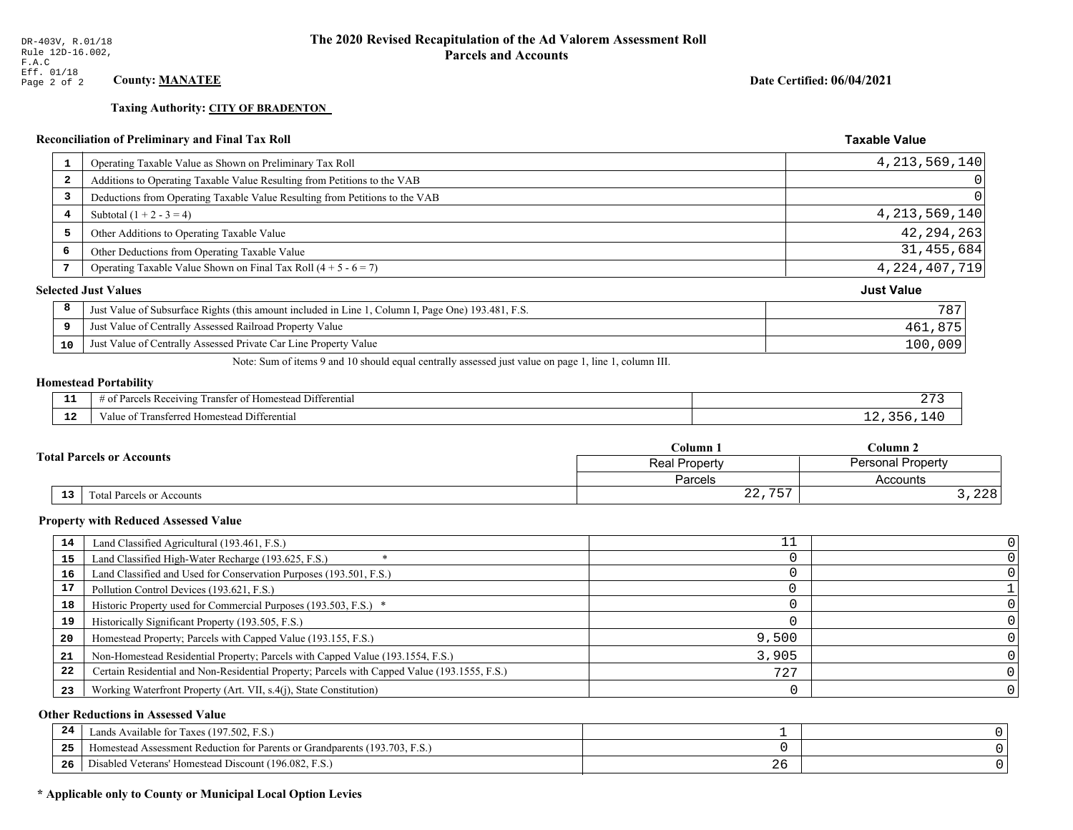**Taxing Authority: CITY OF BRADENTON** 

## Reconciliation of Preliminary and Final Tax Roll

| 1  | Operating Taxable Value as Shown on Preliminary Tax Roll                                           | 4, 213, 569, 140            |
|----|----------------------------------------------------------------------------------------------------|-----------------------------|
| 2  | Additions to Operating Taxable Value Resulting from Petitions to the VAB                           | 0                           |
| 3  | Deductions from Operating Taxable Value Resulting from Petitions to the VAB                        | 0                           |
| 4  | Subtotal $(1 + 2 - 3 = 4)$                                                                         | 4, 213, 569, 140            |
| 5  | Other Additions to Operating Taxable Value                                                         | 42, 294, 263                |
| 6  | Other Deductions from Operating Taxable Value                                                      | 31,455,684                  |
| 7  | Operating Taxable Value Shown on Final Tax Roll $(4 + 5 - 6 = 7)$                                  | 4, 224, 407, 719            |
|    |                                                                                                    | <b>Just Value</b>           |
| 8  | Just Value of Subsurface Rights (this amount included in Line 1, Column I, Page One) 193.481, F.S. | 787                         |
| 9  | Just Value of Centrally Assessed Railroad Property Value                                           | 461,875                     |
| 10 | Just Value of Centrally Assessed Private Car Line Property Value                                   | 100,009                     |
|    |                                                                                                    | <b>Selected Just Values</b> |

Note: Sum of items 9 and 10 should equal centrally assessed just value on page 1, line 1, column III.

## **Homestead Portability**

| л.  | . ⊅ifferential<br>ranster<br>$\sim$ $\kappa$ ecenymal.<br>Homestead<br>$^{\circ}$<br>וח ־<br>arc⁄<br>13 U.S | - |
|-----|-------------------------------------------------------------------------------------------------------------|---|
| --- | Differentia<br><b>PANSIL</b><br>. Homestead<br>rerred<br>alu                                                |   |

| <b>Total Parcels or Accounts</b> |    |                                  | Column 1                 | Column 2       |  |
|----------------------------------|----|----------------------------------|--------------------------|----------------|--|
|                                  |    | Real Property                    | <b>Personal Property</b> |                |  |
|                                  |    |                                  | Parcels                  | Accounts       |  |
|                                  | 13 | <b>Fotal Parcels or Accounts</b> | $\cap$<br>757<br>.       | ່າາຊ່<br>, 440 |  |

#### **Property with Reduced Assessed Value**

| 14 | Land Classified Agricultural (193.461, F.S.)                                                 |       |  |
|----|----------------------------------------------------------------------------------------------|-------|--|
| 15 | Land Classified High-Water Recharge (193.625, F.S.)                                          |       |  |
| 16 | Land Classified and Used for Conservation Purposes (193.501, F.S.)                           |       |  |
| 17 | Pollution Control Devices (193.621, F.S.)                                                    |       |  |
| 18 | Historic Property used for Commercial Purposes (193.503, F.S.) *                             |       |  |
| 19 | Historically Significant Property (193.505, F.S.)                                            |       |  |
| 20 | Homestead Property; Parcels with Capped Value (193.155, F.S.)                                | 9,500 |  |
| 21 | Non-Homestead Residential Property; Parcels with Capped Value (193.1554, F.S.)               | 3,905 |  |
| 22 | Certain Residential and Non-Residential Property; Parcels with Capped Value (193.1555, F.S.) | 727   |  |
| 23 | Working Waterfront Property (Art. VII, s.4(j), State Constitution)                           |       |  |

## **Other Reductions in Assessed Value**

| 24    | Lands Available for Taxes (197.502, F.S.)                                  |      |  |
|-------|----------------------------------------------------------------------------|------|--|
| - - - | Iomestead Assessment Reduction for Parents or Grandparents (193.703, F.S.) |      |  |
| -26   | l Veterans' Homestead Discount (196.082, F.S.)<br>Disabled                 | ب ہے |  |

## \* Applicable only to County or Municipal Local Option Levies

Date Certified: 06/04/2021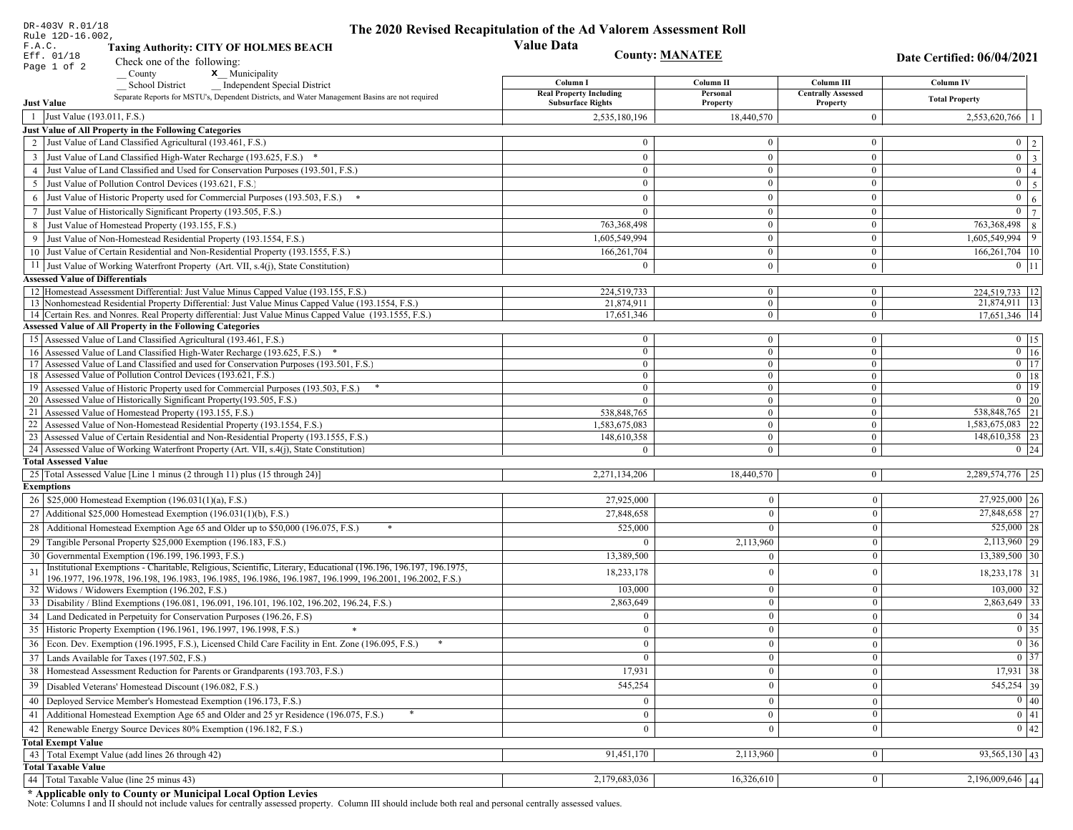| DR-403V R.01/18                        |                                                                                                                                                               | The 2020 Revised Recapitulation of the Ad Valorem Assessment Roll |                                  |                                       |                                                                       |  |
|----------------------------------------|---------------------------------------------------------------------------------------------------------------------------------------------------------------|-------------------------------------------------------------------|----------------------------------|---------------------------------------|-----------------------------------------------------------------------|--|
| Rule 12D-16.002,<br>F.A.C.             | <b>Taxing Authority: CITY OF HOLMES BEACH</b>                                                                                                                 | <b>Value Data</b>                                                 |                                  |                                       |                                                                       |  |
| Eff. 01/18                             | Check one of the following:                                                                                                                                   |                                                                   | <b>County: MANATEE</b>           |                                       | Date Certified: 06/04/2021                                            |  |
| Page 1 of 2                            | x Municipality<br>County                                                                                                                                      |                                                                   |                                  |                                       |                                                                       |  |
|                                        | <b>School District</b><br><b>Independent Special District</b>                                                                                                 | Column I                                                          | Column II                        | Column III                            | <b>Column IV</b>                                                      |  |
| <b>Just Value</b>                      | Separate Reports for MSTU's, Dependent Districts, and Water Management Basins are not required                                                                | <b>Real Property Including</b><br><b>Subsurface Rights</b>        | Personal<br>Property             | <b>Centrally Assessed</b><br>Property | <b>Total Property</b>                                                 |  |
| 1 Just Value (193.011, F.S.)           |                                                                                                                                                               | 2,535,180,196                                                     | 18,440,570                       | $\mathbf{0}$                          | $2,553,620,766$   1                                                   |  |
|                                        | Just Value of All Property in the Following Categories                                                                                                        |                                                                   |                                  |                                       |                                                                       |  |
|                                        | 2 Just Value of Land Classified Agricultural (193.461, F.S.)                                                                                                  | $\Omega$                                                          | $\Omega$                         | $\bf{0}$                              | $0 \mid 2 \mid$                                                       |  |
|                                        | 3 Just Value of Land Classified High-Water Recharge (193.625, F.S.) *                                                                                         | $\mathbf{0}$                                                      | $\overline{0}$                   | $\mathbf{0}$                          | $\boxed{0}$ $\boxed{3}$                                               |  |
|                                        | 4 Just Value of Land Classified and Used for Conservation Purposes (193.501, F.S.)                                                                            | $\mathbf{0}$                                                      | $\overline{0}$                   | $\overline{0}$                        | $\overline{0}$   4                                                    |  |
| 5                                      | Just Value of Pollution Control Devices (193.621, F.S.)                                                                                                       | $\Omega$                                                          | $\Omega$                         | $\mathbf{0}$                          | $0 \mid 5 \mid$                                                       |  |
|                                        | 6 Just Value of Historic Property used for Commercial Purposes (193.503, F.S.) *                                                                              | $\Omega$                                                          | $\theta$                         | $\mathbf{0}$                          | $0 \mid 6 \mid$                                                       |  |
|                                        | 7 Just Value of Historically Significant Property (193.505, F.S.)                                                                                             | $\Omega$                                                          | $\overline{0}$                   | $\mathbf{0}$                          | $\overline{0}$<br>$7\phantom{.0}$                                     |  |
|                                        | 8 Just Value of Homestead Property (193.155, F.S.)                                                                                                            | 763,368,498                                                       |                                  | $\mathbf{0}$                          | 763,368,498 8                                                         |  |
|                                        | 9 Just Value of Non-Homestead Residential Property (193.1554, F.S.)                                                                                           | 1,605,549,994                                                     | $\theta$                         | $\mathbf{0}$                          | $1,605,549,994$ 9                                                     |  |
|                                        | 10 Just Value of Certain Residential and Non-Residential Property (193.1555, F.S.)                                                                            | 166,261,704                                                       | $\overline{0}$                   | $\mathbf{0}$                          | $166,261,704$   10                                                    |  |
|                                        | 11 Just Value of Working Waterfront Property (Art. VII, s.4(j), State Constitution)                                                                           | 0                                                                 | $\overline{0}$                   | $\mathbf{0}$                          | $0$   11                                                              |  |
| <b>Assessed Value of Differentials</b> |                                                                                                                                                               |                                                                   |                                  |                                       |                                                                       |  |
|                                        | 12 Homestead Assessment Differential: Just Value Minus Capped Value (193.155, F.S.)                                                                           | 224,519,733                                                       | $\mathbf{0}$                     | $\bf{0}$                              | 224,519,733   12                                                      |  |
|                                        | 13 Nonhomestead Residential Property Differential: Just Value Minus Capped Value (193.1554, F.S.)                                                             | 21,874,911                                                        | $\overline{0}$                   | $\mathbf{0}$                          | 21,874,911 13                                                         |  |
|                                        | 14 Certain Res. and Nonres. Real Property differential: Just Value Minus Capped Value (193.1555, F.S.)                                                        | 17,651,346                                                        | $\mathbf{0}$                     | $\bf{0}$                              | 17,651,346 14                                                         |  |
|                                        | <b>Assessed Value of All Property in the Following Categories</b>                                                                                             |                                                                   |                                  |                                       |                                                                       |  |
|                                        | 15 Assessed Value of Land Classified Agricultural (193.461, F.S.)                                                                                             | $\bf{0}$                                                          | $\mathbf{0}$                     | $\bf{0}$                              | $0 \t15$                                                              |  |
|                                        | 16 Assessed Value of Land Classified High-Water Recharge (193.625, F.S.) *                                                                                    | $\Omega$                                                          | $\mathbf{0}$                     | $\bf{0}$                              | $0$ 16                                                                |  |
|                                        | 17 Assessed Value of Land Classified and used for Conservation Purposes (193.501, F.S.)                                                                       | $\mathbf{0}$                                                      | $\mathbf{0}$                     | $\bf{0}$                              | $0$ 17                                                                |  |
|                                        | 18 Assessed Value of Pollution Control Devices (193.621, F.S.)                                                                                                | $\mathbf{0}$                                                      | $\overline{0}$<br>$\overline{0}$ | $\bf{0}$                              | $0$   18<br>$0$ 19                                                    |  |
|                                        | 19 Assessed Value of Historic Property used for Commercial Purposes (193.503, F.S.)<br>20 Assessed Value of Historically Significant Property (193.505, F.S.) | $\theta$<br>$\Omega$                                              | $\theta$                         | $\overline{0}$<br>$\overline{0}$      | $0 \mid 20$                                                           |  |
|                                        | 21 Assessed Value of Homestead Property (193.155, F.S.)                                                                                                       | 538,848,765                                                       | $\overline{0}$                   | $\bf{0}$                              | 538,848,765 21                                                        |  |
|                                        | 22 Assessed Value of Non-Homestead Residential Property (193.1554, F.S.)                                                                                      | 1,583,675,083                                                     | $\overline{0}$                   | $\bf{0}$                              | 1,583,675,083 22                                                      |  |
|                                        | 23 Assessed Value of Certain Residential and Non-Residential Property (193.1555, F.S.)                                                                        | 148,610,358                                                       | $\mathbf{0}$                     | $\bf{0}$                              | 148,610,358 23                                                        |  |
|                                        | 24 Assessed Value of Working Waterfront Property (Art. VII, s.4(j), State Constitution)                                                                       | $\Omega$                                                          | $\overline{0}$                   | $\mathbf{0}$                          | $0 \quad 24$                                                          |  |
| <b>Total Assessed Value</b>            |                                                                                                                                                               |                                                                   |                                  |                                       |                                                                       |  |
|                                        | 25 Total Assessed Value [Line 1 minus (2 through 11) plus (15 through 24)]                                                                                    | 2,271,134,206                                                     | 18,440,570                       | $\vert 0 \vert$                       | 2,289,574,776 25                                                      |  |
| <b>Exemptions</b>                      |                                                                                                                                                               |                                                                   |                                  |                                       |                                                                       |  |
|                                        | 26   \$25,000 Homestead Exemption (196.031(1)(a), F.S.)                                                                                                       | 27,925,000                                                        | $\overline{0}$                   | $\boldsymbol{0}$                      | $27,925,000$ 26                                                       |  |
|                                        | 27   Additional \$25,000 Homestead Exemption (196.031(1)(b), F.S.)                                                                                            | 27,848,658                                                        | $\overline{0}$                   | $\mathbf{0}$                          | 27,848,658 27                                                         |  |
|                                        | 28 Additional Homestead Exemption Age 65 and Older up to \$50,000 (196.075, F.S.)                                                                             | 525,000                                                           | $\overline{0}$                   | $\boldsymbol{0}$                      | $525,000$   28                                                        |  |
|                                        | 29 Tangible Personal Property \$25,000 Exemption (196.183, F.S.)                                                                                              | $\Omega$                                                          | 2,113,960                        | $\boldsymbol{0}$                      | $2,113,960$ 29                                                        |  |
|                                        | 30 Governmental Exemption (196.199, 196.1993, F.S.)                                                                                                           | 13.389.500                                                        | $\overline{0}$                   | $\boldsymbol{0}$                      | 13,389,500 30                                                         |  |
| 31                                     | Institutional Exemptions - Charitable, Religious, Scientific, Literary, Educational (196.196, 196.197, 196.1975,                                              | 18,233,178                                                        | $\mathbf{0}$                     | $\boldsymbol{0}$                      | 18,233,178 31                                                         |  |
|                                        | 196.1977, 196.1978, 196.198, 196.1983, 196.1985, 196.1986, 196.1987, 196.1999, 196.2001, 196.2002, F.S.)                                                      |                                                                   | $\mathbf{0}$                     |                                       |                                                                       |  |
|                                        | 32   Widows / Widowers Exemption (196.202, F.S.)<br>33 Disability / Blind Exemptions (196.081, 196.091, 196.101, 196.102, 196.202, 196.24, F.S.)              | 103,000                                                           | $\overline{0}$                   | $\boldsymbol{0}$<br>$\mathbf{0}$      | $103,000$ 32<br>2,863,649 33                                          |  |
|                                        |                                                                                                                                                               | 2,863,649                                                         | $\overline{0}$                   |                                       |                                                                       |  |
|                                        | 34 Land Dedicated in Perpetuity for Conservation Purposes (196.26, F.S)<br>35 Historic Property Exemption (196.1961, 196.1997, 196.1998, F.S.)                | $\overline{0}$                                                    |                                  | $\mathbf{0}$                          | 0 34                                                                  |  |
|                                        |                                                                                                                                                               | $\mathbf{0}$                                                      | $\mathbf{0}$                     | $\bf{0}$                              | $\begin{array}{ c c }\n\hline\n0 & 35 \\ \hline\n0 & 36\n\end{array}$ |  |
|                                        | 36 Econ. Dev. Exemption (196.1995, F.S.), Licensed Child Care Facility in Ent. Zone (196.095, F.S.)                                                           | $\overline{0}$                                                    | $\overline{0}$                   | $\overline{0}$                        | $\boxed{0}$ 37                                                        |  |
|                                        | 37 Lands Available for Taxes (197.502, F.S.)                                                                                                                  | $\mathbf{0}$                                                      | $\vert 0 \vert$                  | $\mathbf{0}$                          |                                                                       |  |
|                                        | 38   Homestead Assessment Reduction for Parents or Grandparents (193.703, F.S.)                                                                               | 17,931                                                            | $\bf{0}$                         | $\mathbf{0}$                          | $17,931$ 38                                                           |  |
|                                        | 39   Disabled Veterans' Homestead Discount (196.082, F.S.)                                                                                                    | 545,254                                                           | $\overline{0}$                   | $\mathbf{0}$                          | 545,254 39                                                            |  |
|                                        | 40   Deployed Service Member's Homestead Exemption (196.173, F.S.)                                                                                            | $\overline{0}$                                                    | $\mathbf{0}$                     | $\boldsymbol{0}$                      | 0 40                                                                  |  |
| 41                                     | Additional Homestead Exemption Age 65 and Older and 25 yr Residence (196.075, F.S.)                                                                           | $\mathbf{0}$                                                      | $\mathbf{0}$                     | $\boldsymbol{0}$                      | 0 41                                                                  |  |
|                                        | 42 Renewable Energy Source Devices 80% Exemption (196.182, F.S.)                                                                                              | $\overline{0}$                                                    | $\overline{0}$                   | $\mathbf{0}$                          | $0 \mid 42$                                                           |  |
| <b>Total Exempt Value</b>              |                                                                                                                                                               |                                                                   |                                  |                                       |                                                                       |  |
|                                        | 43 Total Exempt Value (add lines 26 through 42)                                                                                                               | 91,451,170                                                        | 2,113,960                        | $\mathbf{0}$                          | 93,565,130 43                                                         |  |
| <b>Total Taxable Value</b>             |                                                                                                                                                               |                                                                   |                                  |                                       |                                                                       |  |
|                                        | 44   Total Taxable Value (line 25 minus 43)                                                                                                                   | 2,179,683,036                                                     | 16,326,610                       | $\bf{0}$                              | $2,196,009,646$ 44                                                    |  |

DR-403V R.01/18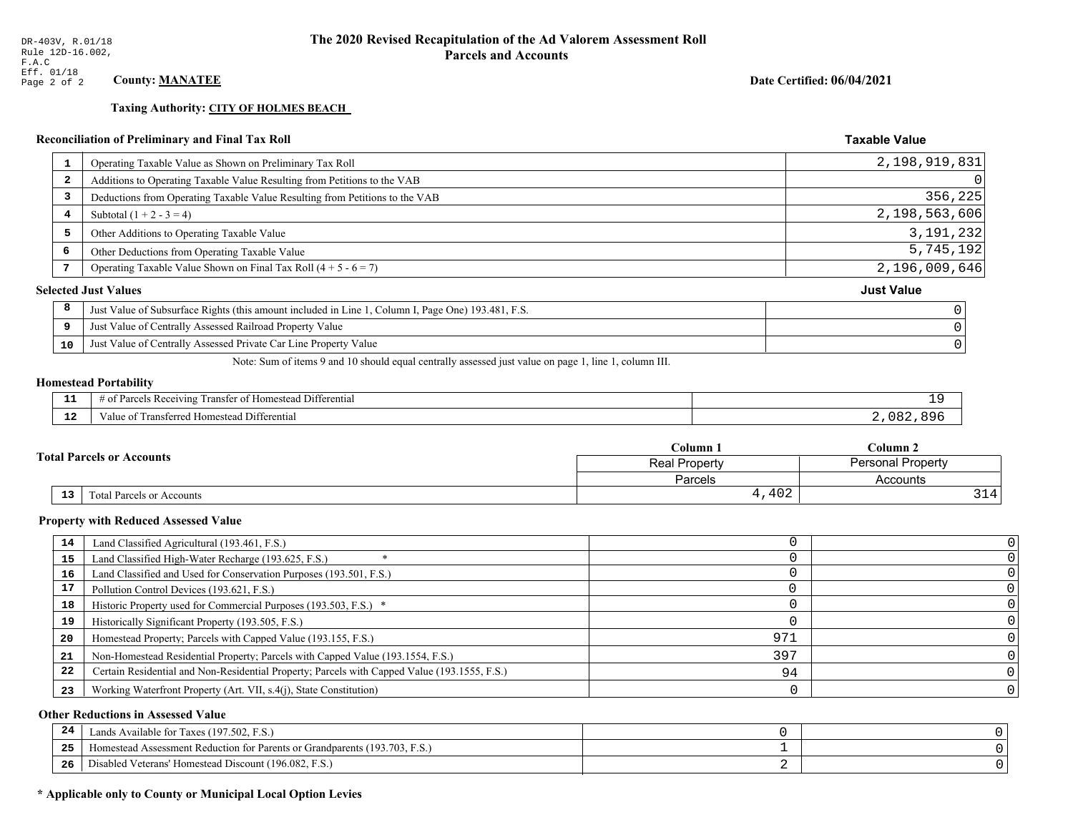**Taxing Authority: CITY OF HOLMES BEACH** 

## Reconciliation of Preliminary and Final Tax Roll

| Operating Taxable Value as Shown on Preliminary Tax Roll<br>1                                           | 2,198,919,831     |
|---------------------------------------------------------------------------------------------------------|-------------------|
| Additions to Operating Taxable Value Resulting from Petitions to the VAB<br>$\overline{\mathbf{2}}$     | 0                 |
| Deductions from Operating Taxable Value Resulting from Petitions to the VAB<br>3                        | 356, 225          |
| Subtotal $(1 + 2 - 3 = 4)$<br>4                                                                         | 2,198,563,606     |
| 5<br>Other Additions to Operating Taxable Value                                                         | 3, 191, 232       |
| 6<br>Other Deductions from Operating Taxable Value                                                      | 5,745,192         |
| Operating Taxable Value Shown on Final Tax Roll $(4 + 5 - 6 = 7)$                                       | 2,196,009,646     |
| <b>Selected Just Values</b>                                                                             | <b>Just Value</b> |
| 8<br>Just Value of Subsurface Rights (this amount included in Line 1, Column I, Page One) 193.481, F.S. |                   |
| Just Value of Centrally Assessed Railroad Property Value<br>9                                           |                   |
| Just Value of Centrally Assessed Private Car Line Property Value<br>10                                  |                   |
|                                                                                                         |                   |

Note: Sum of items 9 and 10 should equal centrally assessed just value on page 1, line 1, column III.

## **Homestead Portability**

ł,

| --            | $ -$<br>l Differential<br><b>Parce</b><br>ranster of<br>ceiving<br>. Homestead P<br>- OT<br>, , , , , , | - -       |
|---------------|---------------------------------------------------------------------------------------------------------|-----------|
| $\sim$<br>. . | Transferred Homestead Differential<br>∕alu                                                              | oΩ.<br>צו |

| <b>Fotal Parcels or Accounts</b> |    |                           | Column 1      | $\mathbb C$ olumn 2      |  |
|----------------------------------|----|---------------------------|---------------|--------------------------|--|
|                                  |    |                           | Real Property | <b>Personal Property</b> |  |
|                                  |    |                           | Parcels       | Accounts                 |  |
|                                  | 13 | Total Parcels or Accounts | 4,402         | 314'                     |  |

#### **Property with Reduced Assessed Value**

| 14 | Land Classified Agricultural (193.461, F.S.)                                                 |     |  |
|----|----------------------------------------------------------------------------------------------|-----|--|
|    |                                                                                              |     |  |
| 15 | Land Classified High-Water Recharge (193.625, F.S.)                                          |     |  |
| 16 | Land Classified and Used for Conservation Purposes (193.501, F.S.)                           |     |  |
| 17 | Pollution Control Devices (193.621, F.S.)                                                    |     |  |
| 18 | Historic Property used for Commercial Purposes (193.503, F.S.) *                             |     |  |
| 19 | Historically Significant Property (193.505, F.S.)                                            |     |  |
| 20 | Homestead Property; Parcels with Capped Value (193.155, F.S.)                                | 971 |  |
| 21 | Non-Homestead Residential Property; Parcels with Capped Value (193.1554, F.S.)               | 397 |  |
| 22 | Certain Residential and Non-Residential Property; Parcels with Capped Value (193.1555, F.S.) | 94  |  |
| 23 | Working Waterfront Property (Art. VII, s.4(j), State Constitution)                           |     |  |

## **Other Reductions in Assessed Value**

| -44 | Available for Taxes (197.502, F.S.)                                          |  |
|-----|------------------------------------------------------------------------------|--|
| 25  | 'omestead Assessment Reduction for Parents or Grandparents $(193.703, F.S.)$ |  |
| 26  | isabled Veterans' Homestead Discount (196.082, F.S.)                         |  |

## \* Applicable only to County or Municipal Local Option Levies

Date Certified: 06/04/2021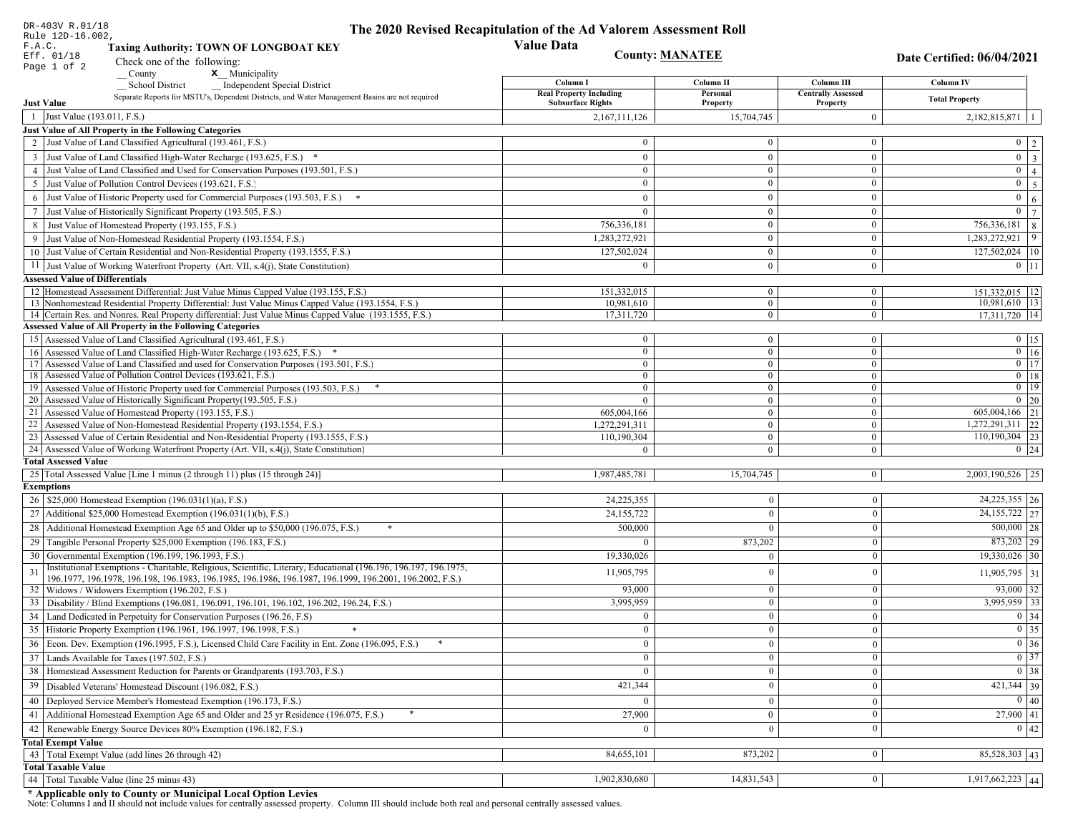| DR-403V R.01/18<br>Rule 12D-16.002,    |                                                                                                                                                                                                                              | The 2020 Revised Recapitulation of the Ad Valorem Assessment Roll |                      |                                       |                                 |
|----------------------------------------|------------------------------------------------------------------------------------------------------------------------------------------------------------------------------------------------------------------------------|-------------------------------------------------------------------|----------------------|---------------------------------------|---------------------------------|
| F.A.C.                                 | <b>Taxing Authority: TOWN OF LONGBOAT KEY</b>                                                                                                                                                                                | <b>Value Data</b>                                                 |                      |                                       |                                 |
| Eff. 01/18                             | Check one of the following:                                                                                                                                                                                                  | <b>County: MANATEE</b>                                            |                      |                                       | Date Certified: 06/04/2021      |
| Page 1 of 2                            | County<br>x Municipality                                                                                                                                                                                                     |                                                                   |                      |                                       |                                 |
|                                        | <b>Independent Special District</b><br><b>School District</b>                                                                                                                                                                | Column I                                                          | Column II            | Column III                            | Column IV                       |
| <b>Just Value</b>                      | Separate Reports for MSTU's, Dependent Districts, and Water Management Basins are not required                                                                                                                               | <b>Real Property Including</b><br><b>Subsurface Rights</b>        | Personal<br>Property | <b>Centrally Assessed</b><br>Property | <b>Total Property</b>           |
| 1 Just Value (193.011, F.S.)           |                                                                                                                                                                                                                              | 2,167,111,126                                                     | 15,704,745           | $\mathbf{0}$                          | $2,182,815,871$   1             |
|                                        | Just Value of All Property in the Following Categories                                                                                                                                                                       |                                                                   |                      |                                       |                                 |
|                                        | 2 Just Value of Land Classified Agricultural (193.461, F.S.)                                                                                                                                                                 | $\bf{0}$                                                          | $\theta$             | $\overline{0}$                        | $0 \mid 2 \mid$                 |
|                                        | 3 Just Value of Land Classified High-Water Recharge (193.625, F.S.) *                                                                                                                                                        | $\theta$                                                          | $\mathbf{0}$         | $\mathbf{0}$                          | $\boxed{0}$ $\boxed{3}$         |
|                                        | 4 Just Value of Land Classified and Used for Conservation Purposes (193.501, F.S.)                                                                                                                                           | $\theta$                                                          | $\mathbf{0}$         | $\overline{0}$                        | $0 \mid 4 \mid$                 |
|                                        | 5 Just Value of Pollution Control Devices (193.621, F.S.)                                                                                                                                                                    | $\mathbf{0}$                                                      | $\theta$             | $\mathbf{0}$                          | $\boxed{0}$ $\boxed{5}$         |
|                                        | 6 Just Value of Historic Property used for Commercial Purposes (193.503, F.S.)                                                                                                                                               | $\theta$                                                          | $\Omega$             | $\mathbf{0}$                          | $\mathbf{0}$<br>6 <sup>1</sup>  |
|                                        | 7 Just Value of Historically Significant Property (193.505, F.S.)                                                                                                                                                            | $\theta$                                                          | $\Omega$             | $\mathbf{0}$                          | $\overline{0}$   $\overline{7}$ |
|                                        | 8 Just Value of Homestead Property (193.155, F.S.)                                                                                                                                                                           | 756,336,181                                                       | $\mathbf{0}$         | $\mathbf{0}$                          | 756,336,181 8                   |
|                                        | 9 Just Value of Non-Homestead Residential Property (193.1554, F.S.)                                                                                                                                                          | 1,283,272,921                                                     | $\theta$             | $\mathbf{0}$                          | $1,283,272,921$ 9               |
|                                        | 10 Just Value of Certain Residential and Non-Residential Property (193.1555, F.S.)                                                                                                                                           | 127,502,024                                                       | $\mathbf{0}$         | $\bf{0}$                              | 127,502,024 10                  |
|                                        | 11 Just Value of Working Waterfront Property (Art. VII, s.4(j), State Constitution)                                                                                                                                          | $\overline{0}$                                                    | $\overline{0}$       | $\overline{0}$                        | $0$   11                        |
| <b>Assessed Value of Differentials</b> |                                                                                                                                                                                                                              |                                                                   |                      |                                       |                                 |
|                                        | 12 Homestead Assessment Differential: Just Value Minus Capped Value (193.155, F.S.)                                                                                                                                          | 151,332,015                                                       | $\overline{0}$       | $\overline{0}$                        | 151,332,015   12                |
|                                        | 13 Nonhomestead Residential Property Differential: Just Value Minus Capped Value (193.1554, F.S.)                                                                                                                            | 10,981,610                                                        | $\mathbf{0}$         | $\overline{0}$                        | 10,981,610 13                   |
|                                        | 14 Certain Res. and Nonres. Real Property differential: Just Value Minus Capped Value (193.1555, F.S.)                                                                                                                       | 17,311,720                                                        | $\overline{0}$       | $\mathbf{0}$                          | 17,311,720   14                 |
|                                        | <b>Assessed Value of All Property in the Following Categories</b>                                                                                                                                                            |                                                                   |                      |                                       |                                 |
|                                        | 15   Assessed Value of Land Classified Agricultural (193.461, F.S.)                                                                                                                                                          | $\bf{0}$                                                          | $\overline{0}$       | $\bf{0}$                              | $0$ 15                          |
|                                        | 16 Assessed Value of Land Classified High-Water Recharge (193.625, F.S.) *                                                                                                                                                   | $\overline{0}$                                                    | $\overline{0}$       | $\mathbf{0}$                          | $0$ 16                          |
|                                        | 17 Assessed Value of Land Classified and used for Conservation Purposes (193.501, F.S.)                                                                                                                                      | $\bf{0}$                                                          | $\mathbf{0}$         | $\bf{0}$                              | $\boxed{0}$ 17                  |
|                                        | 18 Assessed Value of Pollution Control Devices (193.621, F.S.)                                                                                                                                                               | $\overline{0}$                                                    | $\overline{0}$       | $\overline{0}$                        | $0$ 18                          |
|                                        | 19 Assessed Value of Historic Property used for Commercial Purposes (193.503, F.S.)                                                                                                                                          | $\bf{0}$                                                          | $\overline{0}$       | $\overline{0}$                        | $\boxed{0}$ 19                  |
|                                        | 20 Assessed Value of Historically Significant Property (193.505, F.S.)                                                                                                                                                       | $\mathbf{0}$                                                      | $\overline{0}$       | $\mathbf{0}$                          | $0 \mid 20$                     |
|                                        | 21 Assessed Value of Homestead Property (193.155, F.S.)                                                                                                                                                                      | 605,004,166                                                       | $\mathbf{0}$         | $\overline{0}$                        | 605,004,166 21                  |
|                                        | 22 Assessed Value of Non-Homestead Residential Property (193.1554, F.S.)                                                                                                                                                     | 1,272,291,311                                                     | $\overline{0}$       | $\overline{0}$                        | 1,272,291,311 22                |
|                                        | 23 Assessed Value of Certain Residential and Non-Residential Property (193.1555, F.S.)                                                                                                                                       | 110,190,304                                                       | $\overline{0}$       | $\overline{0}$                        | $110,190,304$ 23                |
|                                        | 24 Assessed Value of Working Waterfront Property (Art. VII, s.4(j), State Constitution)                                                                                                                                      | $\Omega$                                                          | $\mathbf{0}$         | $\overline{0}$                        | $0 \quad 24$                    |
| <b>Total Assessed Value</b>            |                                                                                                                                                                                                                              |                                                                   |                      |                                       |                                 |
|                                        | 25 Total Assessed Value [Line 1 minus (2 through 11) plus (15 through 24)]                                                                                                                                                   | 1,987,485,781                                                     | 15,704,745           | 0                                     | $2,003,190,526$ 25              |
| <b>Exemptions</b>                      |                                                                                                                                                                                                                              |                                                                   |                      |                                       | 24,225,355   26                 |
|                                        | 26   \$25,000 Homestead Exemption (196.031(1)(a), F.S.)                                                                                                                                                                      | 24,225,355                                                        | $\overline{0}$       | $\boldsymbol{0}$                      | $\overline{24,155,722}$ 27      |
|                                        | 27 Additional \$25,000 Homestead Exemption (196.031(1)(b), F.S.)                                                                                                                                                             | 24,155,722                                                        | $\overline{0}$       | $\boldsymbol{0}$                      |                                 |
|                                        | 28 Additional Homestead Exemption Age 65 and Older up to \$50,000 (196.075, F.S.)                                                                                                                                            | 500,000                                                           | $\Omega$             | $\mathbf{0}$                          | $500,000$ 28                    |
| 29                                     | Tangible Personal Property \$25,000 Exemption (196.183, F.S.)                                                                                                                                                                |                                                                   | 873,202              | $\boldsymbol{0}$                      | $873,202$ 29                    |
|                                        | 30 Governmental Exemption (196.199, 196.1993, F.S.)                                                                                                                                                                          | 19,330,026                                                        | $\Omega$             | $\boldsymbol{0}$                      | 19,330,026 30                   |
| 31                                     | Institutional Exemptions - Charitable, Religious, Scientific, Literary, Educational (196.196, 196.197, 196.1975,<br>196.1977, 196.1978, 196.198, 196.1983, 196.1985, 196.1986, 196.1987, 196.1999, 196.2001, 196.2002, F.S.) | 11,905,795                                                        | $\Omega$             | $\boldsymbol{0}$                      | $11,905,795$ 31                 |
|                                        | 32   Widows / Widowers Exemption (196.202, F.S.)                                                                                                                                                                             | 93,000                                                            | $\overline{0}$       | $\mathbf{0}$                          | $93,000$ 32                     |
|                                        | 33   Disability / Blind Exemptions (196.081, 196.091, 196.101, 196.102, 196.202, 196.24, F.S.)                                                                                                                               | 3,995,959                                                         | $\mathbf{0}$         | $\boldsymbol{0}$                      | $3,995,959$ 33                  |
|                                        | 34 Land Dedicated in Perpetuity for Conservation Purposes (196.26, F.S)                                                                                                                                                      | $\Omega$                                                          | $\overline{0}$       | $\boldsymbol{0}$                      | 0 34                            |
|                                        | 35 Historic Property Exemption (196.1961, 196.1997, 196.1998, F.S.)                                                                                                                                                          | $\overline{0}$                                                    | $\mathbf{0}$         | 0                                     | $\boxed{0}$ 35                  |
|                                        | 36 Econ. Dev. Exemption (196.1995, F.S.), Licensed Child Care Facility in Ent. Zone (196.095, F.S.)                                                                                                                          | $\overline{0}$                                                    | $\overline{0}$       |                                       | $\boxed{0}$ 36                  |
|                                        |                                                                                                                                                                                                                              |                                                                   |                      | $\boldsymbol{0}$                      | $0 \overline{\smash)37}$        |
|                                        | 37 Lands Available for Taxes (197.502, F.S.)                                                                                                                                                                                 | $\overline{0}$                                                    | $\mathbf{0}$         | $\bf{0}$                              |                                 |
|                                        | 38   Homestead Assessment Reduction for Parents or Grandparents (193.703, F.S.)                                                                                                                                              | $\bf{0}$                                                          | $\bf{0}$             | $\overline{0}$                        | $\boxed{0}$ 38                  |
| 39                                     | Disabled Veterans' Homestead Discount (196.082, F.S.)                                                                                                                                                                        | 421,344                                                           | $\overline{0}$       | $\boldsymbol{0}$                      | 421,344 39                      |
|                                        | 40   Deployed Service Member's Homestead Exemption (196.173, F.S.)                                                                                                                                                           | $\theta$                                                          | $\overline{0}$       | $\bf{0}$                              | 0 40                            |
| 41                                     | Additional Homestead Exemption Age 65 and Older and 25 yr Residence (196.075, F.S.)                                                                                                                                          | 27,900                                                            | $\mathbf{0}$         | $\boldsymbol{0}$                      | $27,900$ 41                     |
| 42                                     | Renewable Energy Source Devices 80% Exemption (196.182, F.S.)                                                                                                                                                                | $\overline{0}$                                                    | $\mathbf{0}$         | $\boldsymbol{0}$                      | 0 42                            |
| <b>Total Exempt Value</b>              |                                                                                                                                                                                                                              |                                                                   |                      |                                       |                                 |
|                                        | 43 Total Exempt Value (add lines 26 through 42)                                                                                                                                                                              | 84,655,101                                                        | 873,202              | $\mathbf{0}$                          | $85,528,303$ 43                 |
| <b>Total Taxable Value</b>             |                                                                                                                                                                                                                              |                                                                   |                      |                                       |                                 |
|                                        | 44 Total Taxable Value (line 25 minus 43)                                                                                                                                                                                    | 1,902,830,680                                                     | 14,831,543           | $\bf{0}$                              | $1,917,662,223$ 44              |

DR-403V R.01/18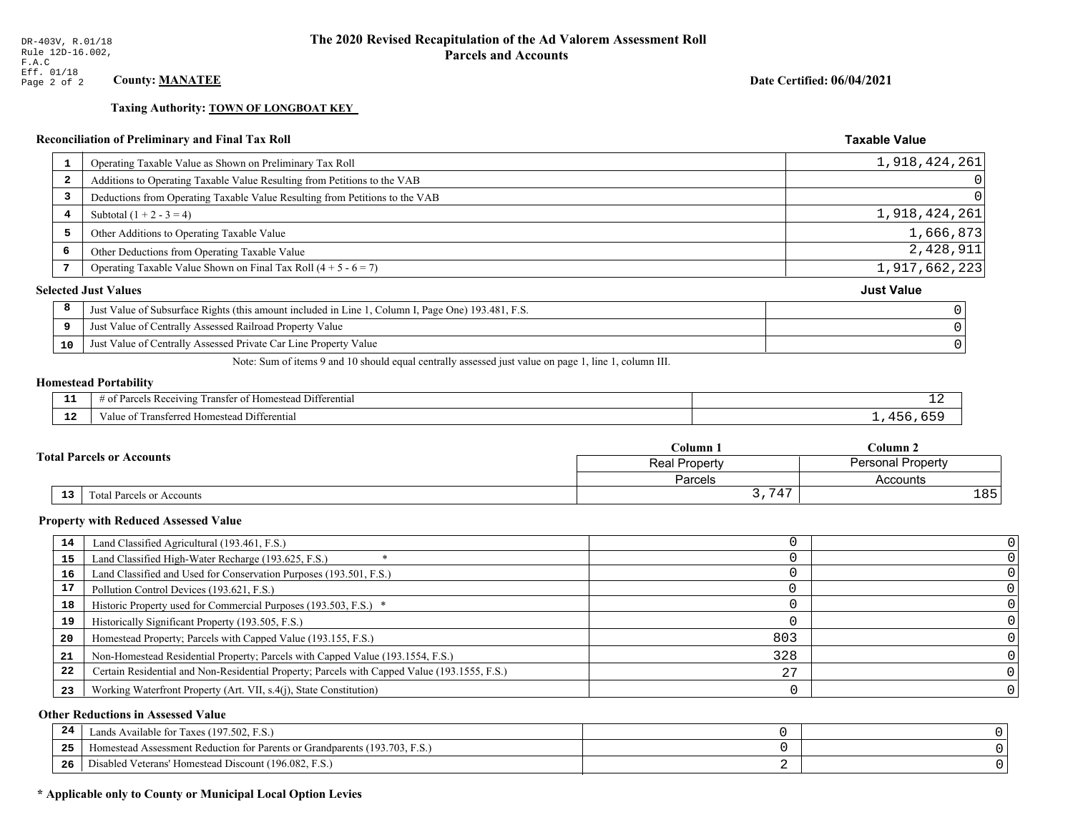**Taxing Authority: TOWN OF LONGBOAT KEY** 

## Reconciliation of Preliminary and Final Tax Roll

| 1  | Operating Taxable Value as Shown on Preliminary Tax Roll                                           | 1,918,424,261     |
|----|----------------------------------------------------------------------------------------------------|-------------------|
| -2 | Additions to Operating Taxable Value Resulting from Petitions to the VAB                           | $\Omega$          |
| 3  | Deductions from Operating Taxable Value Resulting from Petitions to the VAB                        | 0                 |
| 4  | Subtotal $(1 + 2 - 3 = 4)$                                                                         | 1,918,424,261     |
| 5  | Other Additions to Operating Taxable Value                                                         | 1,666,873         |
| 6  | Other Deductions from Operating Taxable Value                                                      | 2,428,911         |
|    | Operating Taxable Value Shown on Final Tax Roll $(4 + 5 - 6 = 7)$                                  | 1,917,662,223     |
|    | <b>Selected Just Values</b>                                                                        | <b>Just Value</b> |
| 8  | Just Value of Subsurface Rights (this amount included in Line 1, Column I, Page One) 193.481, F.S. |                   |
| 9  | Just Value of Centrally Assessed Railroad Property Value                                           |                   |
| 10 | Just Value of Centrally Assessed Private Car Line Property Value                                   |                   |
|    |                                                                                                    |                   |

Note: Sum of items 9 and 10 should equal centrally assessed just value on page 1, line 1, column III.

#### **Homestead Portability**

| .<br>---    | . Differential<br>ranster<br>Receiving<br><b>Homestead</b><br>'яrс.<br>-01<br>,,,,,,,,,,,, | -- |
|-------------|--------------------------------------------------------------------------------------------|----|
| $\sim$<br>. | i Differential<br>alue<br><b>Homestead</b><br>ransterred.                                  |    |

| <b>Fotal Parcels or Accounts</b> |                 |                           | Column 1      | Column 2                 |  |
|----------------------------------|-----------------|---------------------------|---------------|--------------------------|--|
|                                  |                 |                           | Real Property | <b>Personal Property</b> |  |
|                                  |                 |                           | Parcels       | Accounts                 |  |
|                                  | 13 <sub>1</sub> | Total Parcels or Accounts | 3,747         | 185'                     |  |

#### **Property with Reduced Assessed Value**

| 14 | Land Classified Agricultural (193.461, F.S.)                                                 |     |  |
|----|----------------------------------------------------------------------------------------------|-----|--|
| 15 | Land Classified High-Water Recharge (193.625, F.S.)                                          |     |  |
| 16 | Land Classified and Used for Conservation Purposes (193.501, F.S.)                           |     |  |
| 17 | Pollution Control Devices (193.621, F.S.)                                                    |     |  |
| 18 | Historic Property used for Commercial Purposes (193.503, F.S.) *                             |     |  |
| 19 | Historically Significant Property (193.505, F.S.)                                            |     |  |
| 20 | Homestead Property; Parcels with Capped Value (193.155, F.S.)                                | 803 |  |
| 21 | Non-Homestead Residential Property; Parcels with Capped Value (193.1554, F.S.)               | 328 |  |
| 22 | Certain Residential and Non-Residential Property; Parcels with Capped Value (193.1555, F.S.) | 27  |  |
| 23 | Working Waterfront Property (Art. VII, s.4(j), State Constitution)                           |     |  |

## **Other Reductions in Assessed Value**

| -44 | Available for Taxes (197.502, F.S.)                                          |  |
|-----|------------------------------------------------------------------------------|--|
| 25  | 'omestead Assessment Reduction for Parents or Grandparents $(193.703, F.S.)$ |  |
| 26  | isabled Veterans' Homestead Discount (196.082, F.S.)                         |  |

## \* Applicable only to County or Municipal Local Option Levies

Date Certified: 06/04/2021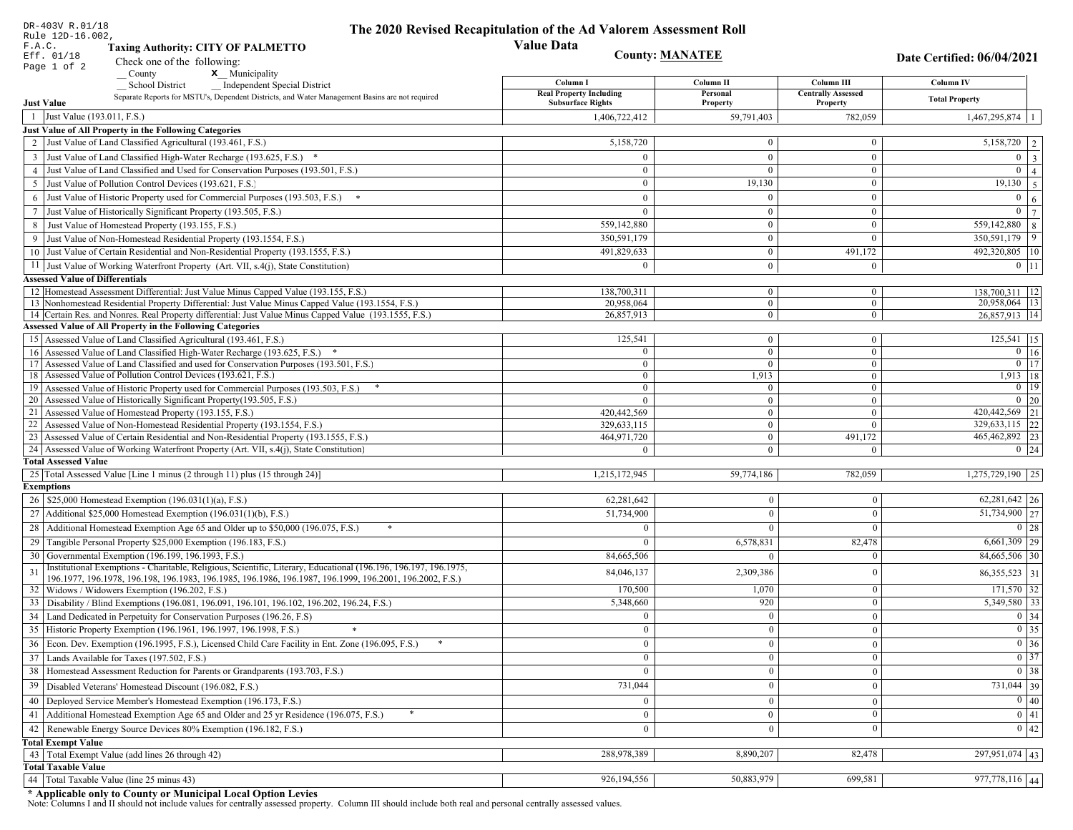| DR-403V R.01/18<br>Rule 12D-16.002,                                                                                                                                         | The 2020 Revised Recapitulation of the Ad Valorem Assessment Roll |                                  |                                         |                                                                                                   |
|-----------------------------------------------------------------------------------------------------------------------------------------------------------------------------|-------------------------------------------------------------------|----------------------------------|-----------------------------------------|---------------------------------------------------------------------------------------------------|
| F.A.C.<br><b>Taxing Authority: CITY OF PALMETTO</b>                                                                                                                         | <b>Value Data</b>                                                 |                                  |                                         |                                                                                                   |
| Eff. 01/18<br>Check one of the following:<br>Page 1 of 2                                                                                                                    |                                                                   | <b>County: MANATEE</b>           |                                         | Date Certified: 06/04/2021                                                                        |
| x Municipality<br>County                                                                                                                                                    |                                                                   |                                  |                                         |                                                                                                   |
| <b>School District</b><br><b>Independent Special District</b>                                                                                                               | Column I<br><b>Real Property Including</b>                        | Column <sub>II</sub><br>Personal | Column III<br><b>Centrally Assessed</b> | <b>Column IV</b>                                                                                  |
| Separate Reports for MSTU's, Dependent Districts, and Water Management Basins are not required<br><b>Just Value</b>                                                         | <b>Subsurface Rights</b>                                          | Property                         | Property                                | <b>Total Property</b>                                                                             |
| 1 Just Value (193.011, F.S.)                                                                                                                                                | 1,406,722,412                                                     | 59,791,403                       | 782,059                                 | 1,467,295,874                                                                                     |
| Just Value of All Property in the Following Categories                                                                                                                      |                                                                   |                                  |                                         |                                                                                                   |
| 2 Just Value of Land Classified Agricultural (193.461, F.S.)                                                                                                                | 5,158,720                                                         | $\overline{0}$                   | $\bf{0}$                                | 5,158,720<br>2                                                                                    |
| 3 Just Value of Land Classified High-Water Recharge (193.625, F.S.) *                                                                                                       | $\theta$                                                          | $\theta$                         | $\overline{0}$                          | $\overline{0}$<br>$\overline{\mathbf{3}}$                                                         |
| 4 Just Value of Land Classified and Used for Conservation Purposes (193.501, F.S.)                                                                                          | $\Omega$                                                          | $\Omega$                         | $\bf{0}$                                | $\overline{0}$<br>$\overline{4}$                                                                  |
| 5 Just Value of Pollution Control Devices (193.621, F.S.)                                                                                                                   | $\overline{0}$                                                    | 19,130                           | $\bf{0}$                                | 19,130<br>5                                                                                       |
| Just Value of Historic Property used for Commercial Purposes (193.503, F.S.)<br>6                                                                                           | $\theta$                                                          | $\Omega$                         | $\mathbf{0}$                            | $\overline{0}$<br>6                                                                               |
| Just Value of Historically Significant Property (193.505, F.S.)<br>7                                                                                                        | $\overline{0}$                                                    | $\overline{0}$                   | $\bf{0}$                                | $\mathbf{0}$<br>$\overline{7}$                                                                    |
| 8 Just Value of Homestead Property (193.155, F.S.)                                                                                                                          | 559,142,880                                                       | $\mathbf{0}$                     | $\bf{0}$                                | 559,142,880<br>8                                                                                  |
| Just Value of Non-Homestead Residential Property (193.1554, F.S.)                                                                                                           | 350,591,179                                                       | $\overline{0}$                   | $\theta$                                | 9<br>350,591,179                                                                                  |
| 10 Just Value of Certain Residential and Non-Residential Property (193.1555, F.S.)                                                                                          | 491,829,633                                                       | $\overline{0}$                   | 491,172                                 | 492,320,805 10                                                                                    |
| 11 Just Value of Working Waterfront Property (Art. VII, s.4(j), State Constitution)                                                                                         | $\Omega$                                                          | $\overline{0}$                   | $\mathbf{0}$                            | $0$ 11                                                                                            |
| <b>Assessed Value of Differentials</b>                                                                                                                                      |                                                                   |                                  |                                         |                                                                                                   |
| 12 Homestead Assessment Differential: Just Value Minus Capped Value (193.155, F.S.)                                                                                         | 138,700,311                                                       | $\overline{0}$                   | $\bf{0}$                                | 138,700,311   12                                                                                  |
| 13 Nonhomestead Residential Property Differential: Just Value Minus Capped Value (193.1554, F.S.)                                                                           | 20,958,064                                                        | $\overline{0}$                   | $\overline{0}$                          | 20,958,064 13                                                                                     |
| 14 Certain Res. and Nonres. Real Property differential: Just Value Minus Capped Value (193.1555, F.S.)<br><b>Assessed Value of All Property in the Following Categories</b> | 26,857,913                                                        | $\overline{0}$                   | $\mathbf{0}$                            | 26.857.913 14                                                                                     |
| 15 Assessed Value of Land Classified Agricultural (193.461, F.S.)                                                                                                           | 125,541                                                           | $\overline{0}$                   | $\bf{0}$                                | $125,541$ 15                                                                                      |
| 16 Assessed Value of Land Classified High-Water Recharge (193.625, F.S.) *                                                                                                  | $\overline{0}$                                                    | $\overline{0}$                   | $\overline{0}$                          | $0 \mid 16$                                                                                       |
| 17 Assessed Value of Land Classified and used for Conservation Purposes (193.501, F.S.)                                                                                     | $\overline{0}$                                                    | $\overline{0}$                   | $\bf{0}$                                | $\boxed{0}$ $\boxed{17}$                                                                          |
| 18 Assessed Value of Pollution Control Devices (193.621, F.S.)                                                                                                              | $\mathbf{0}$                                                      | 1,913                            | $\overline{0}$                          | 1,913   18                                                                                        |
| 19 Assessed Value of Historic Property used for Commercial Purposes (193.503, F.S.)                                                                                         | $\bf{0}$                                                          | $\bf{0}$                         | $\bf{0}$                                | $0$   19                                                                                          |
| 20 Assessed Value of Historically Significant Property (193.505, F.S.)                                                                                                      | $\theta$                                                          | $\mathbf{0}$                     | $\mathbf{0}$                            | $0 \mid 20$                                                                                       |
| 21 Assessed Value of Homestead Property (193.155, F.S.)                                                                                                                     | 420,442,569                                                       | $\overline{0}$                   | $\mathbf{0}$                            | 420,442,569 21                                                                                    |
| 22 Assessed Value of Non-Homestead Residential Property (193.1554, F.S.)                                                                                                    | 329,633,115                                                       | $\overline{0}$                   | $\overline{0}$                          | 329,633,115 22                                                                                    |
| 23 Assessed Value of Certain Residential and Non-Residential Property (193.1555, F.S.)                                                                                      | 464,971,720                                                       | $\overline{0}$                   | 491,172                                 | 465,462,892 23                                                                                    |
| 24 Assessed Value of Working Waterfront Property (Art. VII, s.4(j), State Constitution)<br><b>Total Assessed Value</b>                                                      | $\Omega$                                                          | $\theta$                         | $\Omega$                                | $0 \quad 24$                                                                                      |
| 25 Total Assessed Value [Line 1 minus (2 through 11) plus (15 through 24)]                                                                                                  | 1,215,172,945                                                     | 59,774,186                       | 782,059                                 | 1,275,729,190   25                                                                                |
| <b>Exemptions</b>                                                                                                                                                           |                                                                   |                                  |                                         |                                                                                                   |
| 26   \$25,000 Homestead Exemption (196.031(1)(a), F.S.)                                                                                                                     | 62,281,642                                                        | $\bf{0}$                         | $\mathbf{0}$                            | $62,281,642$   26                                                                                 |
| 27   Additional \$25,000 Homestead Exemption $(196.031(1)(b), F.S.)$                                                                                                        | 51,734,900                                                        | $\Omega$                         | $\theta$                                | 51,734,900 27                                                                                     |
| 28 Additional Homestead Exemption Age 65 and Older up to \$50,000 (196.075, F.S.)                                                                                           | $\Omega$                                                          | $\Omega$                         | $\Omega$                                | 0 28                                                                                              |
| 29 Tangible Personal Property \$25,000 Exemption (196.183, F.S.)                                                                                                            | $\Omega$                                                          | 6,578,831                        | 82,478                                  | $6,661,309$ 29                                                                                    |
| 30 Governmental Exemption (196.199, 196.1993, F.S.)                                                                                                                         | 84,665,506                                                        | $\theta$                         |                                         | 84,665,506 30                                                                                     |
| Institutional Exemptions - Charitable, Religious, Scientific, Literary, Educational (196.196, 196.197, 196.1975,                                                            |                                                                   |                                  |                                         |                                                                                                   |
| 31<br>196.1977, 196.1978, 196.198, 196.1983, 196.1985, 196.1986, 196.1987, 196.1999, 196.2001, 196.2002, F.S.)                                                              | 84,046,137                                                        | 2,309,386                        | 0                                       | 86, 355, 523 31                                                                                   |
| 32   Widows / Widowers Exemption (196.202, F.S.)                                                                                                                            | 170,500                                                           | 1,070                            | $\mathbf{0}$                            | $171,570$ 32                                                                                      |
| 33 Disability / Blind Exemptions (196.081, 196.091, 196.101, 196.102, 196.202, 196.24, F.S.)                                                                                | 5,348,660                                                         | 920                              | $\Omega$                                | 5,349,580 33                                                                                      |
| 34 Land Dedicated in Perpetuity for Conservation Purposes (196.26, F.S)                                                                                                     | $\Omega$                                                          | $\Omega$                         | $\theta$                                | $\boxed{0}$ 34                                                                                    |
| 35 Historic Property Exemption (196.1961, 196.1997, 196.1998, F.S.)                                                                                                         | $\cup$                                                            | $\mathbf{0}$                     | $\mathbf{0}$                            | $\begin{array}{ c c }\n\hline\n0 & 35 \\ \hline\n0 & 36 \\ \hline\n0 & 37 \\ \hline\n\end{array}$ |
| 36 Econ. Dev. Exemption (196.1995, F.S.), Licensed Child Care Facility in Ent. Zone (196.095, F.S.)                                                                         | $\overline{0}$                                                    | $\Omega$                         | $\theta$                                |                                                                                                   |
| 37 Lands Available for Taxes (197.502, F.S.)                                                                                                                                | $\overline{0}$                                                    | $\theta$                         | $\theta$                                |                                                                                                   |
| 38   Homestead Assessment Reduction for Parents or Grandparents (193.703, F.S.)                                                                                             | $\mathbf{0}$                                                      | $\bf{0}$                         | $\mathbf{0}$                            | $\boxed{0}$ 38                                                                                    |
| Disabled Veterans' Homestead Discount (196.082, F.S.)<br>39                                                                                                                 | 731,044                                                           | $\Omega$                         | $\boldsymbol{0}$                        | 731,044 39                                                                                        |
| 40 Deployed Service Member's Homestead Exemption (196.173, F.S.)                                                                                                            | $\overline{0}$                                                    | $\Omega$                         | $\theta$                                | $\overline{0}$ 40                                                                                 |
| 41 Additional Homestead Exemption Age 65 and Older and 25 yr Residence (196.075, F.S.)                                                                                      | $\overline{0}$                                                    | $\boldsymbol{0}$                 | $\mathbf{0}$                            | $\overline{0}$ 41                                                                                 |
| Renewable Energy Source Devices 80% Exemption (196.182, F.S.)<br>42                                                                                                         | $\overline{0}$                                                    | $\bf{0}$                         | $\boldsymbol{0}$                        | $\overline{0}$ 42                                                                                 |
| <b>Total Exempt Value</b>                                                                                                                                                   |                                                                   |                                  |                                         |                                                                                                   |
| 43 Total Exempt Value (add lines 26 through 42)                                                                                                                             | 288,978,389                                                       | 8,890,207                        | 82,478                                  | 297,951,074 43                                                                                    |
| <b>Total Taxable Value</b>                                                                                                                                                  |                                                                   |                                  |                                         |                                                                                                   |
| Total Taxable Value (line 25 minus 43)<br>44                                                                                                                                | 926,194,556                                                       | 50,883,979                       | 699,581                                 | 977,778,116 44                                                                                    |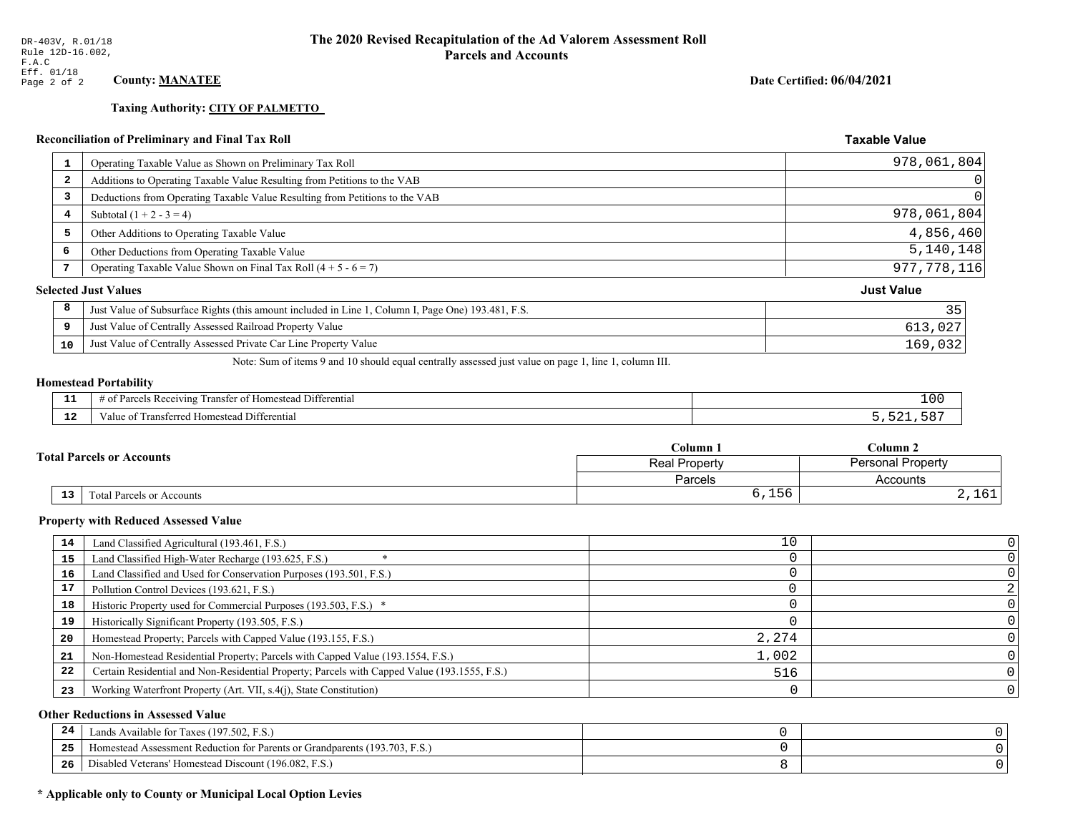**Taxing Authority: CITY OF PALMETTO** 

# **Reconciliation of Preliminary and Final Tax Roll**

|                         | <b>Reconciliation of Preliminary and Final Tax Roll</b>                                            | <b>Taxable Value</b> |
|-------------------------|----------------------------------------------------------------------------------------------------|----------------------|
| 1                       | Operating Taxable Value as Shown on Preliminary Tax Roll                                           | 978,061,804          |
| $\overline{\mathbf{2}}$ | Additions to Operating Taxable Value Resulting from Petitions to the VAB                           | $\vert 0 \vert$      |
| 3                       | Deductions from Operating Taxable Value Resulting from Petitions to the VAB                        | 0                    |
| 4                       | Subtotal $(1 + 2 - 3 = 4)$                                                                         | 978,061,804          |
| 5                       | Other Additions to Operating Taxable Value                                                         | 4,856,460            |
| 6                       | Other Deductions from Operating Taxable Value                                                      | 5,140,148            |
| 7                       | Operating Taxable Value Shown on Final Tax Roll $(4 + 5 - 6 = 7)$                                  | 977, 778, 116        |
|                         | <b>Selected Just Values</b>                                                                        | <b>Just Value</b>    |
| 8                       | Just Value of Subsurface Rights (this amount included in Line 1, Column I, Page One) 193.481, F.S. | 35                   |
| 9                       | Just Value of Centrally Assessed Railroad Property Value                                           | 613,027              |
| 10                      | Just Value of Centrally Assessed Private Car Line Property Value                                   | 169,032              |

Note: Sum of items 9 and 10 should equal centrally assessed just value on page 1, line 1, column III.

# **Homestead Portability**

| - -<br>.     | Differential<br>$^{\circ}$ $^{\circ}$ $^{\circ}$ $^{\circ}$ $^{\circ}$ $^{\circ}$ $^{\circ}$ $^{\circ}$ $^{\circ}$ $^{\circ}$ $^{\circ}$ $^{\circ}$ $^{\circ}$ $^{\circ}$ $^{\circ}$ $^{\circ}$ $^{\circ}$ $^{\circ}$ $^{\circ}$ $^{\circ}$ $^{\circ}$ $^{\circ}$ $^{\circ}$ $^{\circ}$ $^{\circ}$ $^{\circ}$ $^{\circ}$ $^{\circ}$ $^{\circ}$ $^{\circ}$ $^{\circ}$ $^{\circ$<br>rancte<br>: Rec<br>nnn<br>∵omestean.<br>. . | 10 <sub>0</sub> |
|--------------|-------------------------------------------------------------------------------------------------------------------------------------------------------------------------------------------------------------------------------------------------------------------------------------------------------------------------------------------------------------------------------------------------------------------------------|-----------------|
| $\sim$<br>-- | <b>Differential</b><br>Transferreg<br><b>Homestea</b><br>anne                                                                                                                                                                                                                                                                                                                                                                 |                 |

|                                              | $C$ olumn $\lambda$                              | $\mathbb C$ olumn 2              |  |
|----------------------------------------------|--------------------------------------------------|----------------------------------|--|
| <b>Total Parcels or Accounts</b>             | <b>Personal Property</b><br><b>Real Property</b> |                                  |  |
|                                              | <b>Parcels</b>                                   | Accounts                         |  |
| $\overline{13}$<br>Total Parcels or Accounts | $\sim$ $\sim$<br>5<br>0,10                       | ,⊥∪⊥<br>$\overline{\phantom{a}}$ |  |

#### **Property with Reduced Assessed Value**

| 14 | Land Classified Agricultural (193.461, F.S.)                                                 | 10    |  |
|----|----------------------------------------------------------------------------------------------|-------|--|
| 15 | Land Classified High-Water Recharge (193.625, F.S.)                                          |       |  |
| 16 | Land Classified and Used for Conservation Purposes (193.501, F.S.)                           |       |  |
| 17 | Pollution Control Devices (193.621, F.S.)                                                    |       |  |
| 18 | Historic Property used for Commercial Purposes (193.503, F.S.) *                             |       |  |
| 19 | Historically Significant Property (193.505, F.S.)                                            |       |  |
| 20 | Homestead Property; Parcels with Capped Value (193.155, F.S.)                                | 2,274 |  |
| 21 | Non-Homestead Residential Property; Parcels with Capped Value (193.1554, F.S.)               | 1,002 |  |
| 22 | Certain Residential and Non-Residential Property; Parcels with Capped Value (193.1555, F.S.) | 516   |  |
| 23 | Working Waterfront Property (Art. VII, s.4(j), State Constitution)                           |       |  |

## **Other Reductions in Assessed Value**

| 24    | Lands Available for Taxes (197.502, F.S.)                                  |  |
|-------|----------------------------------------------------------------------------|--|
| - - - | Homestead Assessment Reduction for Parents or Grandparents (193.703, F.S.) |  |
| -26   | Disabled Veterans' Homestead Discount (196.082, F.S.)                      |  |

## \* Applicable only to County or Municipal Local Option Levies

Date Certified: 06/04/2021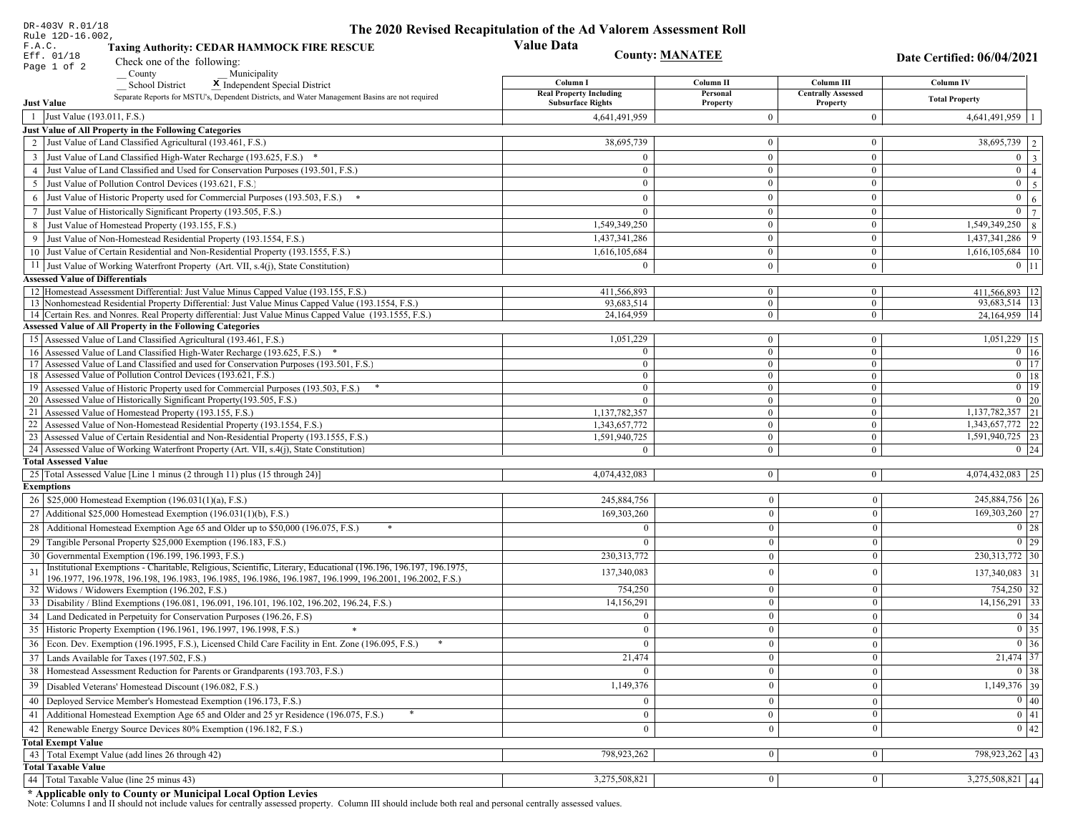| DR-403V R.01/18                                                                                                                                                                                             | The 2020 Revised Recapitulation of the Ad Valorem Assessment Roll |                                  |                                       |                                          |
|-------------------------------------------------------------------------------------------------------------------------------------------------------------------------------------------------------------|-------------------------------------------------------------------|----------------------------------|---------------------------------------|------------------------------------------|
| Rule 12D-16.002,<br>F.A.C.<br><b>Taxing Authority: CEDAR HAMMOCK FIRE RESCUE</b>                                                                                                                            | <b>Value Data</b>                                                 |                                  |                                       |                                          |
| Eff. 01/18<br>Check one of the following:                                                                                                                                                                   | <b>County: MANATEE</b>                                            |                                  |                                       | Date Certified: 06/04/2021               |
| Page 1 of 2<br>County<br>Municipality                                                                                                                                                                       |                                                                   |                                  |                                       |                                          |
| <b>School District</b><br>X Independent Special District                                                                                                                                                    | Column I                                                          | Column II                        | Column III                            | Column IV                                |
| Separate Reports for MSTU's, Dependent Districts, and Water Management Basins are not required<br><b>Just Value</b>                                                                                         | <b>Real Property Including</b><br><b>Subsurface Rights</b>        | Personal<br>Property             | <b>Centrally Assessed</b><br>Property | <b>Total Property</b>                    |
| 1 Just Value (193.011, F.S.)                                                                                                                                                                                | 4,641,491,959                                                     | $\overline{0}$                   | $\boldsymbol{0}$                      | $4,641,491,959$   1                      |
| Just Value of All Property in the Following Categories                                                                                                                                                      |                                                                   |                                  |                                       |                                          |
| 2 Just Value of Land Classified Agricultural (193.461, F.S.)                                                                                                                                                | 38,695,739                                                        | $\mathbf{0}$                     | $\bf{0}$                              | 38,695,739 2                             |
| 3 Just Value of Land Classified High-Water Recharge (193.625, F.S.) *                                                                                                                                       | $\Omega$                                                          | $\mathbf{0}$                     | $\bf{0}$                              | $0 \mid 3 \mid$                          |
| 4 Just Value of Land Classified and Used for Conservation Purposes (193.501, F.S.)                                                                                                                          | $\Omega$                                                          | $\overline{0}$                   | $\bf{0}$                              | $0 \mid 4 \mid$                          |
| 5 Just Value of Pollution Control Devices (193.621, F.S.)                                                                                                                                                   | $\bf{0}$                                                          | $\mathbf{0}$                     | $\bf{0}$                              | $0 \quad 5$                              |
| 6 Just Value of Historic Property used for Commercial Purposes (193.503, F.S.) *                                                                                                                            | $\Omega$                                                          | $\theta$                         | $\bf{0}$                              | $\mathbf{0}$<br>6 <sup>1</sup>           |
| 7 Just Value of Historically Significant Property (193.505, F.S.)                                                                                                                                           | $\mathbf{0}$                                                      | $\overline{0}$                   | $\bf{0}$                              | $0 \mid 7 \mid$                          |
| 8 Just Value of Homestead Property (193.155, F.S.)                                                                                                                                                          | 1,549,349,250                                                     | $\mathbf{0}$                     | $\overline{0}$                        | $\overline{1,549,349,250}$ 8             |
| 9 Just Value of Non-Homestead Residential Property (193.1554, F.S.)                                                                                                                                         | 1,437,341,286                                                     | $\overline{0}$                   | $\bf{0}$                              | 1,437,341,286<br>9                       |
| 10 Just Value of Certain Residential and Non-Residential Property (193.1555, F.S.)                                                                                                                          | 1,616,105,684                                                     | $\mathbf{0}$                     | $\bf{0}$                              | $1,616,105,684$   10                     |
| 11 Just Value of Working Waterfront Property (Art. VII, s.4(j), State Constitution)                                                                                                                         | $\theta$                                                          | $\mathbf{0}$                     | $\bf{0}$                              | $0 \;   \; 11$                           |
| <b>Assessed Value of Differentials</b>                                                                                                                                                                      |                                                                   |                                  |                                       |                                          |
| 12 Homestead Assessment Differential: Just Value Minus Capped Value (193.155, F.S.)                                                                                                                         | 411,566,893                                                       | $\bf{0}$                         | $\bf{0}$                              | 411,566,893 12                           |
| 13 Nonhomestead Residential Property Differential: Just Value Minus Capped Value (193.1554, F.S.)<br>14 Certain Res. and Nonres. Real Property differential: Just Value Minus Capped Value (193.1555, F.S.) | 93,683,514<br>24,164,959                                          | $\overline{0}$<br>$\overline{0}$ | $\overline{0}$<br>$\mathbf{0}$        | 93,683,514 13<br>24, 164, 959   14       |
| Assessed Value of All Property in the Following Categories                                                                                                                                                  |                                                                   |                                  |                                       |                                          |
| 15 Assessed Value of Land Classified Agricultural (193.461, F.S.)                                                                                                                                           | 1,051,229                                                         | $\bf{0}$                         | $\bf{0}$                              | 1,051,229 15                             |
| 16 Assessed Value of Land Classified High-Water Recharge (193.625, F.S.) *                                                                                                                                  | $\Omega$                                                          | $\mathbf{0}$                     | $\bf{0}$                              | $0 \mid 16$                              |
| Assessed Value of Land Classified and used for Conservation Purposes (193.501, F.S.)<br>17                                                                                                                  | $\Omega$                                                          | $\mathbf{0}$                     | $\mathbf{0}$                          | $\boxed{0}$ $\boxed{17}$                 |
| 18 Assessed Value of Pollution Control Devices (193.621, F.S.)                                                                                                                                              | $\Omega$                                                          | $\mathbf{0}$                     | $\mathbf{0}$                          | $0$ 18                                   |
| 19 Assessed Value of Historic Property used for Commercial Purposes (193.503, F.S.)                                                                                                                         | $\bf{0}$                                                          | $\overline{0}$                   | $\overline{0}$                        | $0$ 19                                   |
| 20 Assessed Value of Historically Significant Property (193.505, F.S.)                                                                                                                                      | $\Omega$                                                          | $\overline{0}$                   | $\overline{0}$                        | $0 \mid 20$                              |
| 21 Assessed Value of Homestead Property (193.155, F.S.)<br>22 Assessed Value of Non-Homestead Residential Property (193.1554, F.S.)                                                                         | 1,137,782,357<br>1,343,657,772                                    | $\overline{0}$<br>$\overline{0}$ | $\bf{0}$<br>$\mathbf{0}$              | $1,137,782,357$ 21<br>$1,343,657,772$ 22 |
| 23 Assessed Value of Certain Residential and Non-Residential Property (193.1555, F.S.)                                                                                                                      | 1,591,940,725                                                     | $\overline{0}$                   | $\bf{0}$                              | 1,591,940,725 23                         |
| 24 Assessed Value of Working Waterfront Property (Art. VII, s.4(j), State Constitution)                                                                                                                     |                                                                   | $\overline{0}$                   | $\bf{0}$                              | $0 \mid 24$                              |
| <b>Total Assessed Value</b>                                                                                                                                                                                 |                                                                   |                                  |                                       |                                          |
| 25 Total Assessed Value [Line 1 minus (2 through 11) plus (15 through 24)]                                                                                                                                  | 4,074,432,083                                                     | $\overline{0}$                   | $\overline{0}$                        | $4,074,432,083$   25                     |
| <b>Exemptions</b>                                                                                                                                                                                           |                                                                   |                                  |                                       |                                          |
| 26   \$25,000 Homestead Exemption (196.031(1)(a), F.S.)                                                                                                                                                     | 245,884,756                                                       | $\mathbf{0}$                     | $\boldsymbol{0}$                      | 245,884,756 26                           |
| 27   Additional \$25,000 Homestead Exemption (196.031(1)(b), F.S.)                                                                                                                                          | 169,303,260                                                       | $\Omega$                         | $\mathbf{0}$                          | 169,303,260 27                           |
| 28 Additional Homestead Exemption Age 65 and Older up to \$50,000 (196.075, F.S.)                                                                                                                           | $\Omega$                                                          | $\overline{0}$                   | $\mathbf{0}$                          | $\boxed{0}$ 28                           |
| 29 Tangible Personal Property \$25,000 Exemption (196.183, F.S.)                                                                                                                                            |                                                                   | $\Omega$                         | $\mathbf{0}$                          | $0$   29                                 |
| 30 Governmental Exemption (196.199, 196.1993, F.S.)                                                                                                                                                         | 230, 313, 772                                                     | $\mathbf{0}$                     | $\mathbf{0}$                          | 230, 313, 772 30                         |
| Institutional Exemptions - Charitable, Religious, Scientific, Literary, Educational (196.196, 196.197, 196.1975,                                                                                            | 137,340,083                                                       | $\theta$                         | $\mathbf{0}$                          | $137,340,083$ 31                         |
| 196.1977, 196.1978, 196.198, 196.1983, 196.1985, 196.1986, 196.1987, 196.1999, 196.2001, 196.2002, F.S.)<br>32 Widows / Widowers Exemption (196.202, F.S.)                                                  | 754,250                                                           | $\mathbf{0}$                     | $\mathbf{0}$                          | 754,250 32                               |
| 33 Disability / Blind Exemptions (196.081, 196.091, 196.101, 196.102, 196.202, 196.24, F.S.)                                                                                                                | 14,156,291                                                        | $\overline{0}$                   | $\mathbf{0}$                          | $14,156,291$ 33                          |
| 34 Land Dedicated in Perpetuity for Conservation Purposes (196.26, F.S)                                                                                                                                     |                                                                   | $\Omega$                         | $\Omega$                              | 0 34                                     |
| 35 Historic Property Exemption (196.1961, 196.1997, 196.1998, F.S.)                                                                                                                                         | 0                                                                 | $\mathbf{U}$                     | $\mathbf{0}$                          | $\boxed{0}$ 35                           |
| 36 Econ. Dev. Exemption (196.1995, F.S.), Licensed Child Care Facility in Ent. Zone (196.095, F.S.)                                                                                                         |                                                                   | $\Omega$                         | $\Omega$                              | $\boxed{0}$ 36                           |
| 37 Lands Available for Taxes (197.502, F.S.)                                                                                                                                                                | 21,474                                                            | $\Omega$                         | $\mathbf{0}$                          | $21,474$ 37                              |
| 38   Homestead Assessment Reduction for Parents or Grandparents (193.703, F.S.)                                                                                                                             |                                                                   | $\bf{0}$                         | $\boldsymbol{0}$                      | 0 38                                     |
| 39   Disabled Veterans' Homestead Discount (196.082, F.S.)                                                                                                                                                  | 1,149,376                                                         |                                  | $\mathbf{0}$                          | $1,149,376$ 39                           |
| 40   Deployed Service Member's Homestead Exemption (196.173, F.S.)                                                                                                                                          |                                                                   | $\theta$                         | $\mathbf{0}$                          | $\boxed{0}$ 40                           |
| 41   Additional Homestead Exemption Age 65 and Older and 25 yr Residence (196.075, F.S.)                                                                                                                    | $\overline{0}$                                                    | $\mathbf{0}$                     | $\mathbf{0}$                          | $\overline{0}$ 41                        |
| 42   Renewable Energy Source Devices 80% Exemption (196.182, F.S.)                                                                                                                                          | $\bf{0}$                                                          | $\mathbf{0}$                     | $\mathbf{0}$                          | $0 \mid 42$                              |
| <b>Total Exempt Value</b>                                                                                                                                                                                   |                                                                   |                                  |                                       |                                          |
| 43 Total Exempt Value (add lines 26 through 42)                                                                                                                                                             | 798,923,262                                                       | $\Omega$                         | $\mathbf{0}$                          | 798,923,262 43                           |
| <b>Total Taxable Value</b>                                                                                                                                                                                  |                                                                   |                                  |                                       |                                          |
| 44   Total Taxable Value (line 25 minus 43)                                                                                                                                                                 | 3,275,508,821                                                     | 0 <sup>1</sup>                   | $\mathbf{0}$                          | $3,275,508,821$ 44                       |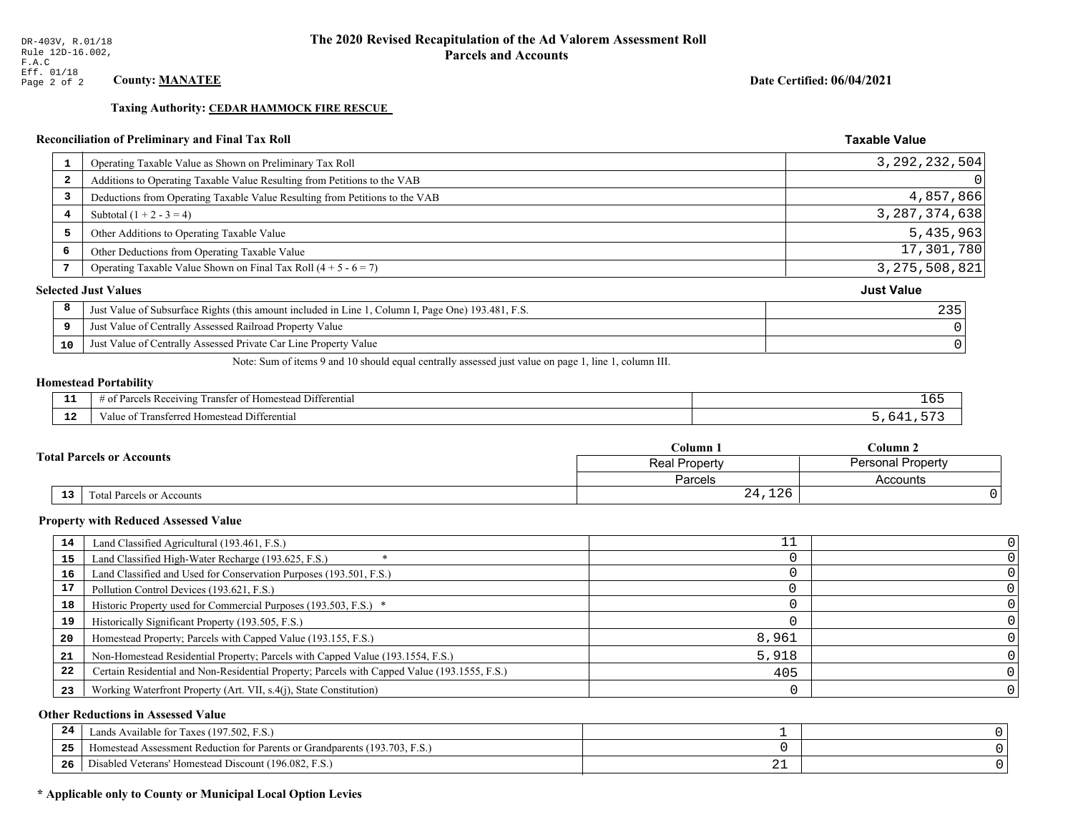**Taxing Authority: CEDAR HAMMOCK FIRE RESCUE** 

## Reconciliation of Preliminary and Final Tax Roll

| 1                       | Operating Taxable Value as Shown on Preliminary Tax Roll                                           | 3, 292, 232, 504  |
|-------------------------|----------------------------------------------------------------------------------------------------|-------------------|
| $\overline{\mathbf{2}}$ | Additions to Operating Taxable Value Resulting from Petitions to the VAB                           |                   |
| 3                       | Deductions from Operating Taxable Value Resulting from Petitions to the VAB                        | 4,857,866         |
| 4                       | Subtotal $(1 + 2 - 3 = 4)$                                                                         | 3, 287, 374, 638  |
| 5                       | Other Additions to Operating Taxable Value                                                         | 5,435,963         |
| 6                       | Other Deductions from Operating Taxable Value                                                      | 17,301,780        |
| 7                       | Operating Taxable Value Shown on Final Tax Roll $(4 + 5 - 6 = 7)$                                  | 3, 275, 508, 821  |
|                         | <b>Selected Just Values</b>                                                                        | <b>Just Value</b> |
| 8                       | Just Value of Subsurface Rights (this amount included in Line 1, Column I, Page One) 193.481, F.S. | 235               |
| 9                       | Just Value of Centrally Assessed Railroad Property Value                                           |                   |
| 10                      | Just Value of Centrally Assessed Private Car Line Property Value                                   |                   |
|                         |                                                                                                    |                   |

Note: Sum of items 9 and 10 should equal centrally assessed just value on page 1, line 1, column III.

## **Homestead Portability**

| --          | $\cdots$<br>Differential<br>: Ret<br>eiving<br>ranster.<br>,,,,,, | TP. |
|-------------|-------------------------------------------------------------------|-----|
| $\sim$<br>. | <br>l Differential<br>Fransferred Homestead<br>anue oi            |     |

|  |                                              | Column 1                                  | Column 2 |  |
|--|----------------------------------------------|-------------------------------------------|----------|--|
|  | <b>Fotal Parcels or Accounts</b>             | <b>Personal Property</b><br>Real Property |          |  |
|  |                                              | Parcels                                   | Accounts |  |
|  | 13 <sub>1</sub><br>Total Parcels or Accounts | 24,126                                    |          |  |

#### **Property with Reduced Assessed Value**

| 14 | Land Classified Agricultural (193.461, F.S.)                                                 |       |  |
|----|----------------------------------------------------------------------------------------------|-------|--|
| 15 | Land Classified High-Water Recharge (193.625, F.S.)                                          |       |  |
| 16 | Land Classified and Used for Conservation Purposes (193.501, F.S.)                           |       |  |
| 17 | Pollution Control Devices (193.621, F.S.)                                                    |       |  |
| 18 | Historic Property used for Commercial Purposes (193.503, F.S.) *                             |       |  |
| 19 | Historically Significant Property (193.505, F.S.)                                            |       |  |
| 20 | Homestead Property; Parcels with Capped Value (193.155, F.S.)                                | 8,961 |  |
| 21 | Non-Homestead Residential Property; Parcels with Capped Value (193.1554, F.S.)               | 5,918 |  |
| 22 | Certain Residential and Non-Residential Property; Parcels with Capped Value (193.1555, F.S.) | 405   |  |
| 23 | Working Waterfront Property (Art. VII, s.4(j), State Constitution)                           |       |  |

## **Other Reductions in Assessed Value**

| 24    | Lands Available for Taxes (197.502, F.S.)                                  |     |  |
|-------|----------------------------------------------------------------------------|-----|--|
| - - - | Iomestead Assessment Reduction for Parents or Grandparents (193.703, F.S.) |     |  |
| -26   | l Veterans' Homestead Discount (196.082, F.S.)<br>Disabled                 | ∸ → |  |

## \* Applicable only to County or Municipal Local Option Levies

Date Certified: 06/04/2021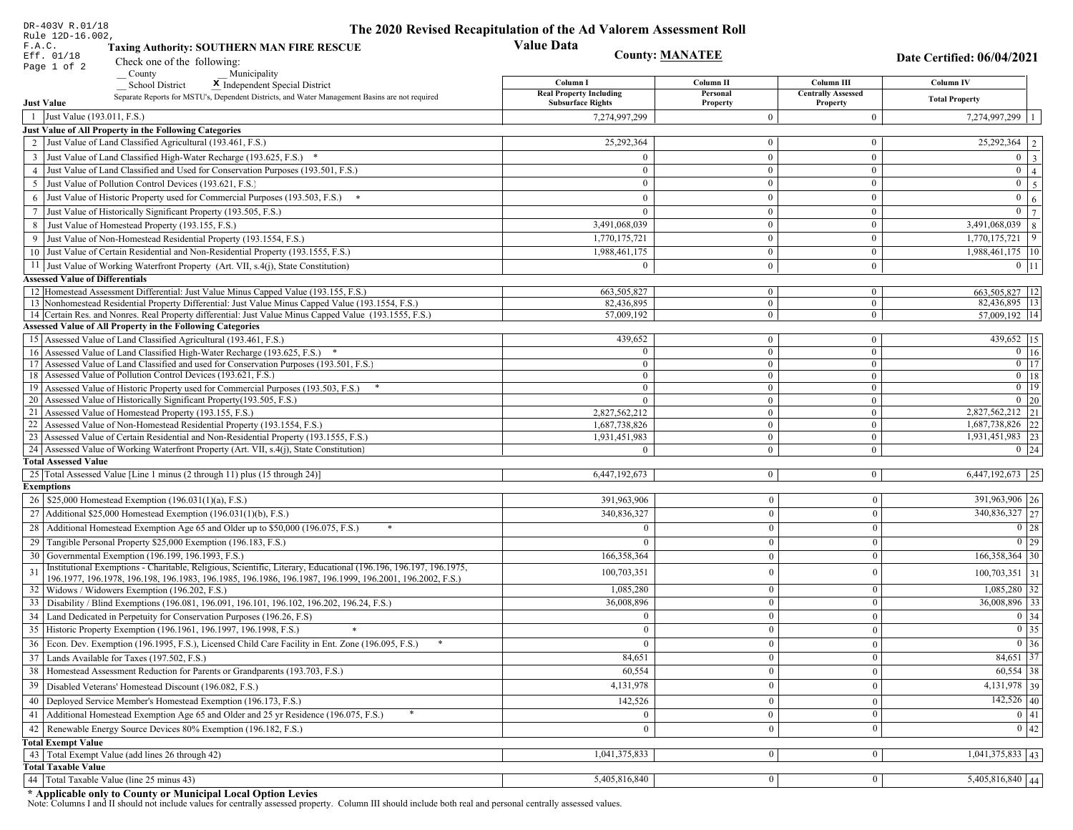| DR-403V R.01/18                                                                                                                                                                                             | The 2020 Revised Recapitulation of the Ad Valorem Assessment Roll |                                  |                                         |                                              |
|-------------------------------------------------------------------------------------------------------------------------------------------------------------------------------------------------------------|-------------------------------------------------------------------|----------------------------------|-----------------------------------------|----------------------------------------------|
| Rule 12D-16.002,<br>F.A.C.<br><b>Taxing Authority: SOUTHERN MAN FIRE RESCUE</b>                                                                                                                             | <b>Value Data</b>                                                 |                                  |                                         |                                              |
| Eff. 01/18<br>Check one of the following:                                                                                                                                                                   | <b>County: MANATEE</b>                                            |                                  |                                         | Date Certified: 06/04/2021                   |
| Page 1 of 2<br>County<br>Municipality                                                                                                                                                                       |                                                                   |                                  |                                         |                                              |
| <b>School District</b><br>X Independent Special District                                                                                                                                                    | Column I<br><b>Real Property Including</b>                        | Column II<br>Personal            | Column III<br><b>Centrally Assessed</b> | Column IV                                    |
| Separate Reports for MSTU's, Dependent Districts, and Water Management Basins are not required<br><b>Just Value</b>                                                                                         | <b>Subsurface Rights</b>                                          | Property                         | Property                                | <b>Total Property</b>                        |
| 1 Just Value (193.011, F.S.)                                                                                                                                                                                | 7,274,997,299                                                     | $\theta$                         | $\Omega$                                | 7,274,997,299                                |
| Just Value of All Property in the Following Categories                                                                                                                                                      |                                                                   |                                  |                                         |                                              |
| 2 Just Value of Land Classified Agricultural (193.461, F.S.)                                                                                                                                                | 25,292,364                                                        | $\mathbf{0}$                     | $\mathbf{0}$                            | $\overline{25,292,364}$   2                  |
| 3 Just Value of Land Classified High-Water Recharge (193.625, F.S.) *                                                                                                                                       |                                                                   | $\theta$                         | $\theta$                                | $0 \mid 3$                                   |
| 4 Just Value of Land Classified and Used for Conservation Purposes (193.501, F.S.)                                                                                                                          | $\theta$                                                          | $\overline{0}$                   | $\mathbf{0}$                            | $\mathbf{0}$<br>$\vert 4 \vert$              |
| 5 Just Value of Pollution Control Devices (193.621, F.S.)                                                                                                                                                   | $\overline{0}$                                                    | $\mathbf{0}$                     | $\mathbf{0}$                            | $\overline{0}$<br>$5\overline{5}$            |
| 6 Just Value of Historic Property used for Commercial Purposes (193.503, F.S.) *                                                                                                                            | $\Omega$                                                          | $\theta$                         | $\theta$                                | $\mathbf{0}$<br>6                            |
| 7 Just Value of Historically Significant Property (193.505, F.S.)                                                                                                                                           | $\overline{0}$                                                    | $\overline{0}$                   | $\overline{0}$                          | $0 \mid 7 \mid$                              |
| 8 Just Value of Homestead Property (193.155, F.S.)                                                                                                                                                          | 3,491,068,039                                                     | $\overline{0}$                   | $\mathbf{0}$                            | 3,491,068,039<br>8                           |
| 9 Just Value of Non-Homestead Residential Property (193.1554, F.S.)                                                                                                                                         | 1,770,175,721                                                     | $\overline{0}$                   | $\Omega$                                | 9<br>1,770,175,721                           |
| 10 Just Value of Certain Residential and Non-Residential Property (193.1555, F.S.)                                                                                                                          | 1,988,461,175                                                     | $\overline{0}$                   | $\overline{0}$                          | 1,988,461,175   10                           |
| 11 Just Value of Working Waterfront Property (Art. VII, s.4(j), State Constitution)                                                                                                                         | $\Omega$                                                          | $\mathbf{0}$                     | $\overline{0}$                          | $0$   11                                     |
| <b>Assessed Value of Differentials</b>                                                                                                                                                                      |                                                                   |                                  |                                         |                                              |
| 12 Homestead Assessment Differential: Just Value Minus Capped Value (193.155, F.S.)                                                                                                                         | 663,505,827                                                       | $\mathbf{0}$                     | $\mathbf{0}$                            | 663,505,827   12                             |
| 13 Nonhomestead Residential Property Differential: Just Value Minus Capped Value (193.1554, F.S.)<br>14 Certain Res. and Nonres. Real Property differential: Just Value Minus Capped Value (193.1555, F.S.) | 82.436.895<br>57,009,192                                          | $\overline{0}$<br>$\overline{0}$ | $\overline{0}$<br>$\overline{0}$        | 82,436,895   13  <br>57,009,192 14           |
| <b>Assessed Value of All Property in the Following Categories</b>                                                                                                                                           |                                                                   |                                  |                                         |                                              |
| 15 Assessed Value of Land Classified Agricultural (193.461, F.S.)                                                                                                                                           | 439,652                                                           | $\mathbf{0}$                     | $\boldsymbol{0}$                        | 439,652 15                                   |
| 16 Assessed Value of Land Classified High-Water Recharge (193.625, F.S.) *                                                                                                                                  | $\Omega$                                                          | $\mathbf{0}$                     | $\Omega$                                | $0$ 16                                       |
| 17 Assessed Value of Land Classified and used for Conservation Purposes (193.501, F.S.)                                                                                                                     | $\Omega$                                                          | $\mathbf{0}$                     | $\mathbf{0}$                            | $\overline{0}$ $\overline{17}$               |
| 18 Assessed Value of Pollution Control Devices (193.621, F.S.)                                                                                                                                              | $\overline{0}$                                                    | $\mathbf{0}$                     | $\theta$                                | $\overline{0}$ 18                            |
| 19 Assessed Value of Historic Property used for Commercial Purposes (193.503, F.S.)                                                                                                                         | $\mathbf{0}$                                                      | $\mathbf{0}$                     | $\mathbf{0}$                            | $0$ 19                                       |
| 20 Assessed Value of Historically Significant Property (193.505, F.S.)                                                                                                                                      | $\theta$                                                          | $\overline{0}$                   | $\mathbf{0}$                            | $0\vert 20$<br>$\overline{2,827,562,212}$ 21 |
| 21 Assessed Value of Homestead Property (193.155, F.S.)<br>22 Assessed Value of Non-Homestead Residential Property (193.1554, F.S.)                                                                         | 2,827,562,212<br>1,687,738,826                                    | $\mathbf{0}$<br>$\overline{0}$   | $\overline{0}$<br>$\mathbf{0}$          | 1,687,738,826 22                             |
| 23 Assessed Value of Certain Residential and Non-Residential Property (193.1555, F.S.)                                                                                                                      | 1,931,451,983                                                     | $\overline{0}$                   | $\overline{0}$                          | 1,931,451,983 23                             |
| 24 Assessed Value of Working Waterfront Property (Art. VII, s.4(j), State Constitution                                                                                                                      |                                                                   | $\overline{0}$                   | $\Omega$                                | $0 \mid 24$                                  |
| <b>Total Assessed Value</b>                                                                                                                                                                                 |                                                                   |                                  |                                         |                                              |
| 25 Total Assessed Value [Line 1 minus (2 through 11) plus (15 through 24)]                                                                                                                                  | 6,447,192,673                                                     | $\overline{0}$                   | $\mathbf{0}$                            | $6,447,192,673$ 25                           |
| <b>Exemptions</b>                                                                                                                                                                                           |                                                                   |                                  |                                         |                                              |
| 26   \$25,000 Homestead Exemption (196.031(1)(a), F.S.)                                                                                                                                                     | 391,963,906                                                       | $\mathbf{0}$                     | $\mathbf{0}$                            | 391,963,906 26                               |
| 27   Additional \$25,000 Homestead Exemption (196.031(1)(b), F.S.)                                                                                                                                          | 340,836,327                                                       | $\overline{0}$                   | $\mathbf{0}$                            | 340,836,327 27                               |
| 28 Additional Homestead Exemption Age 65 and Older up to \$50,000 (196.075, F.S.)                                                                                                                           | $\Omega$                                                          | $\overline{0}$                   | $\mathbf{0}$                            | $0 \mid 28$                                  |
| 29 Tangible Personal Property \$25,000 Exemption (196.183, F.S.)                                                                                                                                            |                                                                   | $\theta$                         | $\mathbf{0}$                            | $\boxed{0}$ 29                               |
| 30 Governmental Exemption (196.199, 196.1993, F.S.)                                                                                                                                                         | 166,358,364                                                       | $\theta$                         | $\mathbf{0}$                            | $166,358,364$ 30                             |
| Institutional Exemptions - Charitable, Religious, Scientific, Literary, Educational (196.196, 196.197, 196.1975,<br>31                                                                                      | 100,703,351                                                       | $\theta$                         | $\mathbf{0}$                            | $100,703,351$ 31                             |
| 196.1977, 196.1978, 196.198, 196.1983, 196.1985, 196.1986, 196.1987, 196.1999, 196.2001, 196.2002, F.S.)<br>32   Widows / Widowers Exemption (196.202, F.S.)                                                | 1,085,280                                                         | $\mathbf{0}$                     | $\mathbf{0}$                            | $1,085,280$ 32                               |
| 33<br>Disability / Blind Exemptions (196.081, 196.091, 196.101, 196.102, 196.202, 196.24, F.S.)                                                                                                             | 36,008,896                                                        | $\Omega$                         | $\mathbf{0}$                            | $36,008,896$ 33                              |
| Land Dedicated in Perpetuity for Conservation Purposes (196.26, F.S)                                                                                                                                        |                                                                   | $\theta$                         | $\theta$                                | $0 \mid 34$                                  |
| 35 Historic Property Exemption (196.1961, 196.1997, 196.1998, F.S.)                                                                                                                                         | 0                                                                 | $\mathbf{0}$                     | $\mathbf{0}$                            | $\boxed{0}$ 35                               |
| 36 Econ. Dev. Exemption (196.1995, F.S.), Licensed Child Care Facility in Ent. Zone (196.095, F.S.)                                                                                                         |                                                                   | 0                                | $\mathbf{0}$                            | $0 \vert 36$                                 |
| $37$ Lands Available for Taxes (197.502, F.S.)                                                                                                                                                              | 84,651                                                            | 0                                | $\mathbf{0}$                            | 84,651 37                                    |
| 38   Homestead Assessment Reduction for Parents or Grandparents (193.703, F.S.)                                                                                                                             | 60,554                                                            | $\mathbf{0}$                     | $\bf{0}$                                | $60,554$ 38                                  |
| 39<br>Disabled Veterans' Homestead Discount (196.082, F.S.)                                                                                                                                                 | 4,131,978                                                         | $\theta$                         | $\mathbf{0}$                            | 4, 131, 978 39                               |
| Deployed Service Member's Homestead Exemption (196.173, F.S.)<br>40                                                                                                                                         | 142,526                                                           | $\theta$                         | $\mathbf{0}$                            | $142,526$ 40                                 |
| 41   Additional Homestead Exemption Age 65 and Older and 25 yr Residence (196.075, F.S.)                                                                                                                    | $\mathbf{0}$                                                      | $\mathbf{0}$                     | $\boldsymbol{0}$                        | 0 41                                         |
| 42 Renewable Energy Source Devices 80% Exemption (196.182, F.S.)                                                                                                                                            |                                                                   |                                  | $\mathbf{0}$                            | 0 42                                         |
| <b>Total Exempt Value</b>                                                                                                                                                                                   | $\mathbf{0}$                                                      | $\mathbf{0}$                     |                                         |                                              |
| 43 Total Exempt Value (add lines 26 through 42)                                                                                                                                                             | 1,041,375,833                                                     | $\mathbf{0}$                     | 0                                       | $1,041,375,833$ 43                           |
| <b>Total Taxable Value</b>                                                                                                                                                                                  |                                                                   |                                  |                                         |                                              |
| 44   Total Taxable Value (line 25 minus 43)                                                                                                                                                                 | 5,405,816,840                                                     | $\vert 0 \vert$                  | $\mathbf{0}$                            | $5,405,816,840$ 44                           |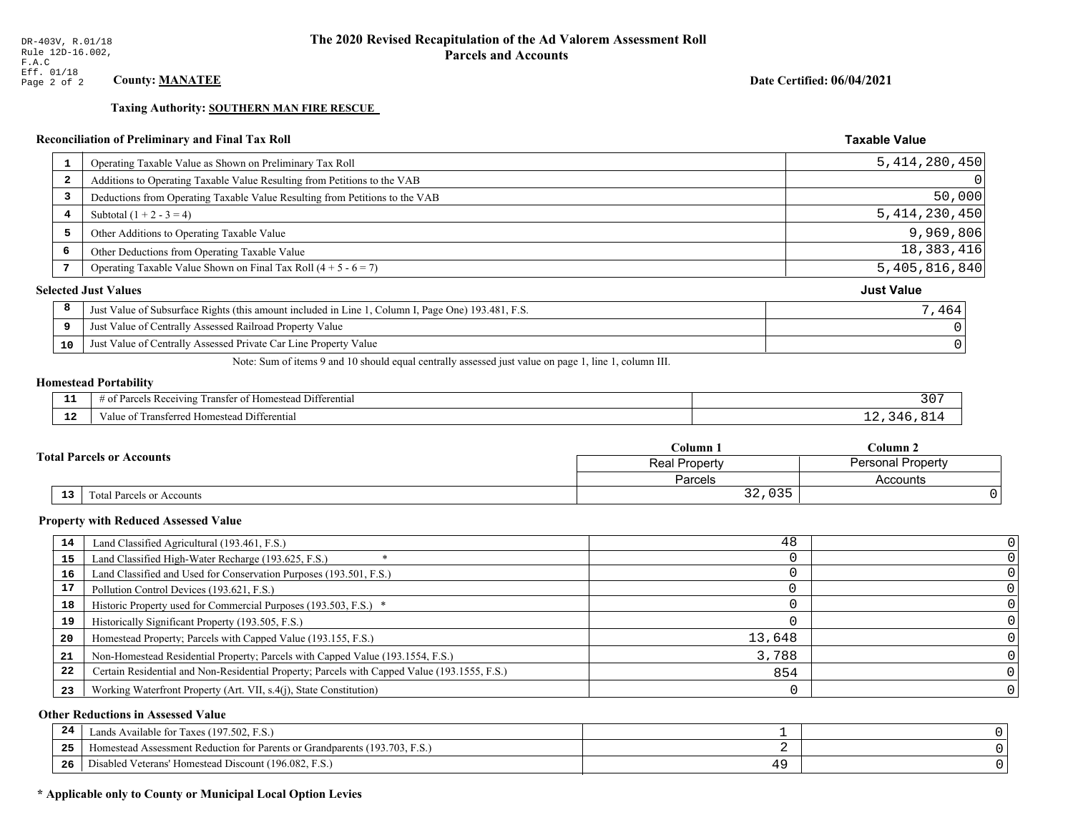**Taxing Authority: SOUTHERN MAN FIRE RESCUE** 

## Reconciliation of Preliminary and Final Tax Roll

| $\mathbf{1}$            | Operating Taxable Value as Shown on Preliminary Tax Roll                                           | 5, 414, 280, 450  |
|-------------------------|----------------------------------------------------------------------------------------------------|-------------------|
| $\overline{\mathbf{2}}$ | Additions to Operating Taxable Value Resulting from Petitions to the VAB                           |                   |
| 3                       | Deductions from Operating Taxable Value Resulting from Petitions to the VAB                        | 50,000            |
| 4                       | Subtotal $(1 + 2 - 3 = 4)$                                                                         | 5, 414, 230, 450  |
| 5                       | Other Additions to Operating Taxable Value                                                         | 9,969,806         |
| 6                       | Other Deductions from Operating Taxable Value                                                      | 18, 383, 416      |
| 7                       | Operating Taxable Value Shown on Final Tax Roll $(4 + 5 - 6 = 7)$                                  | 5,405,816,840     |
|                         | <b>Selected Just Values</b>                                                                        | <b>Just Value</b> |
| 8                       | Just Value of Subsurface Rights (this amount included in Line 1, Column I, Page One) 193.481, F.S. | 7,464             |
| 9                       | Just Value of Centrally Assessed Railroad Property Value                                           |                   |
| 10                      | Just Value of Centrally Assessed Private Car Line Property Value                                   |                   |
|                         |                                                                                                    |                   |

Note: Sum of items 9 and 10 should equal centrally assessed just value on page 1, line 1, column III.

## **Homestead Portability**

| --          | --<br>: Rec<br>Differential<br>ranster<br>enving        | 30 |
|-------------|---------------------------------------------------------|----|
| $\sim$<br>. | -<br>l Differential<br>Transferred Homestead<br>aiue of |    |

|  |                                              | Column 1                                  | Column 2 |  |
|--|----------------------------------------------|-------------------------------------------|----------|--|
|  | <b>Fotal Parcels or Accounts</b>             | <b>Personal Property</b><br>Real Property |          |  |
|  |                                              | Parcels                                   | Accounts |  |
|  | 13 <sub>1</sub><br>Total Parcels or Accounts | 32,035<br>າ າ                             |          |  |

#### **Property with Reduced Assessed Value**

| 14 | Land Classified Agricultural (193.461, F.S.)                                                 | 48     |  |
|----|----------------------------------------------------------------------------------------------|--------|--|
|    |                                                                                              |        |  |
| 15 | Land Classified High-Water Recharge (193.625, F.S.)                                          |        |  |
| 16 | Land Classified and Used for Conservation Purposes (193.501, F.S.)                           |        |  |
| 17 | Pollution Control Devices (193.621, F.S.)                                                    |        |  |
| 18 | Historic Property used for Commercial Purposes (193.503, F.S.) *                             |        |  |
| 19 | Historically Significant Property (193.505, F.S.)                                            |        |  |
| 20 | Homestead Property; Parcels with Capped Value (193.155, F.S.)                                | 13,648 |  |
| 21 | Non-Homestead Residential Property; Parcels with Capped Value (193.1554, F.S.)               | 3,788  |  |
| 22 | Certain Residential and Non-Residential Property; Parcels with Capped Value (193.1555, F.S.) | 854    |  |
| 23 | Working Waterfront Property (Art. VII, s.4(j), State Constitution)                           |        |  |

## **Other Reductions in Assessed Value**

| 24    | Lands Available for Taxes (197.502, F.S.)                                  |  |
|-------|----------------------------------------------------------------------------|--|
| - - - | Iomestead Assessment Reduction for Parents or Grandparents (193.703, F.S.) |  |
| -26   | I Veterans' Homestead Discount (196.082, F.S.)<br>Disabled                 |  |

## \* Applicable only to County or Municipal Local Option Levies

Date Certified: 06/04/2021

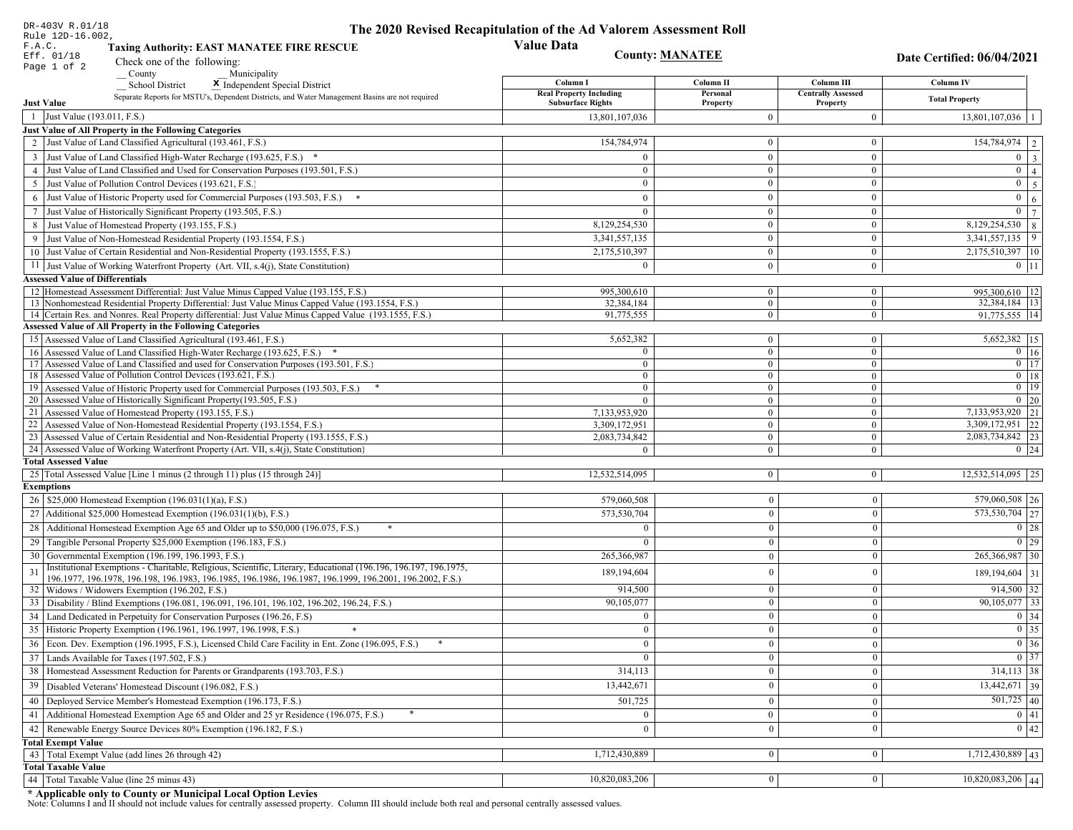| DR-403V R.01/18                                                                                                                                                                                             | The 2020 Revised Recapitulation of the Ad Valorem Assessment Roll |                                |                                         |                                   |
|-------------------------------------------------------------------------------------------------------------------------------------------------------------------------------------------------------------|-------------------------------------------------------------------|--------------------------------|-----------------------------------------|-----------------------------------|
| Rule 12D-16.002,<br>F.A.C.<br><b>Taxing Authority: EAST MANATEE FIRE RESCUE</b>                                                                                                                             | <b>Value Data</b>                                                 |                                |                                         |                                   |
| Eff. 01/18<br>Check one of the following:                                                                                                                                                                   | <b>County: MANATEE</b>                                            |                                |                                         | <b>Date Certified: 06/04/2021</b> |
| Page 1 of 2<br>County<br>Municipality                                                                                                                                                                       |                                                                   |                                |                                         |                                   |
| <b>School District</b><br>X Independent Special District                                                                                                                                                    | Column I<br><b>Real Property Including</b>                        | Column II<br>Personal          | Column III<br><b>Centrally Assessed</b> | Column IV                         |
| Separate Reports for MSTU's, Dependent Districts, and Water Management Basins are not required<br><b>Just Value</b>                                                                                         | <b>Subsurface Rights</b>                                          | Property                       | Property                                | <b>Total Property</b>             |
| 1 Just Value (193.011, F.S.)                                                                                                                                                                                | 13,801,107,036                                                    | $\Omega$                       | $\boldsymbol{0}$                        | $13,801,107,036$   1              |
| Just Value of All Property in the Following Categories                                                                                                                                                      |                                                                   |                                |                                         |                                   |
| 2 Just Value of Land Classified Agricultural (193.461, F.S.)                                                                                                                                                | 154,784,974                                                       | $\mathbf{0}$                   | $\bf{0}$                                | $\boxed{154,784,974}$   2         |
| 3 Just Value of Land Classified High-Water Recharge (193.625, F.S.) *                                                                                                                                       |                                                                   | $\overline{0}$                 | $\bf{0}$                                | $0 \mid 3$                        |
| 4 Just Value of Land Classified and Used for Conservation Purposes (193.501, F.S.)                                                                                                                          | $\overline{0}$                                                    | $\overline{0}$                 | $\mathbf{0}$                            | $\boxed{0}$ $\boxed{4}$           |
| 5 Just Value of Pollution Control Devices (193.621, F.S.)                                                                                                                                                   | $\overline{0}$                                                    | $\mathbf{0}$                   | $\bf{0}$                                | $0 \quad 5$                       |
| 6 Just Value of Historic Property used for Commercial Purposes (193.503, F.S.) *                                                                                                                            | $\theta$                                                          | $\theta$                       | $\mathbf{0}$                            | $\mathbf{0}$<br>6 <sup>1</sup>    |
| 7 Just Value of Historically Significant Property (193.505, F.S.)                                                                                                                                           | $\mathbf{0}$                                                      | $\overline{0}$                 | $\mathbf{0}$                            | $0 \mid 7 \mid$                   |
| 8 Just Value of Homestead Property (193.155, F.S.)                                                                                                                                                          | 8,129,254,530                                                     | $\overline{0}$                 | $\overline{0}$                          | $8,129,254,530$ 8                 |
| 9 Just Value of Non-Homestead Residential Property (193.1554, F.S.)                                                                                                                                         | 3,341,557,135                                                     | $\Omega$                       | $\mathbf{0}$                            | $3,341,557,135$ 9                 |
| 10 Just Value of Certain Residential and Non-Residential Property (193.1555, F.S.)                                                                                                                          | 2,175,510,397                                                     | $\bf{0}$                       | $\bf{0}$                                | 2,175,510,397   10                |
| 11 Just Value of Working Waterfront Property (Art. VII, s.4(j), State Constitution)                                                                                                                         | $\Omega$                                                          | $\bf{0}$                       | $\mathbf{0}$                            | $0$   11                          |
| <b>Assessed Value of Differentials</b>                                                                                                                                                                      |                                                                   |                                |                                         |                                   |
| 12 Homestead Assessment Differential: Just Value Minus Capped Value (193.155, F.S.)                                                                                                                         | 995,300,610<br>32.384.184                                         | $\mathbf{0}$<br>$\overline{0}$ | $\overline{0}$<br>$\overline{0}$        | 995,300,610   12<br>32,384,184 13 |
| 13 Nonhomestead Residential Property Differential: Just Value Minus Capped Value (193.1554, F.S.)<br>14 Certain Res. and Nonres. Real Property differential: Just Value Minus Capped Value (193.1555, F.S.) | 91,775,555                                                        | $\mathbf{0}$                   | $\overline{0}$                          | 91,775,555 14                     |
| <b>Assessed Value of All Property in the Following Categories</b>                                                                                                                                           |                                                                   |                                |                                         |                                   |
| 15 Assessed Value of Land Classified Agricultural (193.461, F.S.)                                                                                                                                           | 5,652,382                                                         | $\mathbf{0}$                   | $\bf{0}$                                | 5,652,382   15                    |
| 16 Assessed Value of Land Classified High-Water Recharge (193.625, F.S.) *                                                                                                                                  | $\Omega$                                                          | $\mathbf{0}$                   | $\mathbf{0}$                            | $0 \mid 16$                       |
| 17 Assessed Value of Land Classified and used for Conservation Purposes (193.501, F.S.)                                                                                                                     | $\Omega$                                                          | $\mathbf{0}$                   | $\overline{0}$                          | $\overline{0}$ $\overline{17}$    |
| 18 Assessed Value of Pollution Control Devices (193.621, F.S.)                                                                                                                                              | $\Omega$                                                          | $\mathbf{0}$                   | $\mathbf{0}$                            | $0$ 18                            |
| 19 Assessed Value of Historic Property used for Commercial Purposes (193.503, F.S.)                                                                                                                         | $\mathbf{0}$                                                      | $\mathbf{0}$                   | $\overline{0}$                          | $0$   19                          |
| 20 Assessed Value of Historically Significant Property (193.505, F.S.)<br>21 Assessed Value of Homestead Property (193.155, F.S.)                                                                           | $\theta$<br>7,133,953,920                                         | $\overline{0}$<br>$\mathbf{0}$ | $\overline{0}$<br>$\bf{0}$              | $0 \mid 20$<br>7,133,953,920 21   |
| 22 Assessed Value of Non-Homestead Residential Property (193.1554, F.S.)                                                                                                                                    | 3,309,172,951                                                     | $\mathbf{0}$                   | $\mathbf{0}$                            | 3,309,172,951 22                  |
| 23 Assessed Value of Certain Residential and Non-Residential Property (193.1555, F.S.)                                                                                                                      | 2,083,734,842                                                     | $\mathbf{0}$                   | $\bf{0}$                                | 2,083,734,842 23                  |
| 24 Assessed Value of Working Waterfront Property (Art. VII, s.4(j), State Constitution                                                                                                                      |                                                                   | $\overline{0}$                 | $\bf{0}$                                | $0 \quad 24$                      |
| <b>Total Assessed Value</b>                                                                                                                                                                                 |                                                                   |                                |                                         |                                   |
| 25 Total Assessed Value [Line 1 minus (2 through 11) plus (15 through 24)]                                                                                                                                  | 12,532,514,095                                                    | $\overline{0}$                 | $\mathbf{0}$                            | 12,532,514,095   25               |
| <b>Exemptions</b>                                                                                                                                                                                           |                                                                   |                                |                                         |                                   |
| 26   \$25,000 Homestead Exemption (196.031(1)(a), F.S.)                                                                                                                                                     | 579,060,508                                                       | $\mathbf{0}$                   | $\boldsymbol{0}$                        | 579,060,508 26                    |
| 27   Additional \$25,000 Homestead Exemption $(196.031(1)(b), F.S.)$                                                                                                                                        | 573,530,704                                                       | $\overline{0}$                 | $\mathbf{0}$                            | 573,530,704 27                    |
| 28 Additional Homestead Exemption Age 65 and Older up to \$50,000 (196.075, F.S.)                                                                                                                           | $\Omega$                                                          | $\overline{0}$                 | $\boldsymbol{0}$                        | $\boxed{0}$ 28                    |
| 29 Tangible Personal Property \$25,000 Exemption (196.183, F.S.)                                                                                                                                            |                                                                   | $\mathbf{0}$                   | $\boldsymbol{0}$                        | $0$   29                          |
| 30 Governmental Exemption (196.199, 196.1993, F.S.)                                                                                                                                                         | 265,366,987                                                       | $\bf{0}$                       | $\mathbf{0}$                            | 265,366,987   30                  |
| Institutional Exemptions - Charitable, Religious, Scientific, Literary, Educational (196.196, 196.197, 196.1975,<br>31                                                                                      | 189,194,604                                                       | $\mathbf{0}$                   | $\mathbf{0}$                            | 189, 194, 604 31                  |
| 196.1977, 196.1978, 196.198, 196.1983, 196.1985, 196.1986, 196.1987, 196.1999, 196.2001, 196.2002, F.S.)<br>32   Widows / Widowers Exemption (196.202, F.S.)                                                | 914,500                                                           | $\mathbf{0}$                   | $\mathbf{0}$                            | $914,500$ 32                      |
| 33<br>Disability / Blind Exemptions (196.081, 196.091, 196.101, 196.102, 196.202, 196.24, F.S.)                                                                                                             | 90,105,077                                                        | $\overline{0}$                 | $\mathbf{0}$                            | $90,105,077$ 33                   |
| Land Dedicated in Perpetuity for Conservation Purposes (196.26, F.S)                                                                                                                                        | $\Omega$                                                          | $\mathbf{0}$                   | $\theta$                                | 0 34                              |
| 35 Historic Property Exemption (196.1961, 196.1997, 196.1998, F.S.)                                                                                                                                         | 0                                                                 | $\mathbf{U}$                   | $\mathbf{0}$                            | $\boxed{0}$ 35                    |
| 36 Econ. Dev. Exemption (196.1995, F.S.), Licensed Child Care Facility in Ent. Zone (196.095, F.S.)                                                                                                         | $\theta$                                                          | $\mathbf{0}$                   | $\Omega$                                | $\boxed{0}$ 36                    |
| 37 Lands Available for Taxes (197.502, F.S.)                                                                                                                                                                | $\Omega$                                                          | $\mathbf{0}$                   | $\Omega$                                | $0 \mid 37$                       |
| 38   Homestead Assessment Reduction for Parents or Grandparents (193.703, F.S.)                                                                                                                             | 314,113                                                           | $\mathbf{0}$                   | $\boldsymbol{0}$                        | $314,113$ 38                      |
| 39<br>Disabled Veterans' Homestead Discount (196.082, F.S.)                                                                                                                                                 | 13,442,671                                                        | $\mathbf{0}$                   | $\mathbf{0}$                            | $13,442,671$ 39                   |
| Deployed Service Member's Homestead Exemption (196.173, F.S.)<br>40                                                                                                                                         | 501,725                                                           | $\Omega$                       | $\Omega$                                | $\overline{501,725}$ 40           |
| 41   Additional Homestead Exemption Age 65 and Older and 25 yr Residence (196.075, F.S.)                                                                                                                    | $\mathbf{0}$                                                      | $\overline{0}$                 | $\mathbf{0}$                            | $\boxed{0}$ 41                    |
| 42 Renewable Energy Source Devices 80% Exemption (196.182, F.S.)                                                                                                                                            | $\mathbf{0}$                                                      | $\mathbf{0}$                   | $\mathbf{0}$                            | 0 42                              |
| <b>Total Exempt Value</b>                                                                                                                                                                                   |                                                                   |                                |                                         |                                   |
| 43 Total Exempt Value (add lines 26 through 42)                                                                                                                                                             | 1,712,430,889                                                     | $\mathbf{0}$                   | $\mathbf{0}$                            | $\overline{1,712,430,889}$ 43     |
| <b>Total Taxable Value</b>                                                                                                                                                                                  |                                                                   |                                |                                         |                                   |
| 44   Total Taxable Value (line 25 minus 43)                                                                                                                                                                 | 10,820,083,206                                                    | 0 <sup>1</sup>                 | $\bf{0}$                                | $10,820,083,206$ 44               |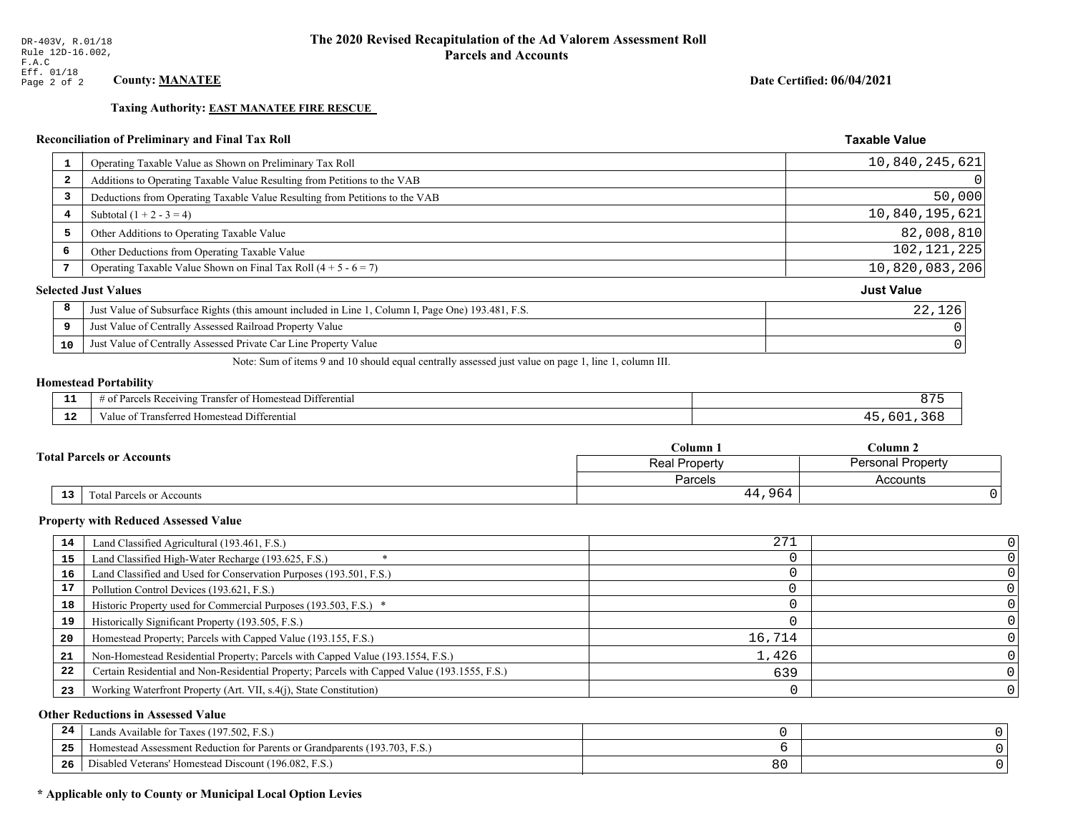**Taxing Authority: EAST MANATEE FIRE RESCUE** 

## Reconciliation of Preliminary and Final Tax Roll

| $\mathbf{1}$            | Operating Taxable Value as Shown on Preliminary Tax Roll                                           | 10,840,245,621    |
|-------------------------|----------------------------------------------------------------------------------------------------|-------------------|
| $\overline{\mathbf{2}}$ | Additions to Operating Taxable Value Resulting from Petitions to the VAB                           | 0                 |
| 3                       | Deductions from Operating Taxable Value Resulting from Petitions to the VAB                        | 50,000            |
| 4                       | Subtotal $(1 + 2 - 3 = 4)$                                                                         | 10,840,195,621    |
| 5                       | Other Additions to Operating Taxable Value                                                         | 82,008,810        |
| 6                       | Other Deductions from Operating Taxable Value                                                      | 102, 121, 225     |
|                         | Operating Taxable Value Shown on Final Tax Roll $(4 + 5 - 6 = 7)$                                  | 10,820,083,206    |
|                         | <b>Selected Just Values</b>                                                                        | <b>Just Value</b> |
| 8                       | Just Value of Subsurface Rights (this amount included in Line 1, Column I, Page One) 193.481, F.S. | 22,126            |
| 9                       | Just Value of Centrally Assessed Railroad Property Value                                           |                   |
| 10                      | Just Value of Centrally Assessed Private Car Line Property Value                                   |                   |
|                         |                                                                                                    |                   |

Note: Sum of items 9 and 10 should equal centrally assessed just value on page 1, line 1, column III.

#### **Homestead Portability**

| --          | $\cdots$<br>Differential<br>: Rec<br>$\sim$<br>enving<br>rancter<br>$\cdots$ | $\cdot$ |
|-------------|------------------------------------------------------------------------------|---------|
| $\sim$<br>. | <br>Transferred Homestead Differential<br>anue oi                            |         |

|  |                                  | Column <sub>1</sub>                       | $C$ olumn 2 |  |
|--|----------------------------------|-------------------------------------------|-------------|--|
|  | <b>Total Parcels or Accounts</b> | <b>Personal Property</b><br>Real Property |             |  |
|  |                                  | Parcels                                   | Accounts    |  |
|  | 13<br>Total Parcels or Accounts  | 44,964                                    |             |  |

#### **Property with Reduced Assessed Value**

| 14 | Land Classified Agricultural (193.461, F.S.)                                                 | 271    |  |
|----|----------------------------------------------------------------------------------------------|--------|--|
| 15 | Land Classified High-Water Recharge (193.625, F.S.)                                          |        |  |
| 16 | Land Classified and Used for Conservation Purposes (193.501, F.S.)                           |        |  |
| 17 | Pollution Control Devices (193.621, F.S.)                                                    |        |  |
| 18 | Historic Property used for Commercial Purposes (193.503, F.S.) *                             |        |  |
| 19 | Historically Significant Property (193.505, F.S.)                                            |        |  |
| 20 | Homestead Property; Parcels with Capped Value (193.155, F.S.)                                | 16,714 |  |
| 21 | Non-Homestead Residential Property; Parcels with Capped Value (193.1554, F.S.)               | 1,426  |  |
| 22 | Certain Residential and Non-Residential Property; Parcels with Capped Value (193.1555, F.S.) | 639    |  |
| 23 | Working Waterfront Property (Art. VII, s.4(j), State Constitution)                           |        |  |

## **Other Reductions in Assessed Value**

| 24    | Lands Available for Taxes (197.502, F.S.)                                  |                |  |
|-------|----------------------------------------------------------------------------|----------------|--|
| - - - | Iomestead Assessment Reduction for Parents or Grandparents (193.703, F.S.) |                |  |
| -26   | l Veterans' Homestead Discount (196.082, F.S.)<br>Disabled                 | o c<br>$\circ$ |  |

## \* Applicable only to County or Municipal Local Option Levies

Date Certified: 06/04/2021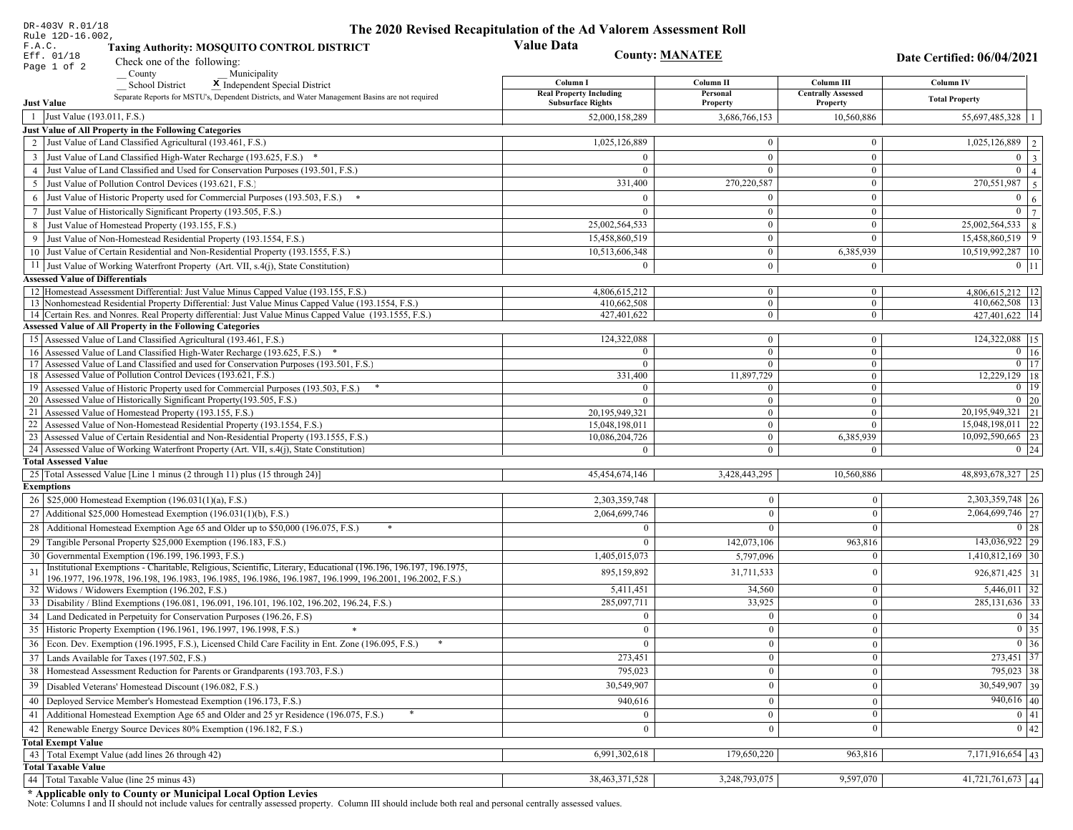| DR-403V R.01/18                                                                                                                                                             | The 2020 Revised Recapitulation of the Ad Valorem Assessment Roll |                        |                                       |                                  |  |
|-----------------------------------------------------------------------------------------------------------------------------------------------------------------------------|-------------------------------------------------------------------|------------------------|---------------------------------------|----------------------------------|--|
| Rule 12D-16.002,<br>F.A.C.<br><b>Taxing Authority: MOSQUITO CONTROL DISTRICT</b><br>Eff. 01/18<br>Check one of the following:                                               | <b>Value Data</b>                                                 | <b>County: MANATEE</b> |                                       | Date Certified: 06/04/2021       |  |
| Page 1 of 2<br>County<br>Municipality                                                                                                                                       |                                                                   |                        |                                       |                                  |  |
| <b>School District</b><br>X Independent Special District                                                                                                                    | Column I                                                          | Column II              | Column III                            | Column IV                        |  |
| Separate Reports for MSTU's, Dependent Districts, and Water Management Basins are not required<br><b>Just Value</b>                                                         | <b>Real Property Including</b><br><b>Subsurface Rights</b>        | Personal<br>Property   | <b>Centrally Assessed</b><br>Property | <b>Total Property</b>            |  |
| 1 Just Value (193.011, F.S.)                                                                                                                                                | 52,000,158,289                                                    | 3,686,766,153          | 10,560,886                            | 55,697,485,328   1               |  |
| Just Value of All Property in the Following Categories                                                                                                                      |                                                                   |                        |                                       |                                  |  |
| 2 Just Value of Land Classified Agricultural (193.461, F.S.)                                                                                                                | 1,025,126,889                                                     | $\bf{0}$               | $\bf{0}$                              | $1,025,126,889$   2              |  |
| 3 Just Value of Land Classified High-Water Recharge (193.625, F.S.) *                                                                                                       |                                                                   | $\mathbf{0}$           | $\mathbf{0}$                          | $0 \quad 3$                      |  |
| 4 Just Value of Land Classified and Used for Conservation Purposes (193.501, F.S.)                                                                                          | $\Omega$                                                          | $\overline{0}$         | $\boldsymbol{0}$                      | $\mathbf{0}$<br>$\vert$ 4        |  |
| 5 Just Value of Pollution Control Devices (193.621, F.S.)                                                                                                                   | 331,400                                                           | 270,220,587            | $\bf{0}$                              | $\boxed{270,551,987}$   5        |  |
| 6 Just Value of Historic Property used for Commercial Purposes (193.503, F.S.) *                                                                                            |                                                                   | $\theta$               | $\boldsymbol{0}$                      | $\boldsymbol{0}$<br><sup>6</sup> |  |
| 7 Just Value of Historically Significant Property (193.505, F.S.)                                                                                                           | $\Omega$                                                          | $\bf{0}$               | $\bf{0}$                              | $0 \overline{7}$                 |  |
| 8 Just Value of Homestead Property (193.155, F.S.)                                                                                                                          | 25,002,564,533                                                    | $\bf{0}$               | $\boldsymbol{0}$                      | $25,002,564,533$ 8               |  |
| 9 Just Value of Non-Homestead Residential Property (193.1554, F.S.)                                                                                                         | 15,458,860,519                                                    | $\bf{0}$               | $\Omega$                              | $15,458,860,519$   9             |  |
| 10 Just Value of Certain Residential and Non-Residential Property (193.1555, F.S.)                                                                                          | 10,513,606,348                                                    | $\mathbf{0}$           | 6,385,939                             | 10,519,992,287 10                |  |
| 11 Just Value of Working Waterfront Property (Art. VII, s.4(j), State Constitution)                                                                                         | $\Omega$                                                          | $\mathbf{0}$           | $\mathbf{0}$                          | $0$   11                         |  |
| <b>Assessed Value of Differentials</b>                                                                                                                                      |                                                                   |                        |                                       |                                  |  |
| 12 Homestead Assessment Differential: Just Value Minus Capped Value (193.155, F.S.)                                                                                         | 4,806,615,212                                                     | $\mathbf{0}$           | $\bf{0}$                              | 4,806,615,212   12               |  |
| 13 Nonhomestead Residential Property Differential: Just Value Minus Capped Value (193.1554, F.S.)                                                                           | 410,662,508                                                       | $\overline{0}$         | $\mathbf{0}$                          | 410,662,508 13                   |  |
| 14 Certain Res. and Nonres. Real Property differential: Just Value Minus Capped Value (193.1555, F.S.)<br><b>Assessed Value of All Property in the Following Categories</b> | 427,401,622                                                       | $\overline{0}$         | $\overline{0}$                        | 427.401.622 14                   |  |
| 15 Assessed Value of Land Classified Agricultural (193.461, F.S.)                                                                                                           | 124,322,088                                                       | $\mathbf{0}$           | $\bf{0}$                              | 124,322,088 15                   |  |
| 16 Assessed Value of Land Classified High-Water Recharge (193.625, F.S.) *                                                                                                  | $\Omega$                                                          | $\overline{0}$         | $\mathbf{0}$                          | $\overline{0}$ 16                |  |
| 17 Assessed Value of Land Classified and used for Conservation Purposes (193.501, F.S.)                                                                                     | $\Omega$                                                          | $\mathbf{0}$           | $\bf{0}$                              | $0$   17                         |  |
| 18 Assessed Value of Pollution Control Devices (193.621, F.S.)                                                                                                              | 331,400                                                           | 11,897,729             | $\mathbf{0}$                          | 12,229,129 18                    |  |
| 19 Assessed Value of Historic Property used for Commercial Purposes (193.503, F.S.)                                                                                         | $\Omega$                                                          | $\mathbf{0}$           | $\bf{0}$                              | $0 \mid 19$                      |  |
| 20 Assessed Value of Historically Significant Property (193.505, F.S.)                                                                                                      | $\Omega$                                                          | $\overline{0}$         | $\mathbf{0}$                          | $0\vert 20$                      |  |
| 21 Assessed Value of Homestead Property (193.155, F.S.)                                                                                                                     | 20,195,949,321                                                    | $\mathbf{0}$           | $\boldsymbol{0}$                      | 20, 195, 949, 321 21             |  |
| 22 Assessed Value of Non-Homestead Residential Property (193.1554, F.S.)                                                                                                    | 15,048,198,011                                                    | $\overline{0}$         | $\mathbf{0}$                          | 15,048,198,011 22                |  |
| 23 Assessed Value of Certain Residential and Non-Residential Property (193.1555, F.S.)                                                                                      | 10,086,204,726                                                    | $\overline{0}$         | 6,385,939                             | 10,092,590,665 23                |  |
| 24 Assessed Value of Working Waterfront Property (Art. VII, s.4(j), State Constitution)<br><b>Total Assessed Value</b>                                                      |                                                                   | $\overline{0}$         | $\mathbf{0}$                          | $0 \mid 24$                      |  |
| 25 Total Assessed Value [Line 1 minus (2 through 11) plus (15 through 24)]                                                                                                  | 45,454,674,146                                                    | 3,428,443,295          | 10,560,886                            | 48,893,678,327 25                |  |
| <b>Exemptions</b>                                                                                                                                                           |                                                                   |                        |                                       |                                  |  |
| 26   \$25,000 Homestead Exemption (196.031(1)(a), F.S.)                                                                                                                     | 2,303,359,748                                                     | $\mathbf{0}$           | $\mathbf{0}$                          | 2,303,359,748 26                 |  |
| 27   Additional \$25,000 Homestead Exemption (196.031(1)(b), F.S.)                                                                                                          | 2,064,699,746                                                     | $\Omega$               | $\Omega$                              | $\overline{2,064,699,746}$ 27    |  |
| 28 Additional Homestead Exemption Age 65 and Older up to \$50,000 (196.075, F.S.)                                                                                           | $\Omega$                                                          | $\mathbf{0}$           | $\Omega$                              | 0 28                             |  |
| 29 Tangible Personal Property \$25,000 Exemption (196.183, F.S.)                                                                                                            | $\Omega$                                                          | 142,073,106            | 963,816                               | 143,036,922 29                   |  |
| 30 Governmental Exemption (196.199, 196.1993, F.S.)                                                                                                                         | 1,405,015,073                                                     | 5,797,096              |                                       | $1,410,812,169$ 30               |  |
| Institutional Exemptions - Charitable, Religious, Scientific, Literary, Educational (196.196, 196.197, 196.1975,<br>31                                                      |                                                                   |                        |                                       |                                  |  |
| 196.1977, 196.1978, 196.198, 196.1983, 196.1985, 196.1986, 196.1987, 196.1999, 196.2001, 196.2002, F.S.)                                                                    | 895,159,892                                                       | 31,711,533             | $\Omega$                              | 926,871,425 31                   |  |
| 32   Widows / Widowers Exemption (196.202, F.S.)                                                                                                                            | 5,411,451                                                         | 34,560                 | $\mathbf{0}$                          | $5,446,011$ 32                   |  |
| 33<br>Disability / Blind Exemptions (196.081, 196.091, 196.101, 196.102, 196.202, 196.24, F.S.)                                                                             | 285,097,711                                                       | 33,925                 | $\Omega$                              | 285, 131, 636 33                 |  |
| Land Dedicated in Perpetuity for Conservation Purposes (196.26, F.S)                                                                                                        | $\Omega$                                                          | $\mathbf{0}$           | $\Omega$                              | 0 34                             |  |
| 35 Historic Property Exemption (196.1961, 196.1997, 196.1998, F.S.)                                                                                                         | 0.                                                                | $\mathbf{0}$           | $\mathbf{0}$                          | $\boxed{0}$ 35                   |  |
| 36 Econ. Dev. Exemption (196.1995, F.S.), Licensed Child Care Facility in Ent. Zone (196.095, F.S.)                                                                         | $\Omega$                                                          | $\boldsymbol{0}$       | $\Omega$                              | $0 \mid 36$                      |  |
| 37 Lands Available for Taxes (197.502, F.S.)                                                                                                                                | 273,451                                                           | $\mathbf{0}$           | $\Omega$                              | 273,451 37                       |  |
| 38   Homestead Assessment Reduction for Parents or Grandparents (193.703, F.S.)                                                                                             | 795,023                                                           | $\bf{0}$               | $\overline{0}$                        | $795,023$ 38                     |  |
| 39<br>Disabled Veterans' Homestead Discount (196.082, F.S.)                                                                                                                 | 30,549,907                                                        | $\mathbf{0}$           | $\overline{0}$                        | $30,549,907$ 39                  |  |
| Deployed Service Member's Homestead Exemption (196.173, F.S.)<br>40                                                                                                         | 940,616                                                           | $\mathbf{0}$           | $\Omega$                              | $940,616$ 40                     |  |
| 41   Additional Homestead Exemption Age 65 and Older and 25 yr Residence (196.075, F.S.)                                                                                    | $\overline{0}$                                                    | $\overline{0}$         | $\mathbf{0}$                          | 0 41                             |  |
| 42 Renewable Energy Source Devices 80% Exemption (196.182, F.S.)                                                                                                            | $\mathbf{0}$                                                      | $\mathbf{0}$           | $\Omega$                              | 0 42                             |  |
| <b>Total Exempt Value</b>                                                                                                                                                   |                                                                   |                        |                                       |                                  |  |
| 43 Total Exempt Value (add lines 26 through 42)                                                                                                                             | 6,991,302,618                                                     | 179,650,220            | 963,816                               | $7,171,916,654$ 43               |  |
| <b>Total Taxable Value</b>                                                                                                                                                  |                                                                   |                        |                                       |                                  |  |
| Total Taxable Value (line 25 minus 43)<br>44                                                                                                                                | 38,463,371,528                                                    | 3,248,793,075          | 9,597,070                             | 41,721,761,673 44                |  |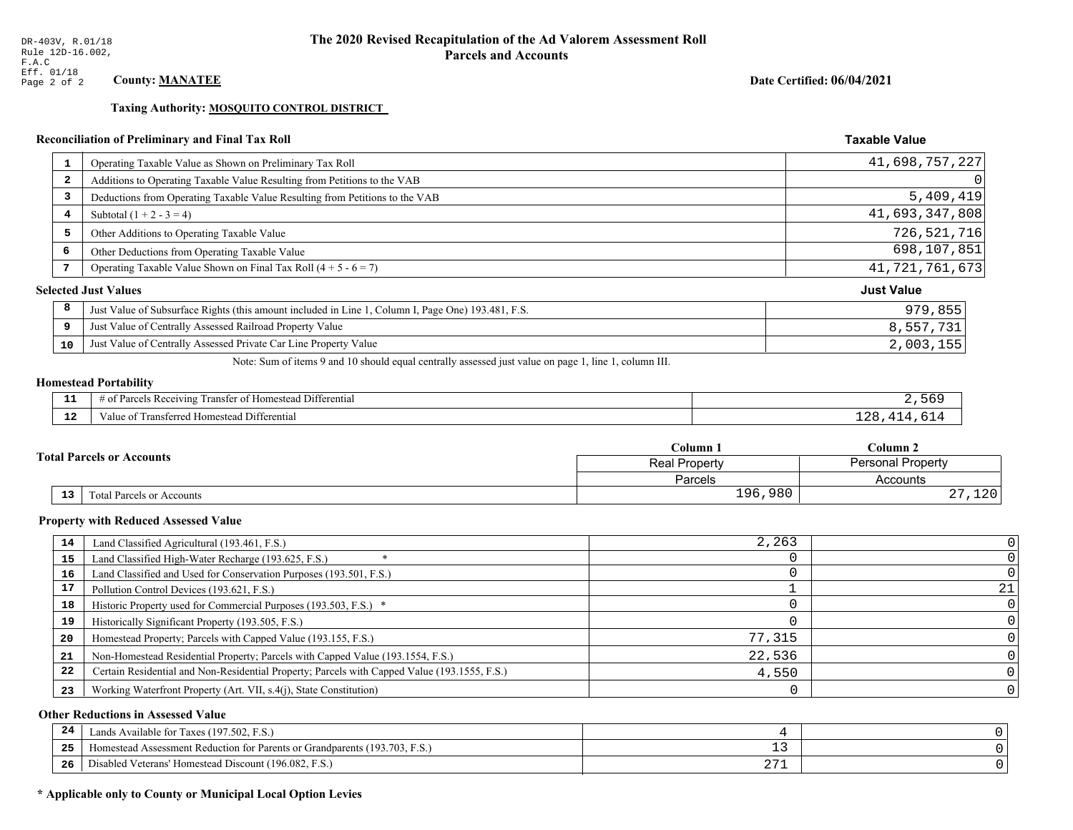**Taxing Authority: MOSQUITO CONTROL DISTRICT** 

## Reconciliation of Preliminary and Final Tax Roll

| $\mathbf{1}$            | Operating Taxable Value as Shown on Preliminary Tax Roll                                           | 41,698,757,227    |
|-------------------------|----------------------------------------------------------------------------------------------------|-------------------|
| $\overline{\mathbf{2}}$ | Additions to Operating Taxable Value Resulting from Petitions to the VAB                           | 0                 |
| 3                       | Deductions from Operating Taxable Value Resulting from Petitions to the VAB                        | 5,409,419         |
| 4                       | Subtotal $(1 + 2 - 3 = 4)$                                                                         | 41,693,347,808    |
| 5                       | Other Additions to Operating Taxable Value                                                         | 726,521,716       |
| 6                       | Other Deductions from Operating Taxable Value                                                      | 698,107,851       |
| 7                       | Operating Taxable Value Shown on Final Tax Roll $(4 + 5 - 6 = 7)$                                  | 41, 721, 761, 673 |
|                         | <b>Selected Just Values</b>                                                                        | <b>Just Value</b> |
| 8                       | Just Value of Subsurface Rights (this amount included in Line 1, Column I, Page One) 193.481, F.S. | 979,855           |
| 9                       | Just Value of Centrally Assessed Railroad Property Value                                           | 8,557,731         |
| 10                      | Just Value of Centrally Assessed Private Car Line Property Value                                   | 2,003,155         |

Note: Sum of items 9 and 10 should equal centrally assessed just value on page 1, line 1, column III.

## **Homestead Portability**

| - -          | .<br>$\sim$ $\sim$<br>l Differential<br>l ransfer of Homestead .<br>us Receiving :<br>arcel. |  |
|--------------|----------------------------------------------------------------------------------------------|--|
| $\sim$<br>-- | Transferred Homestead Differential<br>Value of                                               |  |

|    |                                  | Column 1                                  | Column 2           |  |
|----|----------------------------------|-------------------------------------------|--------------------|--|
|    | <b>Total Parcels or Accounts</b> | <b>Personal Property</b><br>Real Property |                    |  |
|    |                                  | Parcels                                   | Accounts           |  |
| 13 | <b>Fotal Parcels or Accounts</b> | 196,980                                   | າ າ ດ<br>ᆂᅎᇅ<br>4. |  |

#### **Property with Reduced Assessed Value**

| 14 | Land Classified Agricultural (193.461, F.S.)                                                 | 2,263  |    |
|----|----------------------------------------------------------------------------------------------|--------|----|
| 15 | Land Classified High-Water Recharge (193.625, F.S.)                                          |        |    |
| 16 | Land Classified and Used for Conservation Purposes (193.501, F.S.)                           |        |    |
| 17 | Pollution Control Devices (193.621, F.S.)                                                    |        | 21 |
| 18 | Historic Property used for Commercial Purposes (193.503, F.S.) *                             |        |    |
| 19 | Historically Significant Property (193.505, F.S.)                                            |        |    |
| 20 | Homestead Property; Parcels with Capped Value (193.155, F.S.)                                | 77,315 |    |
| 21 | Non-Homestead Residential Property; Parcels with Capped Value (193.1554, F.S.)               | 22,536 |    |
| 22 | Certain Residential and Non-Residential Property; Parcels with Capped Value (193.1555, F.S.) | 4,550  |    |
| 23 | Working Waterfront Property (Art. VII, s.4(j), State Constitution)                           |        |    |

## **Other Reductions in Assessed Value**

| 24    | Lands Available for Taxes (197.502, F.S.)                                  |                   |  |
|-------|----------------------------------------------------------------------------|-------------------|--|
| - - - | Homestead Assessment Reduction for Parents or Grandparents (193.703, F.S.) | - -               |  |
| -26   | F.S.<br>Disabled Veterans' Homestead Discount (196.082, F.                 | ר ר<br><u> 41</u> |  |

## \* Applicable only to County or Municipal Local Option Levies

Date Certified: 06/04/2021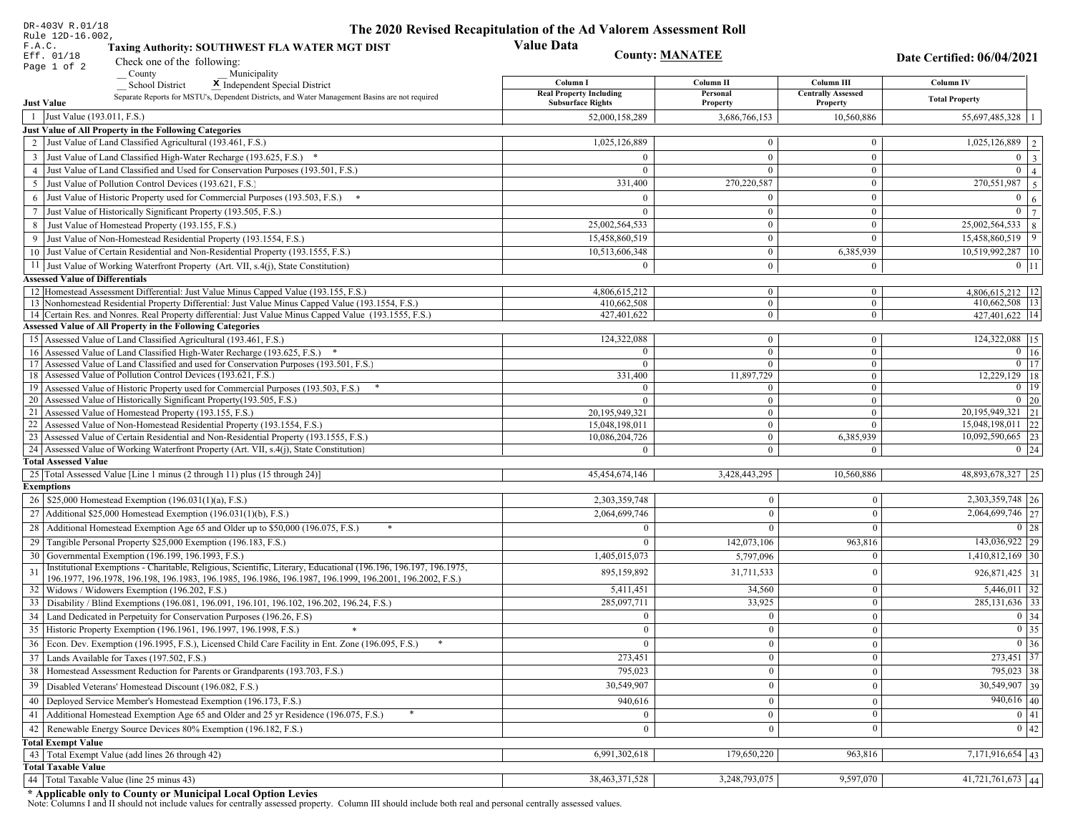| DR-403V R.01/18<br>Rule 12D-16.002,                                                                                                                                         | The 2020 Revised Recapitulation of the Ad Valorem Assessment Roll |                       |                                         |                               |  |
|-----------------------------------------------------------------------------------------------------------------------------------------------------------------------------|-------------------------------------------------------------------|-----------------------|-----------------------------------------|-------------------------------|--|
| F.A.C.<br>Taxing Authority: SOUTHWEST FLA WATER MGT DIST<br>Eff. 01/18<br>Check one of the following:                                                                       | <b>Value Data</b><br><b>County: MANATEE</b>                       |                       |                                         | Date Certified: 06/04/2021    |  |
| Page 1 of 2<br>$\sqrt{\frac{1}{2}}$ County<br>Municipality                                                                                                                  |                                                                   |                       |                                         |                               |  |
| <b>School District</b><br>X Independent Special District                                                                                                                    | Column I<br><b>Real Property Including</b>                        | Column II<br>Personal | Column III<br><b>Centrally Assessed</b> | Column IV                     |  |
| Separate Reports for MSTU's, Dependent Districts, and Water Management Basins are not required<br><b>Just Value</b>                                                         | <b>Subsurface Rights</b>                                          | Property              | Property                                | <b>Total Property</b>         |  |
| 1 Just Value (193.011, F.S.)                                                                                                                                                | 52,000,158,289                                                    | 3,686,766,153         | 10,560,886                              | 55,697,485,328                |  |
| <b>Just Value of All Property in the Following Categories</b>                                                                                                               |                                                                   |                       |                                         |                               |  |
| 2 Just Value of Land Classified Agricultural (193.461, F.S.)                                                                                                                | 1,025,126,889                                                     | $\theta$              | $\mathbf{0}$                            | 1,025,126,889 2               |  |
| 3 Just Value of Land Classified High-Water Recharge (193.625, F.S.) *                                                                                                       | $\theta$                                                          | $\bf{0}$              | $\boldsymbol{0}$                        | $0 \mid 3$                    |  |
| 4 Just Value of Land Classified and Used for Conservation Purposes (193.501, F.S.)                                                                                          | $\Omega$                                                          | $\mathbf{0}$          | $\mathbf{0}$                            | $\mathbf{0}$<br>$\vert$ 4     |  |
| 5 Just Value of Pollution Control Devices (193.621, F.S.)                                                                                                                   | 331,400                                                           | 270,220,587           | $\boldsymbol{0}$                        | 270,551,987<br>$\overline{5}$ |  |
| 6 Just Value of Historic Property used for Commercial Purposes (193.503, F.S.) *                                                                                            | $\Omega$                                                          | $\theta$              | $\boldsymbol{0}$                        | $\overline{0}$<br>6           |  |
| 7 Just Value of Historically Significant Property (193.505, F.S.)                                                                                                           | $\Omega$                                                          | $\mathbf{0}$          | $\boldsymbol{0}$                        | $\mathbf{0}$<br> 7            |  |
| 8 Just Value of Homestead Property (193.155, F.S.)                                                                                                                          | 25,002,564,533                                                    | $\boldsymbol{0}$      | $\boldsymbol{0}$                        | 25,002,564,533<br> 8          |  |
| 9 Just Value of Non-Homestead Residential Property (193.1554, F.S.)                                                                                                         | 15,458,860,519                                                    | $\bf{0}$              | $\mathbf{0}$                            | 15,458,860,519 9              |  |
| 10 Just Value of Certain Residential and Non-Residential Property (193.1555, F.S.)                                                                                          | 10,513,606,348                                                    | $\mathbf{0}$          | 6,385,939                               | 10,519,992,287 10             |  |
| 11 Just Value of Working Waterfront Property (Art. VII, s.4(j), State Constitution)                                                                                         | $\theta$                                                          | $\mathbf{0}$          | $\mathbf{0}$                            | $0$   11                      |  |
| <b>Assessed Value of Differentials</b>                                                                                                                                      |                                                                   |                       |                                         |                               |  |
| 12 Homestead Assessment Differential: Just Value Minus Capped Value (193.155, F.S.)                                                                                         | 4,806,615,212                                                     | $\mathbf{0}$          | $\bf{0}$                                | 4.806.615.212   12            |  |
| 13 Nonhomestead Residential Property Differential: Just Value Minus Capped Value (193.1554, F.S.)                                                                           | 410,662,508                                                       | $\mathbf{0}$          | $\boldsymbol{0}$                        | 410,662,508 13                |  |
| 14 Certain Res. and Nonres. Real Property differential: Just Value Minus Capped Value (193.1555, F.S.)<br><b>Assessed Value of All Property in the Following Categories</b> | 427,401,622                                                       | $\overline{0}$        | $\overline{0}$                          | 427,401,622 14                |  |
|                                                                                                                                                                             | 124,322,088                                                       |                       |                                         | 124,322,088 15                |  |
| 15 Assessed Value of Land Classified Agricultural (193.461, F.S.)<br>16 Assessed Value of Land Classified High-Water Recharge (193.625, F.S.) *                             |                                                                   | $\bf{0}$<br>$\bf{0}$  | $\mathbf{0}$<br>$\boldsymbol{0}$        | $0$ 16                        |  |
| 17 Assessed Value of Land Classified and used for Conservation Purposes (193.501, F.S.)                                                                                     | $\overline{0}$                                                    | $\overline{0}$        | $\mathbf{0}$                            | $0$ 17                        |  |
| 18 Assessed Value of Pollution Control Devices (193.621, F.S.)                                                                                                              | 331,400                                                           | 11,897,729            | $\boldsymbol{0}$                        | $12,229,129$ 18               |  |
| 19 Assessed Value of Historic Property used for Commercial Purposes (193.503, F.S.)                                                                                         | $\overline{0}$                                                    | $\mathbf{0}$          | $\overline{0}$                          | 0   19                        |  |
| 20 Assessed Value of Historically Significant Property (193.505, F.S.)                                                                                                      | $\Omega$                                                          | $\overline{0}$        | $\mathbf{0}$                            | $0 \mid 20$                   |  |
| 21 Assessed Value of Homestead Property (193.155, F.S.)                                                                                                                     | 20,195,949,321                                                    | $\overline{0}$        | $\mathbf{0}$                            | 20,195,949,321 21             |  |
| 22 Assessed Value of Non-Homestead Residential Property (193.1554, F.S.)                                                                                                    | 15,048,198,011                                                    | $\mathbf{0}$          | $\theta$                                | 15,048,198,011 22             |  |
| 23 Assessed Value of Certain Residential and Non-Residential Property (193.1555, F.S.)                                                                                      | 10,086,204,726                                                    | $\overline{0}$        | 6,385,939                               | 10,092,590,665 23             |  |
| 24 Assessed Value of Working Waterfront Property (Art. VII, s.4(j), State Constitution)<br><b>Total Assessed Value</b>                                                      | $\Omega$                                                          | $\overline{0}$        | $\overline{0}$                          | $0 \mid 24$                   |  |
| 25 Total Assessed Value [Line 1 minus (2 through 11) plus (15 through 24)]                                                                                                  | 45,454,674,146                                                    | 3,428,443,295         | 10,560,886                              | 48,893,678,327 25             |  |
| <b>Exemptions</b>                                                                                                                                                           |                                                                   |                       |                                         |                               |  |
| 26   \$25,000 Homestead Exemption (196.031(1)(a), F.S.)                                                                                                                     | 2,303,359,748                                                     | $\boldsymbol{0}$      | $\Omega$                                | 2,303,359,748 26              |  |
| 27 Additional \$25,000 Homestead Exemption $(196.031(1)(b), F.S.)$                                                                                                          | 2,064,699,746                                                     | $\mathbf{0}$          | $\Omega$                                | 2,064,699,746 27              |  |
| 28 Additional Homestead Exemption Age 65 and Older up to \$50,000 (196.075, F.S.)<br>$\ast$                                                                                 | $\Omega$                                                          | $\Omega$              |                                         | $0 \mid 28$                   |  |
| 29 Tangible Personal Property \$25,000 Exemption (196.183, F.S.)                                                                                                            |                                                                   | 142,073,106           | 963,816                                 | 143,036,922 29                |  |
| 30 Governmental Exemption (196.199, 196.1993, F.S.)                                                                                                                         | 1,405,015,073                                                     | 5,797,096             | $\Omega$                                | $1,410,812,169$ 30            |  |
| Institutional Exemptions - Charitable, Religious, Scientific, Literary, Educational (196.196, 196.197, 196.1975,                                                            |                                                                   |                       |                                         |                               |  |
| 196.1977, 196.1978, 196.198, 196.1983, 196.1985, 196.1986, 196.1987, 196.1999, 196.2001, 196.2002, F.S.)                                                                    | 895,159,892                                                       | 31,711,533            | $\Omega$                                | 926,871,425 31                |  |
| 32   Widows / Widowers Exemption (196.202, F.S.)                                                                                                                            | 5,411,451                                                         | 34,560                | $\Omega$                                | $5,446,011$ 32                |  |
| 33 Disability / Blind Exemptions (196.081, 196.091, 196.101, 196.102, 196.202, 196.24, F.S.)                                                                                | 285,097,711                                                       | 33,925                | $\Omega$                                | 285, 131, 636 33              |  |
| 34   Land Dedicated in Perpetuity for Conservation Purposes (196.26, F.S)                                                                                                   | $\bf{0}$                                                          | $\overline{0}$        | $\Omega$                                | 0 34                          |  |
| 35   Historic Property Exemption (196.1961, 196.1997, 196.1998, F.S.)                                                                                                       | $\mathbf{0}$                                                      | $\theta$              | $\bf{0}$                                | $\boxed{0}$ 35                |  |
| 36 Econ. Dev. Exemption (196.1995, F.S.), Licensed Child Care Facility in Ent. Zone (196.095, F.S.)                                                                         |                                                                   | $\mathbf{0}$          | $\theta$                                | $\boxed{0}$ 36                |  |
| 37 Lands Available for Taxes (197.502, F.S.)                                                                                                                                | 273,451                                                           | $\Omega$              | $\Omega$                                | 273,451 37                    |  |
| 38   Homestead Assessment Reduction for Parents or Grandparents (193.703, F.S.)                                                                                             | 795,023                                                           | $\mathbf{0}$          | $\Omega$                                | 795,023 38                    |  |
| 39   Disabled Veterans' Homestead Discount (196.082, F.S.)                                                                                                                  | 30,549,907                                                        | $\mathbf{0}$          | $\mathbf{0}$                            | 30,549,907 39                 |  |
| 40 Deployed Service Member's Homestead Exemption (196.173, F.S.)                                                                                                            | 940,616                                                           | $\mathbf{0}$          | $\mathbf{0}$                            | $940,616$ 40                  |  |
| 41 Additional Homestead Exemption Age 65 and Older and 25 yr Residence (196.075, F.S.)                                                                                      | $\overline{0}$                                                    | $\overline{0}$        | $\overline{0}$                          | 0 41                          |  |
| 42 Renewable Energy Source Devices 80% Exemption (196.182, F.S.)                                                                                                            | $\mathbf{0}$                                                      | $\boldsymbol{0}$      | $\overline{0}$                          | $\overline{0}$   42           |  |
| <b>Total Exempt Value</b>                                                                                                                                                   |                                                                   |                       |                                         |                               |  |
| 43 Total Exempt Value (add lines 26 through 42)                                                                                                                             | 6,991,302,618                                                     | 179,650,220           | 963,816                                 | 7,171,916,654 43              |  |
| <b>Total Taxable Value</b>                                                                                                                                                  |                                                                   |                       |                                         |                               |  |
| 44   Total Taxable Value (line 25 minus 43)                                                                                                                                 | 38,463,371,528                                                    | 3,248,793,075         | 9,597,070                               | $41,721,761,673$ 44           |  |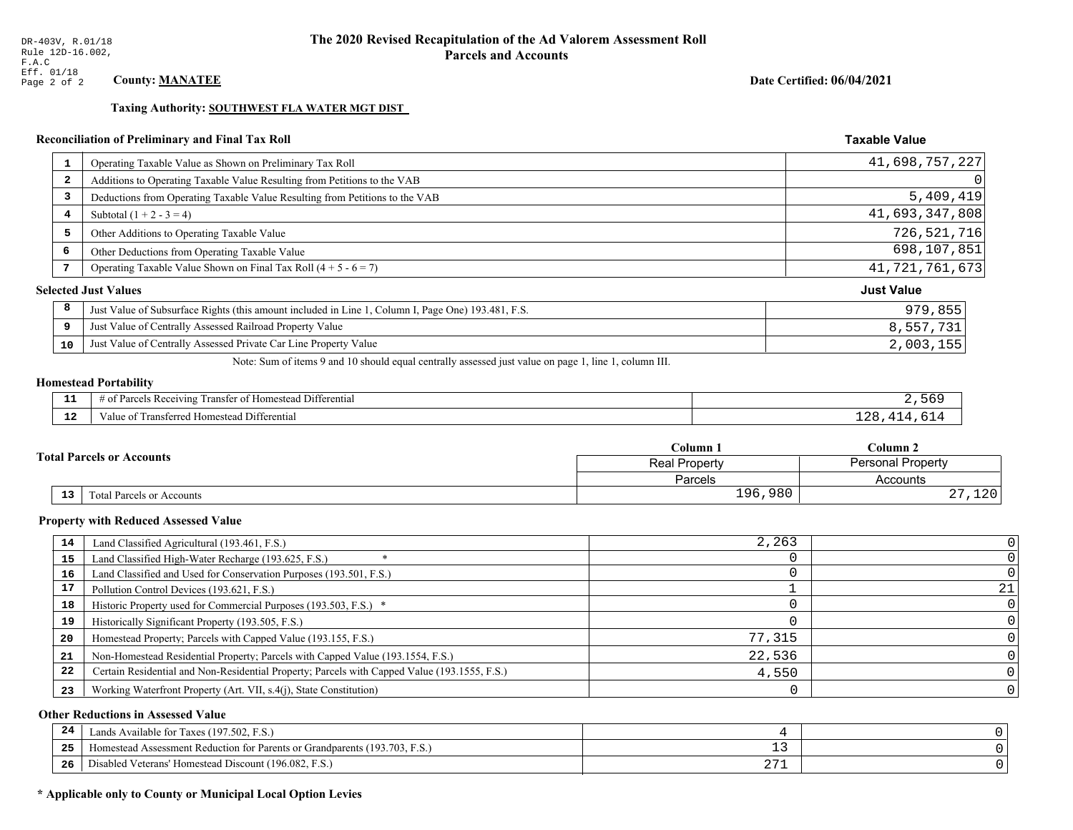Taxing Authority: SOUTHWEST FLA WATER MGT DIST

## Reconciliation of Preliminary and Final Tax Roll

| $\mathbf{1}$            | Operating Taxable Value as Shown on Preliminary Tax Roll                                           | 41,698,757,227    |
|-------------------------|----------------------------------------------------------------------------------------------------|-------------------|
| $\overline{\mathbf{2}}$ | Additions to Operating Taxable Value Resulting from Petitions to the VAB                           | 0                 |
| 3                       | Deductions from Operating Taxable Value Resulting from Petitions to the VAB                        | 5,409,419         |
| 4                       | Subtotal $(1 + 2 - 3 = 4)$                                                                         | 41,693,347,808    |
| 5                       | Other Additions to Operating Taxable Value                                                         | 726,521,716       |
| 6                       | Other Deductions from Operating Taxable Value                                                      | 698,107,851       |
| 7                       | Operating Taxable Value Shown on Final Tax Roll $(4 + 5 - 6 = 7)$                                  | 41, 721, 761, 673 |
|                         | <b>Selected Just Values</b>                                                                        | <b>Just Value</b> |
| 8                       | Just Value of Subsurface Rights (this amount included in Line 1, Column I, Page One) 193.481, F.S. | 979,855           |
| 9                       | Just Value of Centrally Assessed Railroad Property Value                                           | 8,557,731         |
| 10                      | Just Value of Centrally Assessed Private Car Line Property Value                                   | 2,003,155         |

Note: Sum of items 9 and 10 should equal centrally assessed just value on page 1, line 1, column III.

## **Homestead Portability**

| - -          | <b>THE PART</b><br>.<br>l Differential<br>ranster of<br>us Receiving.<br>* Homestead<br>Jorgale<br>. . |  |
|--------------|--------------------------------------------------------------------------------------------------------|--|
| $\sim$<br>-- | Transferred<br>Differential<br>Value of<br>Homestead                                                   |  |

|    |                                  | Column 1                                  | Column 2           |  |
|----|----------------------------------|-------------------------------------------|--------------------|--|
|    | <b>Total Parcels or Accounts</b> | <b>Personal Property</b><br>Real Property |                    |  |
|    |                                  | Parcels                                   | Accounts           |  |
| 13 | <b>Fotal Parcels or Accounts</b> | 196,980                                   | າ າ ດ<br>ᆂᅎᇅ<br>4. |  |

#### **Property with Reduced Assessed Value**

| 14 | Land Classified Agricultural (193.461, F.S.)                                                 | 2,263  |  |
|----|----------------------------------------------------------------------------------------------|--------|--|
| 15 | Land Classified High-Water Recharge (193.625, F.S.)                                          |        |  |
| 16 | Land Classified and Used for Conservation Purposes (193.501, F.S.)                           |        |  |
| 17 | Pollution Control Devices (193.621, F.S.)                                                    |        |  |
| 18 | Historic Property used for Commercial Purposes (193.503, F.S.) *                             |        |  |
| 19 | Historically Significant Property (193.505, F.S.)                                            |        |  |
| 20 | Homestead Property; Parcels with Capped Value (193.155, F.S.)                                | 77,315 |  |
| 21 | Non-Homestead Residential Property; Parcels with Capped Value (193.1554, F.S.)               | 22,536 |  |
| 22 | Certain Residential and Non-Residential Property; Parcels with Capped Value (193.1555, F.S.) | 4,550  |  |
| 23 | Working Waterfront Property (Art. VII, s.4(j), State Constitution)                           |        |  |

## **Other Reductions in Assessed Value**

| 24    | Lands Available for Taxes (197.502, F.S.)                                  |                   |  |
|-------|----------------------------------------------------------------------------|-------------------|--|
| - - - | Homestead Assessment Reduction for Parents or Grandparents (193.703, F.S.) | - -               |  |
| -26   | F.S.<br>Disabled Veterans' Homestead Discount (196.082, F.                 | ר ר<br><u> 41</u> |  |

## \* Applicable only to County or Municipal Local Option Levies

Date Certified: 06/04/2021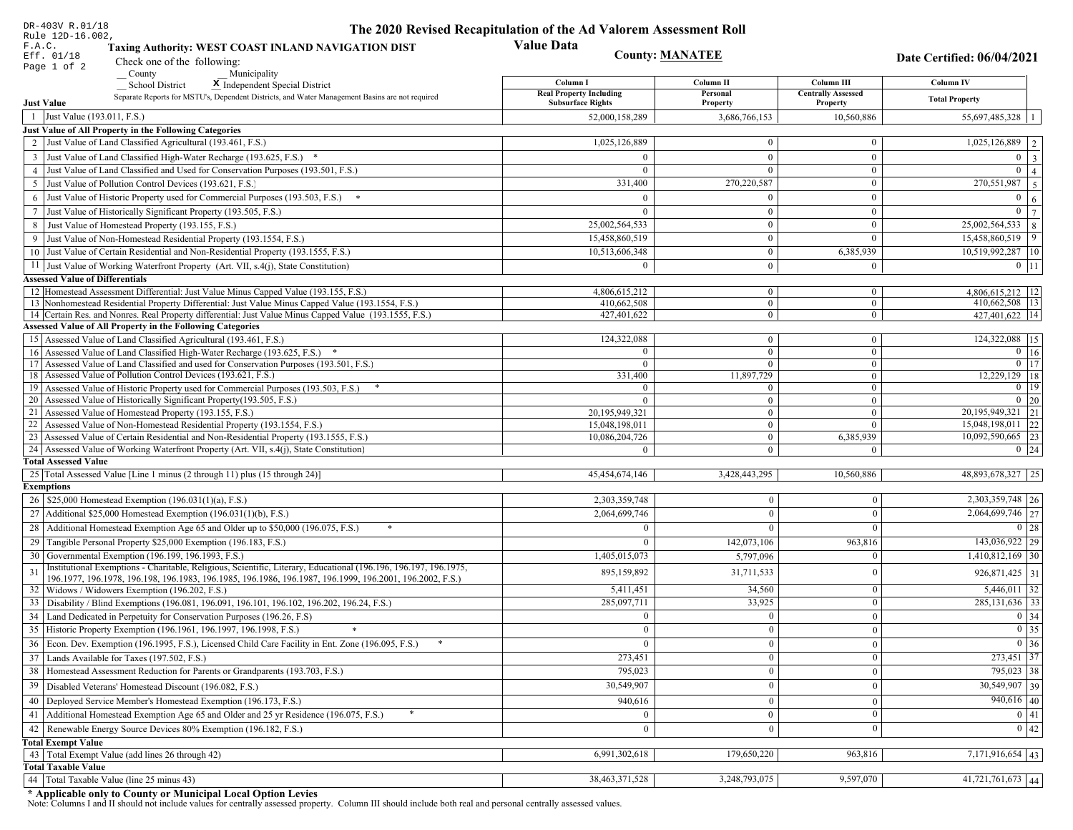| DR-403V R.01/18                                                                                                                                                                                             | The 2020 Revised Recapitulation of the Ad Valorem Assessment Roll |                                  |                                  |                                           |
|-------------------------------------------------------------------------------------------------------------------------------------------------------------------------------------------------------------|-------------------------------------------------------------------|----------------------------------|----------------------------------|-------------------------------------------|
| Rule 12D-16.002,<br>F.A.C.<br>Taxing Authority: WEST COAST INLAND NAVIGATION DIST                                                                                                                           | <b>Value Data</b>                                                 |                                  |                                  |                                           |
| Eff. 01/18<br>Check one of the following:<br>Page 1 of 2                                                                                                                                                    |                                                                   | <b>County: MANATEE</b>           |                                  | Date Certified: 06/04/2021                |
| County<br>Municipality                                                                                                                                                                                      | Column I                                                          | Column II                        | Column III                       | Column IV                                 |
| <b>School District</b><br>X Independent Special District<br>Separate Reports for MSTU's, Dependent Districts, and Water Management Basins are not required                                                  | <b>Real Property Including</b>                                    | Personal                         | <b>Centrally Assessed</b>        |                                           |
| <b>Just Value</b>                                                                                                                                                                                           | <b>Subsurface Rights</b>                                          | Property                         | Property                         | <b>Total Property</b>                     |
| 1 Just Value (193.011, F.S.)                                                                                                                                                                                | 52,000,158,289                                                    | 3,686,766,153                    | 10,560,886                       | 55,697,485,328                            |
| Just Value of All Property in the Following Categories                                                                                                                                                      |                                                                   |                                  |                                  |                                           |
| 2 Just Value of Land Classified Agricultural (193.461, F.S.)                                                                                                                                                | 1,025,126,889                                                     | $\overline{0}$                   | $\overline{0}$                   | $\overline{1,025,126,889}$   2            |
| 3 Just Value of Land Classified High-Water Recharge (193.625, F.S.) *                                                                                                                                       |                                                                   | $\overline{0}$                   | $\theta$                         | $\overline{0}$<br>$\overline{\mathbf{3}}$ |
| 4 Just Value of Land Classified and Used for Conservation Purposes (193.501, F.S.)                                                                                                                          | $\Omega$                                                          | $\overline{0}$                   | $\overline{0}$                   | $\overline{0}$<br>$\overline{4}$          |
| 5 Just Value of Pollution Control Devices (193.621, F.S.)                                                                                                                                                   | 331,400                                                           | 270,220,587                      | $\overline{0}$                   | 270,551,987<br>$5\overline{5}$            |
| 6 Just Value of Historic Property used for Commercial Purposes (193.503, F.S.) *                                                                                                                            | $\Omega$                                                          | $\Omega$                         | $\theta$                         | $\mathbf{0}$<br>6                         |
| 7 Just Value of Historically Significant Property (193.505, F.S.)                                                                                                                                           | $\theta$                                                          | $\overline{0}$                   | $\overline{0}$                   | $\overline{0}$<br>$7^{\circ}$             |
| 8 Just Value of Homestead Property (193.155, F.S.)                                                                                                                                                          | 25,002,564,533                                                    | $\overline{0}$                   | $\boldsymbol{0}$                 | 25,002,564,533<br>8                       |
| 9 Just Value of Non-Homestead Residential Property (193.1554, F.S.)                                                                                                                                         | 15,458,860,519                                                    | $\mathbf{0}$                     | $\Omega$                         | 15,458,860,519<br>9                       |
| 10 Just Value of Certain Residential and Non-Residential Property (193.1555, F.S.)                                                                                                                          | 10,513,606,348                                                    | $\overline{0}$                   | 6,385,939                        | 10,519,992,287   10                       |
| 11 Just Value of Working Waterfront Property (Art. VII, s.4(j), State Constitution)                                                                                                                         | $\Omega$                                                          | $\overline{0}$                   | $\mathbf{0}$                     | $0 \mid 11$                               |
| <b>Assessed Value of Differentials</b>                                                                                                                                                                      |                                                                   |                                  |                                  |                                           |
| 12 Homestead Assessment Differential: Just Value Minus Capped Value (193.155, F.S.)                                                                                                                         | 4,806,615,212                                                     | $\overline{0}$                   | $\mathbf{0}$                     | $4,806,615,212$ 12                        |
| 13 Nonhomestead Residential Property Differential: Just Value Minus Capped Value (193.1554, F.S.)<br>14 Certain Res. and Nonres. Real Property differential: Just Value Minus Capped Value (193.1555, F.S.) | 410,662,508<br>427,401,622                                        | $\overline{0}$<br>$\overline{0}$ | $\overline{0}$<br>$\overline{0}$ | $410,662,508$   13  <br>427,401,622 14    |
| Assessed Value of All Property in the Following Categories                                                                                                                                                  |                                                                   |                                  |                                  |                                           |
| 15 Assessed Value of Land Classified Agricultural (193.461, F.S.)                                                                                                                                           | 124,322,088                                                       | $\overline{0}$                   | $\overline{0}$                   | 124,322,088 15                            |
| 16 Assessed Value of Land Classified High-Water Recharge (193.625, F.S.) *                                                                                                                                  | $\Omega$                                                          | $\overline{0}$                   | $\Omega$                         | $0$ 16                                    |
| Assessed Value of Land Classified and used for Conservation Purposes (193.501, F.S.)<br>17                                                                                                                  | $\Omega$                                                          | $\overline{0}$                   | $\overline{0}$                   | $\overline{0}$ $\overline{17}$            |
| Assessed Value of Pollution Control Devices (193.621, F.S.)<br>18                                                                                                                                           | 331,400                                                           | 11,897,729                       | $\overline{0}$                   | $12,229,129$ 18                           |
| 19 Assessed Value of Historic Property used for Commercial Purposes (193.503, F.S.)                                                                                                                         | $\Omega$                                                          | $\mathbf{0}$                     | $\overline{0}$                   | $0$ 19                                    |
| 20 Assessed Value of Historically Significant Property (193.505, F.S.)                                                                                                                                      | $\Omega$                                                          | $\overline{0}$                   | $\overline{0}$                   | $0\quad20$                                |
| 21 Assessed Value of Homestead Property (193.155, F.S.)                                                                                                                                                     | 20,195,949,321                                                    | $\overline{0}$                   | $\overline{0}$                   | $\overline{20,195,949,321}$ 21            |
| 22 Assessed Value of Non-Homestead Residential Property (193.1554, F.S.)                                                                                                                                    | 15,048,198,011                                                    | $\overline{0}$                   | $\Omega$                         | $15,048,198,011$ 22                       |
| 23 Assessed Value of Certain Residential and Non-Residential Property (193.1555, F.S.)<br>24 Assessed Value of Working Waterfront Property (Art. VII, s.4(j), State Constitution)                           | 10,086,204,726                                                    | $\overline{0}$<br>$\overline{0}$ | 6,385,939<br>$\Omega$            | 10,092,590,665 23<br>$0 \mid 24$          |
| <b>Total Assessed Value</b>                                                                                                                                                                                 |                                                                   |                                  |                                  |                                           |
| 25 Total Assessed Value [Line 1 minus (2 through 11) plus (15 through 24)]                                                                                                                                  | 45,454,674,146                                                    | 3,428,443,295                    | 10,560,886                       | 48,893,678,327 25                         |
| <b>Exemptions</b>                                                                                                                                                                                           |                                                                   |                                  |                                  |                                           |
| 26   \$25,000 Homestead Exemption (196.031(1)(a), F.S.)                                                                                                                                                     | 2,303,359,748                                                     | $\bf{0}$                         | $\mathbf{0}$                     | 2,303,359,748 26                          |
| 27   Additional \$25,000 Homestead Exemption (196.031(1)(b), F.S.)                                                                                                                                          | 2,064,699,746                                                     | $\Omega$                         | $\Omega$                         | $\overline{2,064,699,746}$ 27             |
| 28 Additional Homestead Exemption Age 65 and Older up to \$50,000 (196.075, F.S.)                                                                                                                           | $\Omega$                                                          | $\Omega$                         | $\Omega$                         | $0 \mid 28$                               |
| 29 Tangible Personal Property \$25,000 Exemption (196.183, F.S.)                                                                                                                                            | $\theta$                                                          | 142,073,106                      | 963,816                          | $143,036,922$ 29                          |
| 30 Governmental Exemption (196.199, 196.1993, F.S.)                                                                                                                                                         | 1,405,015,073                                                     | 5,797,096                        | $\mathbf{0}$                     | $1,410,812,169$ 30                        |
| Institutional Exemptions - Charitable, Religious, Scientific, Literary, Educational (196.196, 196.197, 196.1975,                                                                                            | 895,159,892                                                       | 31,711,533                       | $\theta$                         | $926,871,425$ 31                          |
| 196.1977, 196.1978, 196.198, 196.1983, 196.1985, 196.1986, 196.1987, 196.1999, 196.2001, 196.2002, F.S.)                                                                                                    |                                                                   |                                  |                                  |                                           |
| 32 Widows / Widowers Exemption (196.202, F.S.)                                                                                                                                                              | 5,411,451                                                         | 34,560                           | $\bf{0}$                         | $5,446,011$ 32                            |
| 33 Disability / Blind Exemptions (196.081, 196.091, 196.101, 196.102, 196.202, 196.24, F.S.)                                                                                                                | 285,097,711                                                       | 33,925                           | $\mathbf{0}$                     | 285, 131, 636 33                          |
| 34 Land Dedicated in Perpetuity for Conservation Purposes (196.26, F.S)                                                                                                                                     | $\Omega$                                                          | $\overline{0}$                   | $\theta$                         | $0 \mid 34$                               |
| 35 Historic Property Exemption (196.1961, 196.1997, 196.1998, F.S.)                                                                                                                                         | 0                                                                 | $\mathbf{0}$                     | $\mathbf{0}$                     | $\boxed{0}$ 35                            |
| 36 Econ. Dev. Exemption (196.1995, F.S.), Licensed Child Care Facility in Ent. Zone (196.095, F.S.)                                                                                                         | $\Omega$                                                          | $\boldsymbol{0}$                 | $\mathbf{0}$                     | $\boxed{0}$ 36                            |
| 37 Lands Available for Taxes (197.502, F.S.)                                                                                                                                                                | 273,451                                                           | $\overline{0}$                   | $\mathbf{0}$                     | 273,451 37                                |
| 38   Homestead Assessment Reduction for Parents or Grandparents (193.703, F.S.)                                                                                                                             | 795,023                                                           | $\bf{0}$                         | $\bf{0}$                         | 795,023 38                                |
| 39   Disabled Veterans' Homestead Discount (196.082, F.S.)                                                                                                                                                  | 30,549,907                                                        | $\mathbf{0}$                     | $\mathbf{0}$                     | $30,549,907$ 39                           |
| 40 Deployed Service Member's Homestead Exemption (196.173, F.S.)                                                                                                                                            | 940,616                                                           | $\overline{0}$                   | $\mathbf{0}$                     | $940,616$ 40                              |
| 41 Additional Homestead Exemption Age 65 and Older and 25 yr Residence (196.075, F.S.)                                                                                                                      | $\mathbf{0}$                                                      | $\mathbf{0}$                     | $\boldsymbol{0}$                 | $\boxed{0}$ 41                            |
| 42 Renewable Energy Source Devices 80% Exemption (196.182, F.S.)                                                                                                                                            | $\bf{0}$                                                          | $\boldsymbol{0}$                 | $\mathbf{0}$                     | 0 42                                      |
| <b>Total Exempt Value</b>                                                                                                                                                                                   |                                                                   |                                  |                                  |                                           |
| 43 Total Exempt Value (add lines 26 through 42)                                                                                                                                                             | 6,991,302,618                                                     | 179,650,220                      | 963,816                          | 7,171,916,654 43                          |
| <b>Total Taxable Value</b>                                                                                                                                                                                  |                                                                   |                                  |                                  |                                           |
| 44   Total Taxable Value (line 25 minus 43)                                                                                                                                                                 | 38,463,371,528                                                    | 3,248,793,075                    | 9,597,070                        | $41,721,761,673$ 44                       |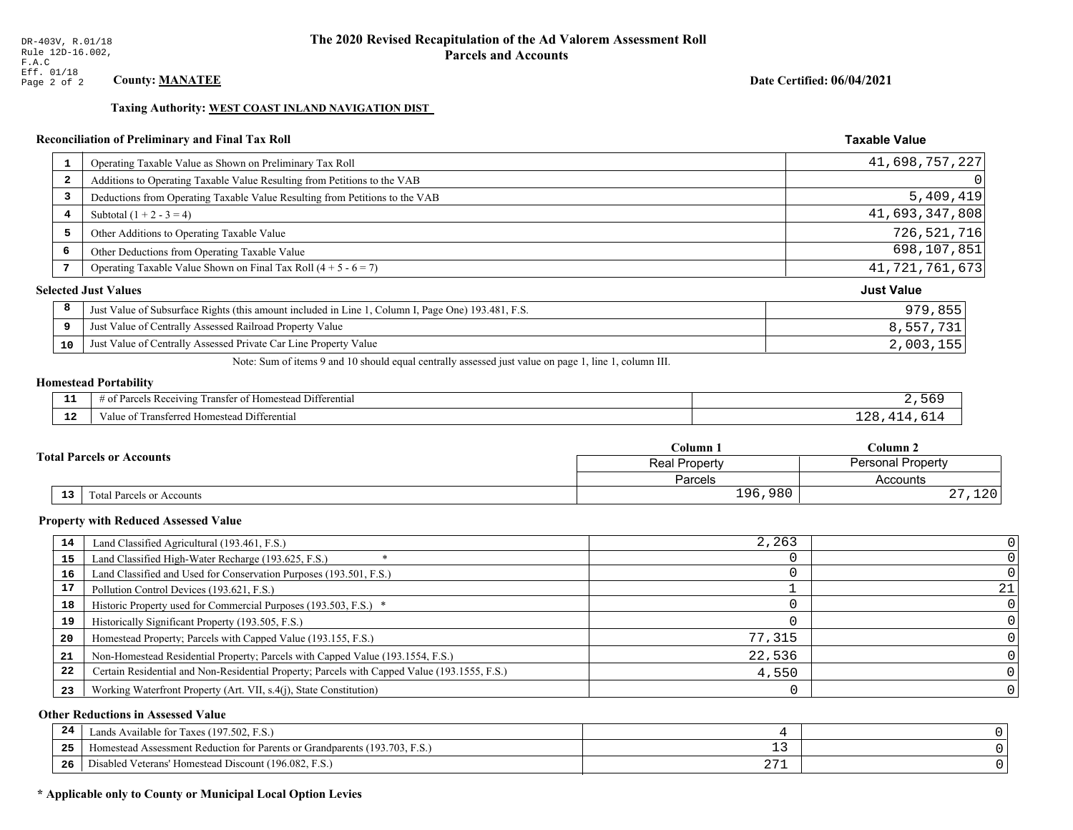## Date Certified: 06/04/2021

**Taxable Value** 

#### Taxing Authority: WEST COAST INLAND NAVIGATION DIST

## Reconciliation of Preliminary and Final Tax Roll

| $\mathbf{1}$ | Operating Taxable Value as Shown on Preliminary Tax Roll                                           | 41,698,757,227    |
|--------------|----------------------------------------------------------------------------------------------------|-------------------|
| 2            | Additions to Operating Taxable Value Resulting from Petitions to the VAB                           | 0                 |
| 3            | Deductions from Operating Taxable Value Resulting from Petitions to the VAB                        | 5,409,419         |
| 4            | Subtotal $(1 + 2 - 3 = 4)$                                                                         | 41,693,347,808    |
| 5            | Other Additions to Operating Taxable Value                                                         | 726,521,716       |
| 6            | Other Deductions from Operating Taxable Value                                                      | 698,107,851       |
| 7            | Operating Taxable Value Shown on Final Tax Roll $(4 + 5 - 6 = 7)$                                  | 41, 721, 761, 673 |
|              | <b>Selected Just Values</b>                                                                        | <b>Just Value</b> |
| 8            | Just Value of Subsurface Rights (this amount included in Line 1, Column I, Page One) 193.481, F.S. | 979,855           |
| 9            | Just Value of Centrally Assessed Railroad Property Value                                           | 8,557,731         |
| 10           | Just Value of Centrally Assessed Private Car Line Property Value                                   | 2,003,155         |
|              |                                                                                                    |                   |

Note: Sum of items 9 and 10 should equal centrally assessed just value on page 1, line 1, column III.

# **Homestead Portability**

| ---      | $\sim$ $\sim$<br>Differential<br>ranste<br>, Receiving<br>$\sim$<br>$\sim$ 122.<br>omestea<br>'arcels<br>' 01<br>. . |  |
|----------|----------------------------------------------------------------------------------------------------------------------|--|
| -<br>--- | ∵anete.<br><b>Homesteac</b><br>Differential<br>alue<br>terred                                                        |  |

|                                              | $C$ olumn $1$                                    | Column 2         |
|----------------------------------------------|--------------------------------------------------|------------------|
| <b>Total Parcels or Accounts</b>             | <b>Personal Property</b><br><b>Real Property</b> |                  |
|                                              | <b>Parcels</b>                                   | Accounts         |
| $\overline{13}$<br>Total Parcels or Accounts | 196,980                                          | າ ລດ<br>ᆂᅎᇅ<br>▵ |

#### **Property with Reduced Assessed Value**

| 14 | Land Classified Agricultural (193.461, F.S.)                                                 | 2,263  |    |
|----|----------------------------------------------------------------------------------------------|--------|----|
| 15 | Land Classified High-Water Recharge (193.625, F.S.)                                          |        |    |
| 16 | Land Classified and Used for Conservation Purposes (193.501, F.S.)                           |        |    |
| 17 | Pollution Control Devices (193.621, F.S.)                                                    |        | 21 |
| 18 | Historic Property used for Commercial Purposes (193.503, F.S.) *                             |        |    |
| 19 | Historically Significant Property (193.505, F.S.)                                            |        |    |
| 20 | Homestead Property; Parcels with Capped Value (193.155, F.S.)                                | 77,315 |    |
| 21 | Non-Homestead Residential Property; Parcels with Capped Value (193.1554, F.S.)               | 22,536 |    |
| 22 | Certain Residential and Non-Residential Property; Parcels with Capped Value (193.1555, F.S.) | 4,550  |    |
| 23 | Working Waterfront Property (Art. VII, s.4(j), State Constitution)                           |        |    |

## **Other Reductions in Assessed Value**

| 24  | Lands Available for Taxes (197.502, F.S.)                                                   |                      |  |
|-----|---------------------------------------------------------------------------------------------|----------------------|--|
| -25 | 7103<br>93.703<br>F.S.<br>Assessment Reduction for Parents or Grandparents "<br>Homestead A | - -                  |  |
| -26 | d Veterans' Homestead Discount (196.082, F.S.)<br>) isabled                                 | $\sim$ $\sim$<br>∠ / |  |

## \* Applicable only to County or Municipal Local Option Levies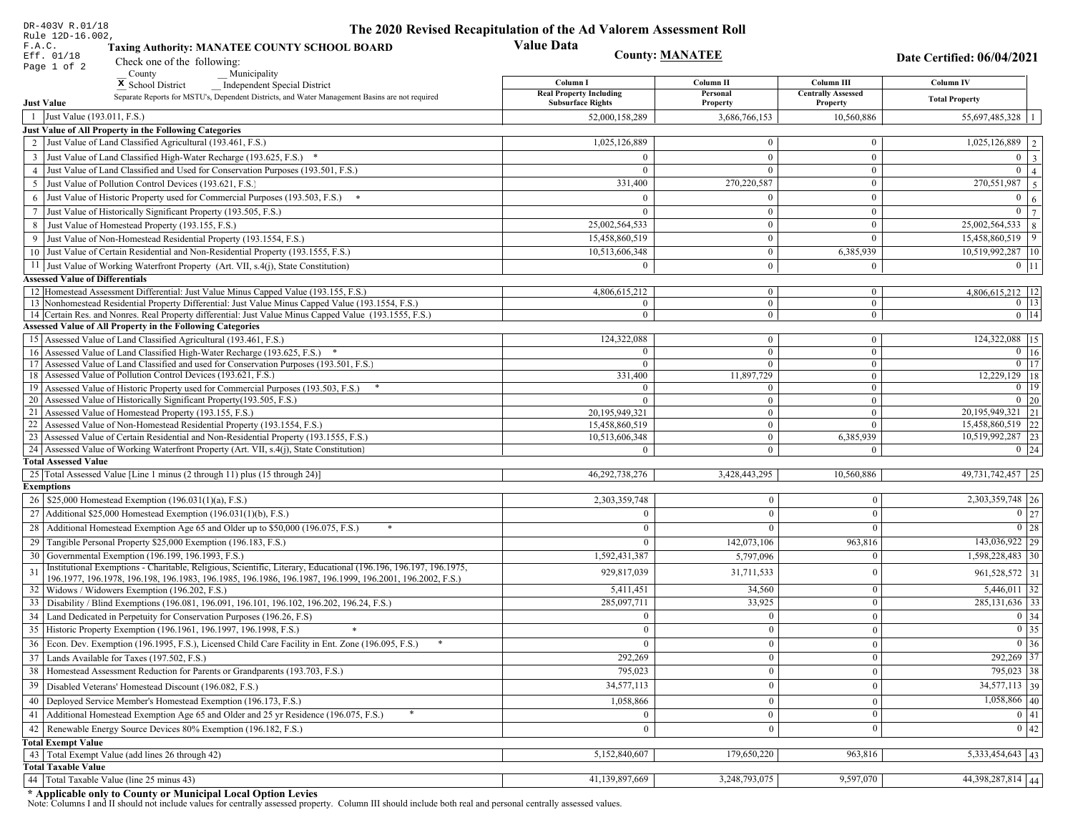| DR-403V R.01/18                                                                                                                                                                                             | The 2020 Revised Recapitulation of the Ad Valorem Assessment Roll |                                  |                                         |                                     |
|-------------------------------------------------------------------------------------------------------------------------------------------------------------------------------------------------------------|-------------------------------------------------------------------|----------------------------------|-----------------------------------------|-------------------------------------|
| Rule 12D-16.002,<br>F.A.C.<br><b>Taxing Authority: MANATEE COUNTY SCHOOL BOARD</b>                                                                                                                          | <b>Value Data</b>                                                 |                                  |                                         |                                     |
| Eff. 01/18<br>Check one of the following:                                                                                                                                                                   | <b>County: MANATEE</b>                                            |                                  |                                         | Date Certified: 06/04/2021          |
| Page 1 of 2<br>County<br>Municipality                                                                                                                                                                       |                                                                   |                                  |                                         |                                     |
| <sup>x</sup> School District<br>Independent Special District                                                                                                                                                | Column I<br><b>Real Property Including</b>                        | Column II<br>Personal            | Column III<br><b>Centrally Assessed</b> | <b>Column IV</b>                    |
| Separate Reports for MSTU's, Dependent Districts, and Water Management Basins are not required<br><b>Just Value</b>                                                                                         | <b>Subsurface Rights</b>                                          | Property                         | Property                                | <b>Total Property</b>               |
| 1 Just Value (193.011, F.S.)                                                                                                                                                                                | 52,000,158,289                                                    | 3,686,766,153                    | 10,560,886                              | 55,697,485,328   1                  |
| Just Value of All Property in the Following Categories                                                                                                                                                      |                                                                   |                                  |                                         |                                     |
| 2 Just Value of Land Classified Agricultural (193.461, F.S.)                                                                                                                                                | 1,025,126,889                                                     | $\bf{0}$                         | $\bf{0}$                                | $1,025,126,889$   2                 |
| 3 Just Value of Land Classified High-Water Recharge (193.625, F.S.) *                                                                                                                                       | $\Omega$                                                          | $\mathbf{0}$                     | $\mathbf{0}$                            | $0 \mid 3$                          |
| 4 Just Value of Land Classified and Used for Conservation Purposes (193.501, F.S.)                                                                                                                          | $\Omega$                                                          | $\Omega$                         | $\boldsymbol{0}$                        | $\mathbf{0}$<br>$\vert$ 4           |
| 5 Just Value of Pollution Control Devices (193.621, F.S.)                                                                                                                                                   | 331,400                                                           | 270,220,587                      | $\bf{0}$                                | $\boxed{270,551,987}$   5           |
| 6 Just Value of Historic Property used for Commercial Purposes (193.503, F.S.) *                                                                                                                            | $\Omega$                                                          |                                  | $\boldsymbol{0}$                        | $\overline{0}$<br>6                 |
| 7 Just Value of Historically Significant Property (193.505, F.S.)                                                                                                                                           | $\Omega$                                                          | $\bf{0}$                         | $\bf{0}$                                | $0 \overline{7}$                    |
| 8 Just Value of Homestead Property (193.155, F.S.)                                                                                                                                                          | 25,002,564,533                                                    | $\bf{0}$                         | $\boldsymbol{0}$                        | $25,002,564,533$ 8                  |
| 9 Just Value of Non-Homestead Residential Property (193.1554, F.S.)                                                                                                                                         | 15,458,860,519                                                    | $\bf{0}$                         | $\theta$                                | $15,458,860,519$   9                |
| 10 Just Value of Certain Residential and Non-Residential Property (193.1555, F.S.)                                                                                                                          | 10,513,606,348                                                    | $\mathbf{0}$                     | 6,385,939                               | 10,519,992,287 10                   |
| 11 Just Value of Working Waterfront Property (Art. VII, s.4(j), State Constitution)                                                                                                                         | $\Omega$                                                          | $\bf{0}$                         | $\bf{0}$                                | $0$   11                            |
| <b>Assessed Value of Differentials</b>                                                                                                                                                                      |                                                                   |                                  |                                         |                                     |
| 12   Homestead Assessment Differential: Just Value Minus Capped Value (193.155, F.S.)                                                                                                                       | 4,806,615,212                                                     | $\bf{0}$                         | $\bf{0}$                                | $4,806,615,212$   12                |
| 13 Nonhomestead Residential Property Differential: Just Value Minus Capped Value (193.1554, F.S.)<br>14 Certain Res. and Nonres. Real Property differential: Just Value Minus Capped Value (193.1555, F.S.) | $\overline{0}$<br>$\overline{0}$                                  | $\overline{0}$<br>$\overline{0}$ | $\mathbf{0}$<br>$\overline{0}$          | $0$   13 <br>$0$   14               |
| <b>Assessed Value of All Property in the Following Categories</b>                                                                                                                                           |                                                                   |                                  |                                         |                                     |
| 15 Assessed Value of Land Classified Agricultural (193.461, F.S.)                                                                                                                                           | 124,322,088                                                       | $\mathbf{0}$                     | $\mathbf{0}$                            | 124,322,088 15                      |
| Assessed Value of Land Classified High-Water Recharge (193.625, F.S.) *                                                                                                                                     | $\Omega$                                                          | $\overline{0}$                   | $\mathbf{0}$                            | $\overline{0}$ 16                   |
| Assessed Value of Land Classified and used for Conservation Purposes (193.501, F.S.)<br>17                                                                                                                  | $\overline{0}$                                                    | $\overline{0}$                   | $\boldsymbol{0}$                        | $0$   17                            |
| 18 Assessed Value of Pollution Control Devices (193.621, F.S.)                                                                                                                                              | 331,400                                                           | 11,897,729                       | $\mathbf{0}$                            | 12,229,129 18                       |
| 19 Assessed Value of Historic Property used for Commercial Purposes (193.503, F.S.)                                                                                                                         | $\overline{0}$                                                    | $\overline{0}$                   | $\overline{0}$                          | $0 \mid 19$                         |
| 20 Assessed Value of Historically Significant Property (193.505, F.S.)                                                                                                                                      | $\Omega$                                                          | $\overline{0}$                   | $\overline{0}$                          | $0\vert 20$<br>20, 195, 949, 321 21 |
| 21 Assessed Value of Homestead Property (193.155, F.S.)<br>22 Assessed Value of Non-Homestead Residential Property (193.1554, F.S.)                                                                         | 20,195,949,321<br>15,458,860,519                                  | $\overline{0}$<br>$\overline{0}$ | $\boldsymbol{0}$<br>$\mathbf{0}$        | 15,458,860,519 22                   |
| 23 Assessed Value of Certain Residential and Non-Residential Property (193.1555, F.S.)                                                                                                                      | 10,513,606,348                                                    | $\overline{0}$                   | 6,385,939                               | 10,519,992,287 23                   |
| 24 Assessed Value of Working Waterfront Property (Art. VII, s.4(j), State Constitution)                                                                                                                     | $\Omega$                                                          | $\overline{0}$                   | $\theta$                                | $0 \mid 24$                         |
| <b>Total Assessed Value</b>                                                                                                                                                                                 |                                                                   |                                  |                                         |                                     |
| 25 Total Assessed Value [Line 1 minus (2 through 11) plus (15 through 24)]                                                                                                                                  | 46,292,738,276                                                    | 3,428,443,295                    | 10,560,886                              | 49, 731, 742, 457   25              |
| <b>Exemptions</b>                                                                                                                                                                                           |                                                                   |                                  |                                         |                                     |
| 26   \$25,000 Homestead Exemption (196.031(1)(a), F.S.)                                                                                                                                                     | 2,303,359,748                                                     | $\mathbf{0}$                     | $\mathbf{0}$                            | 2,303,359,748 26                    |
| 27   Additional \$25,000 Homestead Exemption $(196.031(1)(b), F.S.)$                                                                                                                                        |                                                                   | $\Omega$                         | $\Omega$                                | $\boxed{0}$ 27                      |
| 28 Additional Homestead Exemption Age 65 and Older up to \$50,000 (196.075, F.S.)                                                                                                                           | $\Omega$                                                          | $\Omega$                         | $\Omega$                                |                                     |
| 29 Tangible Personal Property \$25,000 Exemption (196.183, F.S.)                                                                                                                                            | $\theta$                                                          | 142,073,106                      | 963,816                                 | 143,036,922 29                      |
| 30 Governmental Exemption (196.199, 196.1993, F.S.)                                                                                                                                                         | 1,592,431,387                                                     | 5,797,096                        |                                         | 1,598,228,483 30                    |
| Institutional Exemptions - Charitable, Religious, Scientific, Literary, Educational (196.196, 196.197, 196.1975,                                                                                            | 929,817,039                                                       | 31,711,533                       | $\Omega$                                | 961, 528, 572 31                    |
| 196.1977, 196.1978, 196.198, 196.1983, 196.1985, 196.1986, 196.1987, 196.1999, 196.2001, 196.2002, F.S.)<br>32 Widows / Widowers Exemption (196.202, F.S.)                                                  | 5,411,451                                                         | 34,560                           | $\mathbf{0}$                            | $5,446,011$ 32                      |
| 33 Disability / Blind Exemptions (196.081, 196.091, 196.101, 196.102, 196.202, 196.24, F.S.)                                                                                                                | 285,097,711                                                       | 33,925                           | $\Omega$                                | 285, 131, 636 33                    |
| 34 Land Dedicated in Perpetuity for Conservation Purposes (196.26, F.S)                                                                                                                                     | $\theta$                                                          | $\mathbf{0}$                     | $\Omega$                                | 0 34                                |
| 35 Historic Property Exemption (196.1961, 196.1997, 196.1998, F.S.)                                                                                                                                         | 0                                                                 | $\mathbf{0}$                     | $\mathbf{0}$                            | $\boxed{0}$ 35                      |
| 36 Econ. Dev. Exemption (196.1995, F.S.), Licensed Child Care Facility in Ent. Zone (196.095, F.S.)                                                                                                         |                                                                   | $\boldsymbol{0}$                 | $\Omega$                                | $0 \mid 36$                         |
| 37 Lands Available for Taxes (197.502, F.S.)                                                                                                                                                                | 292,269                                                           | $\mathbf{0}$                     | $\Omega$                                | 292,269 37                          |
| 38   Homestead Assessment Reduction for Parents or Grandparents (193.703, F.S.)                                                                                                                             | 795,023                                                           | $\mathbf{0}$                     | $\mathbf{0}$                            | $795,023$ 38                        |
| 39   Disabled Veterans' Homestead Discount (196.082, F.S.)                                                                                                                                                  | 34,577,113                                                        | $\mathbf{0}$                     | $\mathbf{0}$                            | $34,577,113$ 39                     |
| 40   Deployed Service Member's Homestead Exemption (196.173, F.S.)                                                                                                                                          | 1,058,866                                                         | $\mathbf{0}$                     | $\Omega$                                | $1,058,866$ 40                      |
| 41 Additional Homestead Exemption Age 65 and Older and 25 yr Residence (196.075, F.S.)                                                                                                                      |                                                                   | $\mathbf{0}$                     | $\mathbf{0}$                            | 0 41                                |
|                                                                                                                                                                                                             | $\overline{0}$                                                    |                                  | $\Omega$                                | 0 42                                |
| 42 Renewable Energy Source Devices 80% Exemption (196.182, F.S.)                                                                                                                                            | $\mathbf{0}$                                                      | $\mathbf{0}$                     |                                         |                                     |
| <b>Total Exempt Value</b><br>43 Total Exempt Value (add lines 26 through 42)                                                                                                                                | 5,152,840,607                                                     | 179,650,220                      | 963,816                                 | $5,333,454,643$ 43                  |
| <b>Total Taxable Value</b>                                                                                                                                                                                  |                                                                   |                                  |                                         |                                     |
| 44 Total Taxable Value (line 25 minus 43)                                                                                                                                                                   | 41,139,897,669                                                    | 3,248,793,075                    | 9,597,070                               | 44, 398, 287, 814 44                |